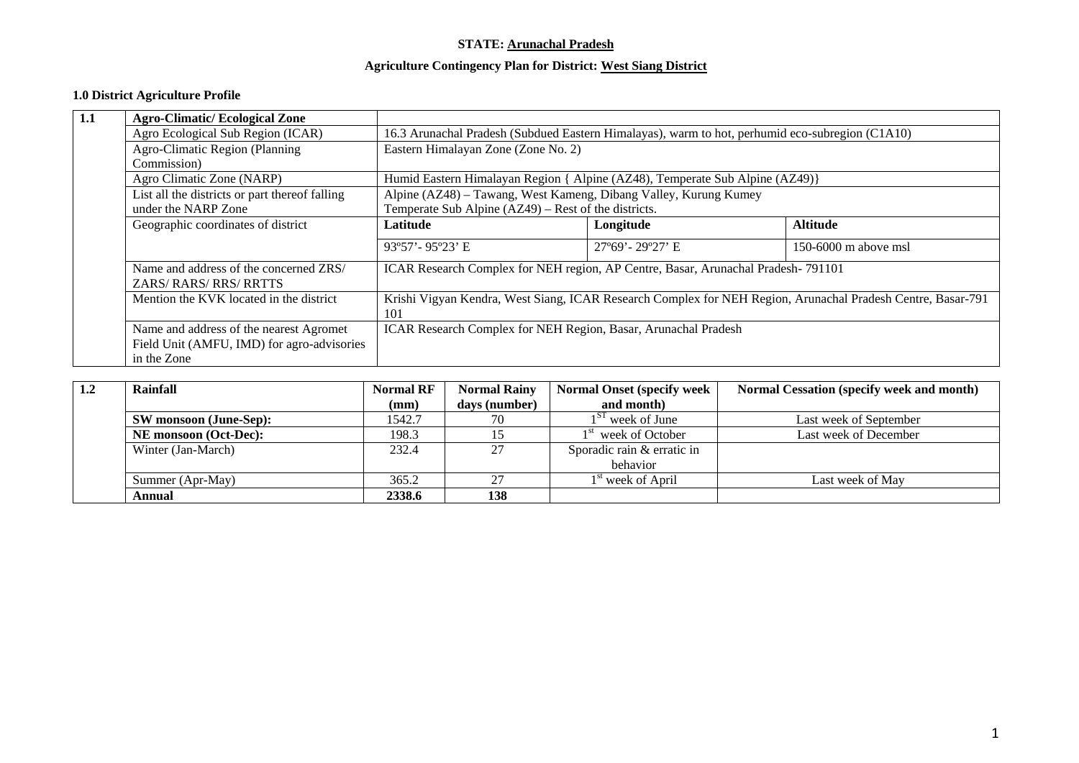#### **STATE: Arunachal Pradesh**

#### **Agriculture Contingency Plan for District: West Siang District**

#### **1.0 District Agriculture Profile**

| 1.1 | <b>Agro-Climatic/Ecological Zone</b>                          |                                                                                                                          |                                                                |                        |  |  |  |
|-----|---------------------------------------------------------------|--------------------------------------------------------------------------------------------------------------------------|----------------------------------------------------------------|------------------------|--|--|--|
|     | Agro Ecological Sub Region (ICAR)                             | 16.3 Arunachal Pradesh (Subdued Eastern Himalayas), warm to hot, perhumid eco-subregion (C1A10)                          |                                                                |                        |  |  |  |
|     | Agro-Climatic Region (Planning                                | Eastern Himalayan Zone (Zone No. 2)                                                                                      |                                                                |                        |  |  |  |
|     | Commission)                                                   |                                                                                                                          |                                                                |                        |  |  |  |
|     | Agro Climatic Zone (NARP)                                     | Humid Eastern Himalayan Region { Alpine (AZ48), Temperate Sub Alpine (AZ49)}                                             |                                                                |                        |  |  |  |
|     | List all the districts or part thereof falling                | Alpine (AZ48) - Tawang, West Kameng, Dibang Valley, Kurung Kumey<br>Temperate Sub Alpine (AZ49) – Rest of the districts. |                                                                |                        |  |  |  |
|     | under the NARP Zone                                           |                                                                                                                          |                                                                |                        |  |  |  |
|     | Geographic coordinates of district                            | Latitude                                                                                                                 | Longitude                                                      | <b>Altitude</b>        |  |  |  |
|     |                                                               | $93^{\circ}57'$ - $95^{\circ}23'$ E                                                                                      | 27°69' - 29°27' E                                              | $150-6000$ m above msl |  |  |  |
|     | Name and address of the concerned ZRS/<br>ZARS/RARS/RRS/RRTTS | ICAR Research Complex for NEH region, AP Centre, Basar, Arunachal Pradesh-791101                                         |                                                                |                        |  |  |  |
|     | Mention the KVK located in the district                       | Krishi Vigyan Kendra, West Siang, ICAR Research Complex for NEH Region, Arunachal Pradesh Centre, Basar-791<br>101       |                                                                |                        |  |  |  |
|     | Name and address of the nearest Agromet                       |                                                                                                                          | ICAR Research Complex for NEH Region, Basar, Arunachal Pradesh |                        |  |  |  |
|     | Field Unit (AMFU, IMD) for agro-advisories                    |                                                                                                                          |                                                                |                        |  |  |  |
|     | in the Zone                                                   |                                                                                                                          |                                                                |                        |  |  |  |

| 1.2 | Rainfall                     | <b>Normal RF</b> | <b>Normal Rainy</b> | <b>Normal Onset (specify week</b> | <b>Normal Cessation (specify week and month)</b> |
|-----|------------------------------|------------------|---------------------|-----------------------------------|--------------------------------------------------|
|     |                              | (mm)             | days (number)       | and month)                        |                                                  |
|     | SW monsoon (June-Sep):       |                  | 70                  | $1ST$ week of June                | Last week of September                           |
|     | <b>NE</b> monsoon (Oct-Dec): |                  | 15                  | 1 <sup>st</sup> week of October   | Last week of December                            |
|     | Winter (Jan-March)           | 232.4            | 27                  | Sporadic rain & erratic in        |                                                  |
|     |                              |                  |                     | behavior                          |                                                  |
|     | Summer (Apr-May)             | 365.2            | 27                  | $1st$ week of April               | Last week of May                                 |
|     | Annual                       | 2338.6           | 138                 |                                   |                                                  |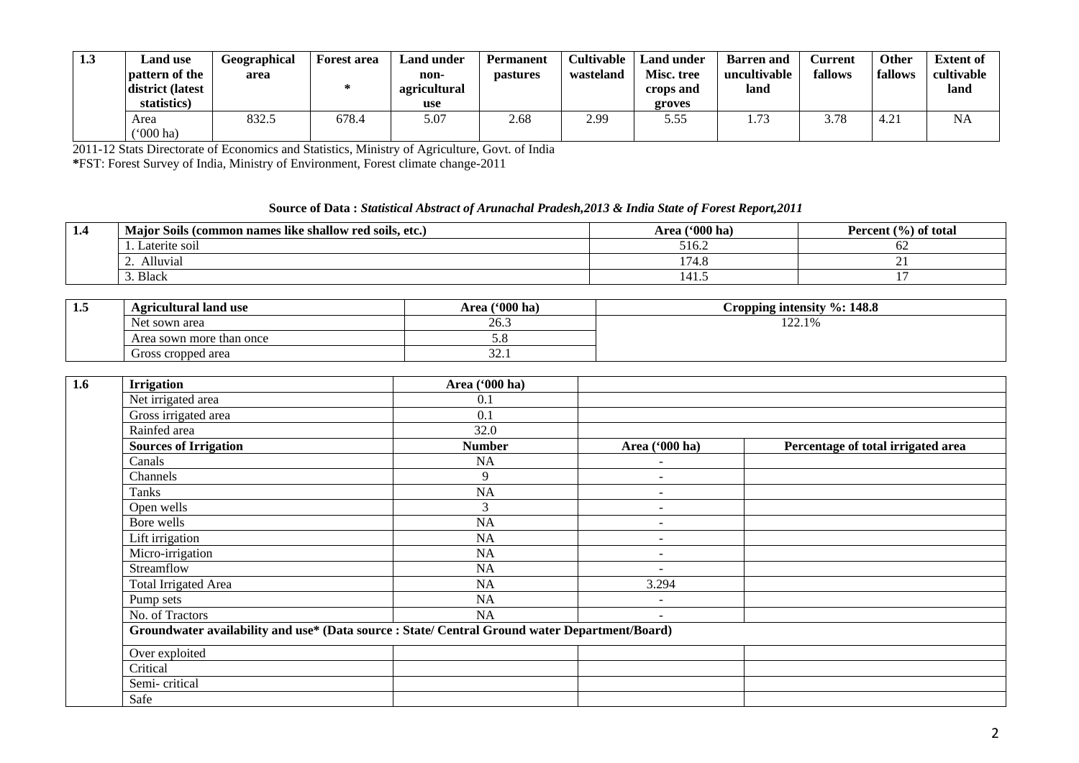| 1.3 | <b>Land use</b><br><b>pattern of the</b><br>district (latest<br>statistics) | Geographical<br>area | <b>Forest area</b><br>ж. | Land under<br>non-<br>agricultural<br>use | Permanent<br><i>pastures</i> | Cultivable<br>wasteland | <b>Land under</b><br>Misc. tree<br>crops and<br>groves | <b>Barren</b> and<br>uncultivable<br>land | <b>∪urrent</b> ∟<br>fallows | <b>Other</b><br>fallows | <b>Extent of</b><br>cultivable<br>land |
|-----|-----------------------------------------------------------------------------|----------------------|--------------------------|-------------------------------------------|------------------------------|-------------------------|--------------------------------------------------------|-------------------------------------------|-----------------------------|-------------------------|----------------------------------------|
|     | Area<br>$(900)$ ha)                                                         | 832.5                | 678.4                    | 5.07                                      | 2.68                         | 2.99                    | 5.55                                                   | $\overline{\phantom{a}}$                  | 3.78                        | 4.21                    | <b>NA</b>                              |

2011-12 Stats Directorate of Economics and Statistics, Ministry of Agriculture, Govt. of India

**\***FST: Forest Survey of India, Ministry of Environment, Forest climate change-2011

#### **Source of Data :** *Statistical Abstract of Arunachal Pradesh,2013 & India State of Forest Report,2011*

| 1.4 | Major Soils (common names like shallow red soils, etc.) | Area $(900 \text{ ha})$ | Percent (%) of total |
|-----|---------------------------------------------------------|-------------------------|----------------------|
|     | Laterite soil                                           | 516.2                   | OΖ                   |
|     | Alluvial                                                | .74.0                   | - -                  |
|     | <b>Black</b>                                            | 141.J                   |                      |

| 1.5 | Agricultural land use    | Area $(900)$ ha) | $\%:148.8$<br>Cropping intensity   |
|-----|--------------------------|------------------|------------------------------------|
|     | t sown area<br>Net       | 26.3             | 1 ລລ<br>10 <sub>6</sub><br>122.170 |
|     | Area sown more than once | J.O              |                                    |
|     | Gross cropped area       | n n<br>32.I      |                                    |

| 1.6 | <b>Irrigation</b>                                                                             | Area ('000 ha) |                          |                                    |
|-----|-----------------------------------------------------------------------------------------------|----------------|--------------------------|------------------------------------|
|     | Net irrigated area                                                                            | 0.1            |                          |                                    |
|     | Gross irrigated area                                                                          | 0.1            |                          |                                    |
|     | Rainfed area                                                                                  | 32.0           |                          |                                    |
|     | <b>Sources of Irrigation</b>                                                                  | <b>Number</b>  | Area ('000 ha)           | Percentage of total irrigated area |
|     | Canals                                                                                        | <b>NA</b>      |                          |                                    |
|     | Channels                                                                                      | 9              |                          |                                    |
|     | Tanks                                                                                         | NA             | $\overline{\phantom{a}}$ |                                    |
|     | Open wells                                                                                    | 3              |                          |                                    |
|     | Bore wells                                                                                    | NA             | $\overline{\phantom{a}}$ |                                    |
|     | Lift irrigation                                                                               | NA             |                          |                                    |
|     | Micro-irrigation                                                                              | NA             | $\overline{\phantom{a}}$ |                                    |
|     | Streamflow                                                                                    | NA             |                          |                                    |
|     | <b>Total Irrigated Area</b>                                                                   | NA             | 3.294                    |                                    |
|     | Pump sets                                                                                     | NA             |                          |                                    |
|     | No. of Tractors                                                                               | NA             | $\overline{\phantom{a}}$ |                                    |
|     | Groundwater availability and use* (Data source: State/ Central Ground water Department/Board) |                |                          |                                    |
|     | Over exploited                                                                                |                |                          |                                    |
|     | Critical                                                                                      |                |                          |                                    |
|     | Semi-critical                                                                                 |                |                          |                                    |
|     | Safe                                                                                          |                |                          |                                    |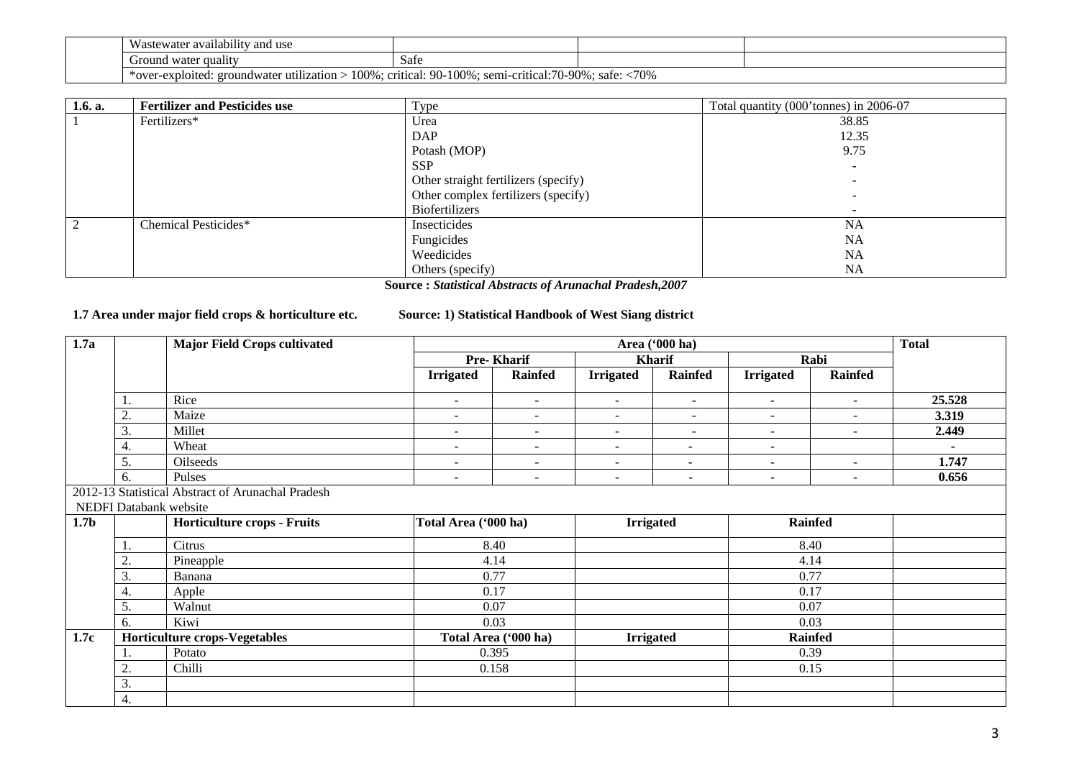| $\mathbf{v}$<br><br>vastewater availability and use                                                                                 |                               |  |  |  |  |
|-------------------------------------------------------------------------------------------------------------------------------------|-------------------------------|--|--|--|--|
| Ground<br>l water quality                                                                                                           | $\tilde{\phantom{a}}$<br>Safe |  |  |  |  |
| <70%<br>100%<br>:70-90%<br>$90-$<br>100%<br>. critical:<br>. semi-critical<br>*over-exploited.<br>safe<br>groundwater utilization : |                               |  |  |  |  |

| 1.6. a.        | <b>Fertilizer and Pesticides use</b> | Type                                 | Total quantity (000'tonnes) in 2006-07 |
|----------------|--------------------------------------|--------------------------------------|----------------------------------------|
|                | Fertilizers*                         | Urea                                 | 38.85                                  |
|                |                                      | DAP                                  | 12.35                                  |
|                |                                      | Potash (MOP)                         | 9.75                                   |
|                |                                      | <b>SSP</b>                           |                                        |
|                |                                      | Other straight fertilizers (specify) |                                        |
|                |                                      | Other complex fertilizers (specify)  |                                        |
|                |                                      | Biofertilizers                       |                                        |
| $\overline{2}$ | Chemical Pesticides*                 | Insecticides                         | <b>NA</b>                              |
|                |                                      | Fungicides                           | <b>NA</b>                              |
|                |                                      | Weedicides                           | <b>NA</b>                              |
|                |                                      | Others (specify)                     | <b>NA</b>                              |

**Source :** *Statistical Abstracts of Arunachal Pradesh,2007*

**1.7 Area under major field crops & horticulture etc. Source: 1) Statistical Handbook of West Siang district**

| 1.7a             |                        | <b>Major Field Crops cultivated</b>               | Area ('000 ha)           |                          |                          |                          |                          |                          | <b>Total</b> |
|------------------|------------------------|---------------------------------------------------|--------------------------|--------------------------|--------------------------|--------------------------|--------------------------|--------------------------|--------------|
|                  |                        |                                                   |                          | Pre-Kharif               |                          | Kharif                   |                          | Rabi                     |              |
|                  |                        |                                                   | <b>Irrigated</b>         | Rainfed                  | <b>Irrigated</b>         | <b>Rainfed</b>           | <b>Irrigated</b>         | <b>Rainfed</b>           |              |
|                  |                        | Rice                                              | $\overline{\phantom{a}}$ | $\overline{\phantom{a}}$ | $\sim$                   | $\sim$                   | $\sim$                   | $\overline{\phantom{a}}$ | 25.528       |
|                  | 2.                     | Maize                                             | $\overline{\phantom{a}}$ | $\blacksquare$           | $\overline{\phantom{a}}$ | $\overline{\phantom{a}}$ | $\overline{\phantom{a}}$ | $\overline{\phantom{a}}$ | 3.319        |
|                  | 3.                     | Millet                                            | $\overline{\phantom{a}}$ | $\overline{\phantom{a}}$ | $\overline{\phantom{a}}$ | $\overline{\phantom{a}}$ | $\overline{\phantom{a}}$ | $\overline{\phantom{a}}$ | 2.449        |
|                  | 4.                     | Wheat                                             | $\sim$                   | $\overline{\phantom{a}}$ | $\sim$                   | $\overline{\phantom{a}}$ | $\sim$                   |                          | $\sim$       |
|                  | 5.                     | Oilseeds                                          | $\overline{\phantom{a}}$ | $\overline{\phantom{a}}$ | $\sim$                   | $\overline{\phantom{a}}$ | $\sim$                   | $\overline{\phantom{a}}$ | 1.747        |
|                  | 6.                     | Pulses                                            | $\overline{\phantom{a}}$ | $\blacksquare$           | $\overline{\phantom{a}}$ | $\overline{\phantom{a}}$ | $\sim$                   | $\sim$                   | 0.656        |
|                  |                        | 2012-13 Statistical Abstract of Arunachal Pradesh |                          |                          |                          |                          |                          |                          |              |
|                  | NEDFI Databank website |                                                   |                          |                          |                          |                          |                          |                          |              |
| 1.7 <sub>b</sub> |                        | <b>Horticulture crops - Fruits</b>                | Total Area ('000 ha)     |                          | <b>Irrigated</b>         |                          |                          | <b>Rainfed</b>           |              |
|                  |                        | Citrus                                            |                          | 8.40                     |                          |                          |                          | 8.40                     |              |
|                  | 2.                     | Pineapple                                         |                          | 4.14                     |                          |                          |                          | 4.14                     |              |
|                  | 3.                     | Banana                                            |                          | 0.77                     |                          |                          | 0.77                     |                          |              |
|                  | 4.                     | Apple                                             |                          | 0.17                     |                          |                          |                          | 0.17                     |              |
|                  | 5.                     | Walnut                                            |                          | 0.07                     |                          |                          |                          | 0.07                     |              |
|                  | 6.                     | Kiwi                                              |                          | 0.03                     |                          |                          |                          | 0.03                     |              |
| 1.7c             |                        | Horticulture crops-Vegetables                     |                          | Total Area ('000 ha)     | <b>Irrigated</b>         |                          |                          | <b>Rainfed</b>           |              |
|                  |                        | Potato                                            |                          | 0.395                    |                          |                          |                          | 0.39                     |              |
|                  | 2.                     | Chilli                                            |                          | 0.158                    |                          |                          |                          | 0.15                     |              |
|                  | 3.                     |                                                   |                          |                          |                          |                          |                          |                          |              |
|                  | 4.                     |                                                   |                          |                          |                          |                          |                          |                          |              |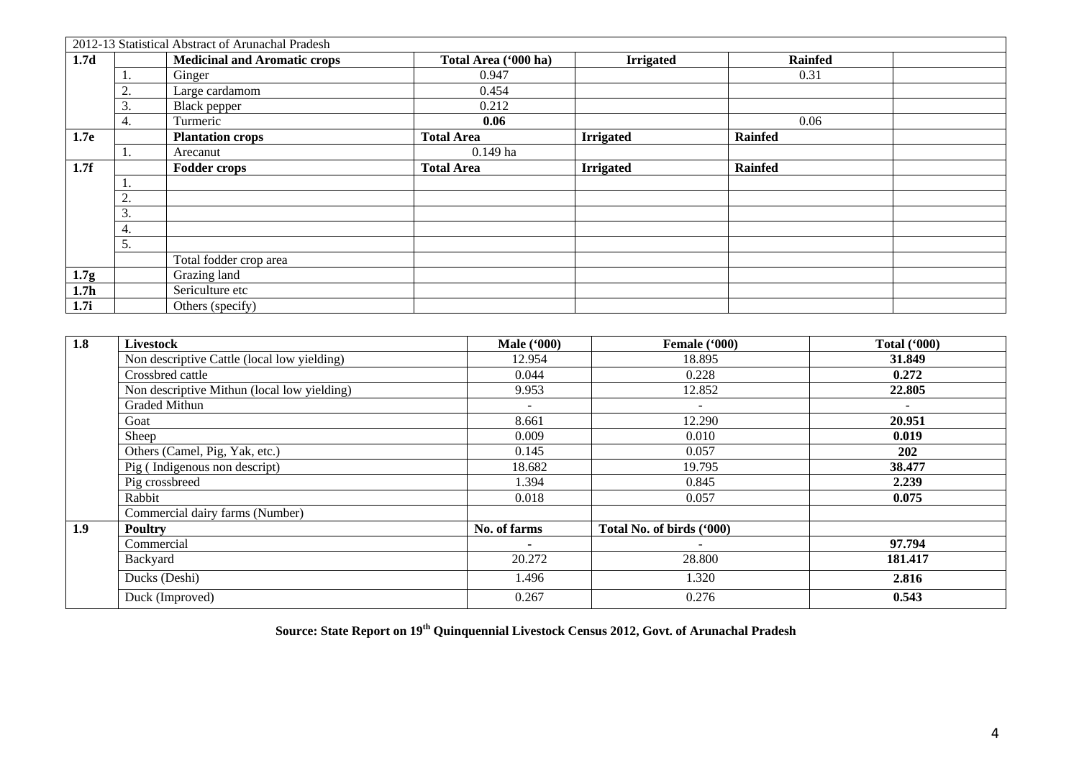|                  |                 | 2012-13 Statistical Abstract of Arunachal Pradesh |                      |                  |                |  |
|------------------|-----------------|---------------------------------------------------|----------------------|------------------|----------------|--|
| 1.7 <sub>d</sub> |                 | <b>Medicinal and Aromatic crops</b>               | Total Area ('000 ha) | <b>Irrigated</b> | <b>Rainfed</b> |  |
|                  | 1.              | Ginger                                            | 0.947                |                  | 0.31           |  |
|                  | $\bigcap$<br>۷. | Large cardamom                                    | 0.454                |                  |                |  |
|                  | 3.              | Black pepper                                      | 0.212                |                  |                |  |
|                  | 4.              | Turmeric                                          | 0.06                 |                  | 0.06           |  |
| 1.7e             |                 | <b>Plantation crops</b>                           | <b>Total Area</b>    | <b>Irrigated</b> | <b>Rainfed</b> |  |
|                  |                 | Arecanut                                          | $0.149$ ha           |                  |                |  |
| 1.7f             |                 | <b>Fodder crops</b>                               | <b>Total Area</b>    | <b>Irrigated</b> | Rainfed        |  |
|                  | .,              |                                                   |                      |                  |                |  |
|                  | $\bigcap$<br>٠. |                                                   |                      |                  |                |  |
|                  | 3.              |                                                   |                      |                  |                |  |
|                  | 4.              |                                                   |                      |                  |                |  |
|                  | 5.              |                                                   |                      |                  |                |  |
|                  |                 | Total fodder crop area                            |                      |                  |                |  |
| 1.7g             |                 | Grazing land                                      |                      |                  |                |  |
| 1.7 <sub>h</sub> |                 | Sericulture etc                                   |                      |                  |                |  |
| 1.7i             |                 | Others (specify)                                  |                      |                  |                |  |

| 1.8 | <b>Livestock</b>                            | <b>Male</b> ('000) | Female ('000)             | Total $(900)$ |
|-----|---------------------------------------------|--------------------|---------------------------|---------------|
|     | Non descriptive Cattle (local low yielding) | 12.954             | 18.895                    | 31.849        |
|     | Crossbred cattle                            | 0.044              | 0.228                     | 0.272         |
|     | Non descriptive Mithun (local low yielding) | 9.953              | 12.852                    | 22.805        |
|     | Graded Mithun                               |                    | $\sim$                    |               |
|     | Goat                                        | 8.661              | 12.290                    | 20.951        |
|     | Sheep                                       | 0.009              | 0.010                     | 0.019         |
|     | Others (Camel, Pig, Yak, etc.)              | 0.145              | 0.057                     | 202           |
|     | Pig (Indigenous non descript)               | 18.682             | 19.795                    | 38.477        |
|     | Pig crossbreed                              | 1.394              | 0.845                     | 2.239         |
|     | Rabbit                                      | 0.018              | 0.057                     | 0.075         |
|     | Commercial dairy farms (Number)             |                    |                           |               |
| 1.9 | <b>Poultry</b>                              | No. of farms       | Total No. of birds ('000) |               |
|     | Commercial                                  | ٠                  |                           | 97.794        |
|     | Backyard                                    | 20.272             | 28.800                    | 181.417       |
|     | Ducks (Deshi)                               | 1.496              | 1.320                     | 2.816         |
|     | Duck (Improved)                             | 0.267              | 0.276                     | 0.543         |

**Source: State Report on 19th Quinquennial Livestock Census 2012, Govt. of Arunachal Pradesh**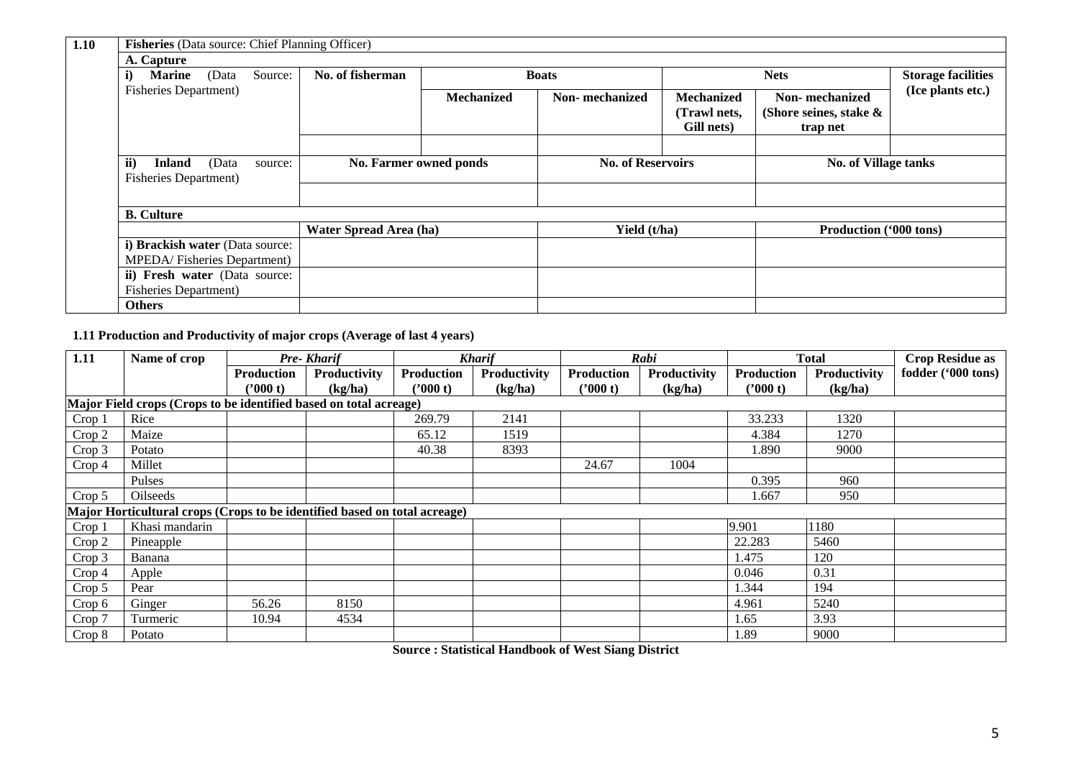| 1.10 |                                                                                     | Fisheries (Data source: Chief Planning Officer) |                             |                        |                          |                        |                                   |                                             |                   |  |
|------|-------------------------------------------------------------------------------------|-------------------------------------------------|-----------------------------|------------------------|--------------------------|------------------------|-----------------------------------|---------------------------------------------|-------------------|--|
|      | A. Capture                                                                          |                                                 |                             |                        |                          |                        |                                   |                                             |                   |  |
|      | <b>Marine</b><br>(Data<br>i)                                                        |                                                 | No. of fisherman<br>Source: |                        |                          | <b>Boats</b>           |                                   | <b>Storage facilities</b><br><b>Nets</b>    |                   |  |
|      | <b>Fisheries Department)</b>                                                        |                                                 |                             |                        | <b>Mechanized</b>        | <b>Non-</b> mechanized | <b>Mechanized</b><br>(Trawl nets, | Non-mechanized<br>(Shore seines, stake $\&$ | (Ice plants etc.) |  |
|      |                                                                                     |                                                 |                             |                        |                          |                        | Gill nets)                        | trap net                                    |                   |  |
|      |                                                                                     |                                                 |                             |                        |                          |                        |                                   |                                             |                   |  |
|      | $\mathbf{ii}$<br><b>Inland</b><br>(Data<br>source:<br><b>Fisheries Department</b> ) |                                                 | No. Farmer owned ponds      |                        | <b>No. of Reservoirs</b> |                        |                                   | <b>No. of Village tanks</b>                 |                   |  |
|      |                                                                                     |                                                 |                             |                        |                          |                        |                                   |                                             |                   |  |
|      |                                                                                     |                                                 |                             |                        |                          |                        |                                   |                                             |                   |  |
|      | <b>B.</b> Culture                                                                   |                                                 |                             |                        |                          |                        |                                   |                                             |                   |  |
|      |                                                                                     |                                                 |                             | Water Spread Area (ha) |                          | Yield (t/ha)           |                                   | Production ('000 tons)                      |                   |  |
|      | i) Brackish water (Data source:                                                     |                                                 |                             |                        |                          |                        |                                   |                                             |                   |  |
|      | MPEDA/Fisheries Department)                                                         |                                                 |                             |                        |                          |                        |                                   |                                             |                   |  |
|      | ii) Fresh water (Data source:                                                       |                                                 |                             |                        |                          |                        |                                   |                                             |                   |  |
|      | <b>Fisheries Department</b> )                                                       |                                                 |                             |                        |                          |                        |                                   |                                             |                   |  |
|      | <b>Others</b>                                                                       |                                                 |                             |                        |                          |                        |                                   |                                             |                   |  |

## **1.11 Production and Productivity of major crops (Average of last 4 years)**

| 1.11              | Name of crop                                                              |                   | Pre-Kharif   |                   | <b>Kharif</b> |                   | Rabi         |                   | <b>Total</b> | <b>Crop Residue as</b> |  |
|-------------------|---------------------------------------------------------------------------|-------------------|--------------|-------------------|---------------|-------------------|--------------|-------------------|--------------|------------------------|--|
|                   |                                                                           | <b>Production</b> | Productivity | <b>Production</b> | Productivity  | <b>Production</b> | Productivity | <b>Production</b> | Productivity | fodder ('000 tons)     |  |
|                   |                                                                           | $7000$ t)         | (kg/ha)      | $2000$ t)         | (kg/ha)       | 000(t)            | (kg/ha)      | 2000 t            | (kg/ha)      |                        |  |
|                   | Major Field crops (Crops to be identified based on total acreage)         |                   |              |                   |               |                   |              |                   |              |                        |  |
| Crop 1            | Rice                                                                      |                   |              | 269.79            | 2141          |                   |              | 33.233            | 1320         |                        |  |
| Crop 2            | Maize                                                                     |                   |              | 65.12             | 1519          |                   |              | 4.384             | 1270         |                        |  |
| Crop 3            | Potato                                                                    |                   |              | 40.38             | 8393          |                   |              | 1.890             | 9000         |                        |  |
| Crop <sub>4</sub> | Millet                                                                    |                   |              |                   |               | 24.67             | 1004         |                   |              |                        |  |
|                   | Pulses                                                                    |                   |              |                   |               |                   |              | 0.395             | 960          |                        |  |
| Crop 5            | Oilseeds                                                                  |                   |              |                   |               |                   |              | 1.667             | 950          |                        |  |
|                   | Major Horticultural crops (Crops to be identified based on total acreage) |                   |              |                   |               |                   |              |                   |              |                        |  |
| Crop <sub>1</sub> | Khasi mandarin                                                            |                   |              |                   |               |                   |              | 9.901             | 1180         |                        |  |
| Crop 2            | Pineapple                                                                 |                   |              |                   |               |                   |              | 22.283            | 5460         |                        |  |
| Crop 3            | Banana                                                                    |                   |              |                   |               |                   |              | 1.475             | 120          |                        |  |
| Crop 4            | Apple                                                                     |                   |              |                   |               |                   |              | 0.046             | 0.31         |                        |  |
| Crop 5            | Pear                                                                      |                   |              |                   |               |                   |              | 1.344             | 194          |                        |  |
| Crop 6            | Ginger                                                                    | 56.26             | 8150         |                   |               |                   |              | 4.961             | 5240         |                        |  |
| Crop 7            | Turmeric                                                                  | 10.94             | 4534         |                   |               |                   |              | 1.65              | 3.93         |                        |  |
| Crop 8            | Potato                                                                    |                   |              |                   |               |                   |              | 1.89              | 9000         |                        |  |

**Source : Statistical Handbook of West Siang District**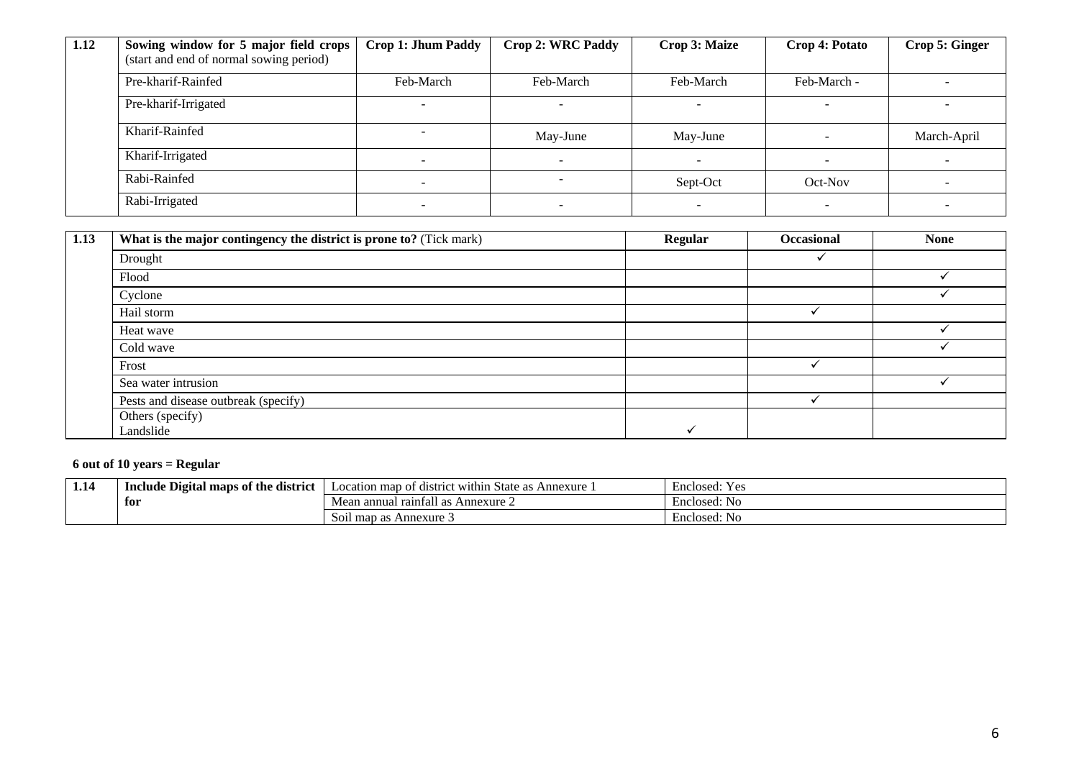| 1.12 | Sowing window for 5 major field crops   | <b>Crop 1: Jhum Paddy</b>    | <b>Crop 2: WRC Paddy</b> | Crop 3: Maize | Crop 4: Potato | Crop 5: Ginger |
|------|-----------------------------------------|------------------------------|--------------------------|---------------|----------------|----------------|
|      | (start and end of normal sowing period) |                              |                          |               |                |                |
|      | Pre-kharif-Rainfed                      | Feb-March                    | Feb-March                | Feb-March     | Feb-March -    |                |
|      | Pre-kharif-Irrigated                    |                              |                          |               |                |                |
|      | Kharif-Rainfed                          | -                            | May-June                 | May-June      |                | March-April    |
|      | Kharif-Irrigated                        | $\overline{\phantom{0}}$     | -                        |               |                |                |
|      | Rabi-Rainfed                            | $\qquad \qquad \blacksquare$ | -                        | Sept-Oct      | Oct-Nov        |                |
|      | Rabi-Irrigated                          |                              |                          |               |                |                |

| 1.13 | What is the major contingency the district is prone to? (Tick mark) | <b>Regular</b> | <b>Occasional</b> | <b>None</b> |
|------|---------------------------------------------------------------------|----------------|-------------------|-------------|
|      | Drought                                                             |                |                   |             |
|      | Flood                                                               |                |                   |             |
|      | Cyclone                                                             |                |                   |             |
|      | Hail storm                                                          |                |                   |             |
|      | Heat wave                                                           |                |                   |             |
|      | Cold wave                                                           |                |                   |             |
|      | Frost                                                               |                |                   |             |
|      | Sea water intrusion                                                 |                |                   |             |
|      | Pests and disease outbreak (specify)                                |                |                   |             |
|      | Others (specify)                                                    |                |                   |             |
|      | Landslide                                                           |                |                   |             |

## **6 out of 10 years = Regular**

| 1.14 | --<br>Include Digital maps of the<br>. district | $\cdots$<br>Location map of<br>Annexure<br>t within<br>. distri<br>State as. | Enclosed:<br>Yρς<br>工厂 |
|------|-------------------------------------------------|------------------------------------------------------------------------------|------------------------|
|      | for                                             | l raintall as .<br>Mean ar<br>Annexure $\angle$                              | Enclosed: No           |
|      |                                                 | $\cdot$ .<br>Annexure 3<br>Soil map as                                       | Enclosed: No           |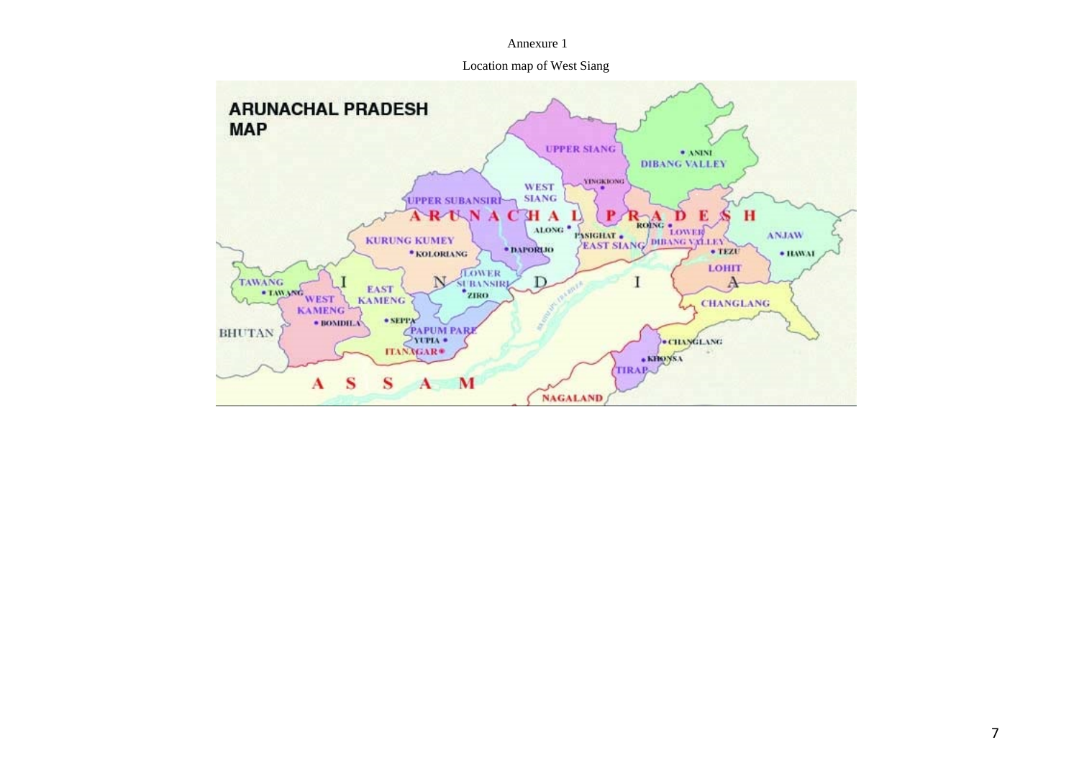#### Annexure 1

Location map of West Siang

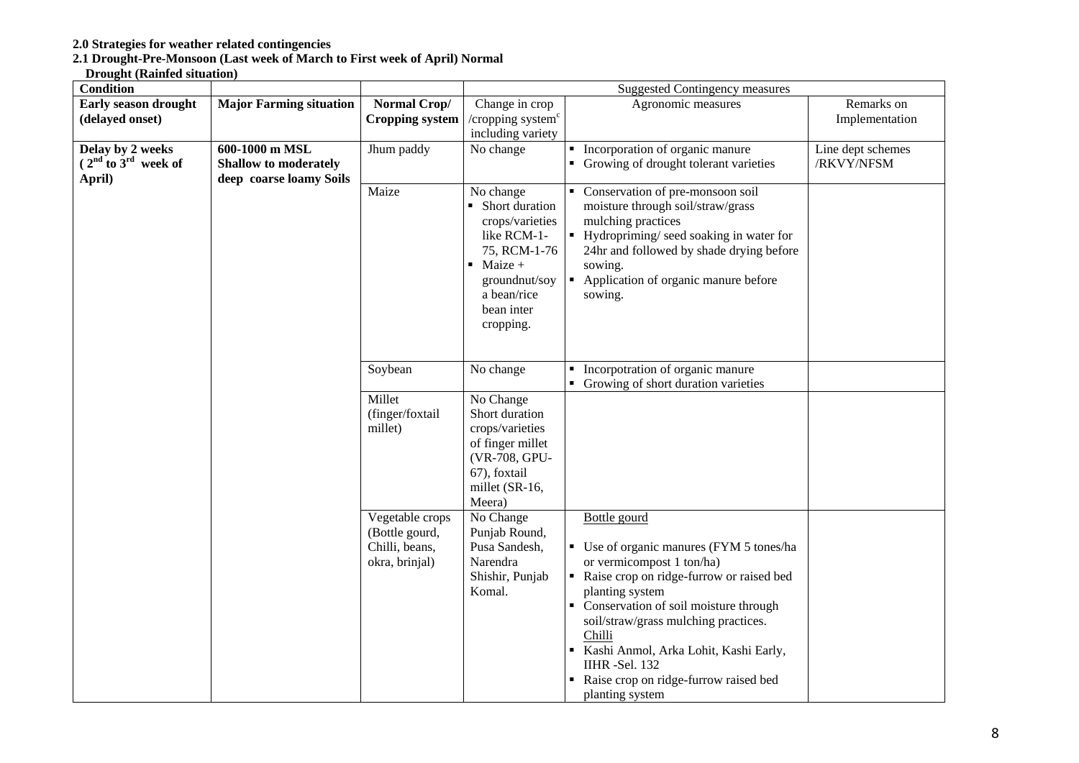#### **2.0 Strategies for weather related contingencies**

#### **2.1 Drought-Pre-Monsoon (Last week of March to First week of April) Normal**

#### **Drought (Rainfed situation)**

| <b>Condition</b>        |                                |                                                                       | <b>Suggested Contingency measures</b>                                                                                                                                |                                                                                                                                                                                                                                                                                                                                                                         |                   |  |
|-------------------------|--------------------------------|-----------------------------------------------------------------------|----------------------------------------------------------------------------------------------------------------------------------------------------------------------|-------------------------------------------------------------------------------------------------------------------------------------------------------------------------------------------------------------------------------------------------------------------------------------------------------------------------------------------------------------------------|-------------------|--|
| Early season drought    | <b>Major Farming situation</b> | Normal Crop/                                                          | Change in crop                                                                                                                                                       | Agronomic measures                                                                                                                                                                                                                                                                                                                                                      | Remarks on        |  |
| (delayed onset)         |                                | <b>Cropping system</b>                                                | / $c$ ropping system $c$                                                                                                                                             |                                                                                                                                                                                                                                                                                                                                                                         | Implementation    |  |
|                         |                                |                                                                       | including variety                                                                                                                                                    |                                                                                                                                                                                                                                                                                                                                                                         |                   |  |
| Delay by 2 weeks        | 600-1000 m MSL                 | Jhum paddy                                                            | No change                                                                                                                                                            | • Incorporation of organic manure                                                                                                                                                                                                                                                                                                                                       | Line dept schemes |  |
| $(2nd$ to $3rd$ week of | <b>Shallow to moderately</b>   |                                                                       |                                                                                                                                                                      | • Growing of drought tolerant varieties                                                                                                                                                                                                                                                                                                                                 | /RKVY/NFSM        |  |
| April)                  | deep coarse loamy Soils        |                                                                       |                                                                                                                                                                      |                                                                                                                                                                                                                                                                                                                                                                         |                   |  |
|                         |                                | Maize                                                                 | No change<br>• Short duration<br>crops/varieties<br>like RCM-1-<br>75, RCM-1-76<br>$\blacksquare$ Maize +<br>groundnut/soy<br>a bean/rice<br>bean inter<br>cropping. | • Conservation of pre-monsoon soil<br>moisture through soil/straw/grass<br>mulching practices<br>• Hydropriming/seed soaking in water for<br>24hr and followed by shade drying before<br>sowing.<br>Application of organic manure before<br>sowing.                                                                                                                     |                   |  |
|                         |                                | Soybean                                                               | No change                                                                                                                                                            | • Incorpotration of organic manure<br>• Growing of short duration varieties                                                                                                                                                                                                                                                                                             |                   |  |
|                         |                                | Millet<br>(finger/foxtail<br>millet)                                  | No Change<br>Short duration<br>crops/varieties<br>of finger millet<br>(VR-708, GPU-<br>67), foxtail<br>millet (SR-16,<br>Meera)                                      |                                                                                                                                                                                                                                                                                                                                                                         |                   |  |
|                         |                                | Vegetable crops<br>(Bottle gourd,<br>Chilli, beans,<br>okra, brinjal) | No Change<br>Punjab Round,<br>Pusa Sandesh,<br>Narendra<br>Shishir, Punjab<br>Komal.                                                                                 | Bottle gourd<br>• Use of organic manures (FYM 5 tones/ha<br>or vermicompost 1 ton/ha)<br>Raise crop on ridge-furrow or raised bed<br>planting system<br>• Conservation of soil moisture through<br>soil/straw/grass mulching practices.<br>Chilli<br>Kashi Anmol, Arka Lohit, Kashi Early,<br>IIHR-Sel. 132<br>Raise crop on ridge-furrow raised bed<br>planting system |                   |  |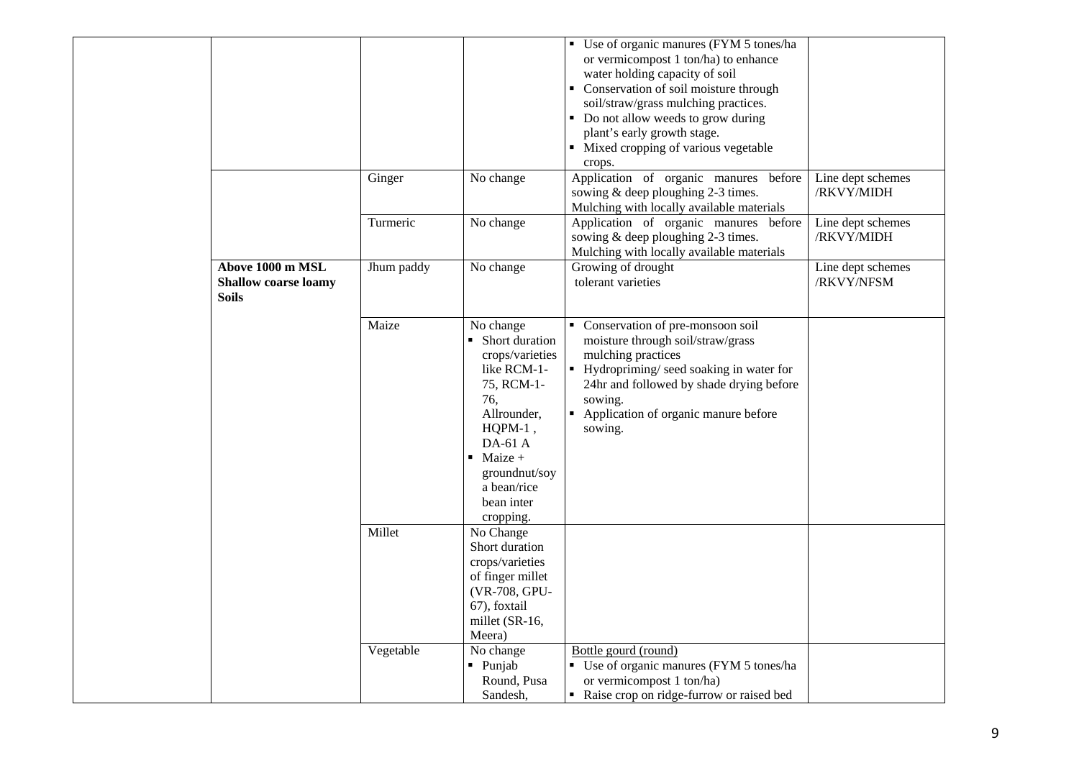|                                                                 |            |                                                                                                                                                                                                                    | • Use of organic manures (FYM 5 tones/ha<br>or vermicompost 1 ton/ha) to enhance<br>water holding capacity of soil<br>• Conservation of soil moisture through<br>soil/straw/grass mulching practices.<br>• Do not allow weeds to grow during<br>plant's early growth stage.<br>• Mixed cropping of various vegetable<br>crops. |                                 |
|-----------------------------------------------------------------|------------|--------------------------------------------------------------------------------------------------------------------------------------------------------------------------------------------------------------------|--------------------------------------------------------------------------------------------------------------------------------------------------------------------------------------------------------------------------------------------------------------------------------------------------------------------------------|---------------------------------|
|                                                                 | Ginger     | No change                                                                                                                                                                                                          | Application of organic manures before<br>sowing & deep ploughing 2-3 times.<br>Mulching with locally available materials                                                                                                                                                                                                       | Line dept schemes<br>/RKVY/MIDH |
|                                                                 | Turmeric   | No change                                                                                                                                                                                                          | Application of organic manures before<br>sowing & deep ploughing 2-3 times.<br>Mulching with locally available materials                                                                                                                                                                                                       | Line dept schemes<br>/RKVY/MIDH |
| Above 1000 m MSL<br><b>Shallow coarse loamy</b><br><b>Soils</b> | Jhum paddy | No change                                                                                                                                                                                                          | Growing of drought<br>tolerant varieties                                                                                                                                                                                                                                                                                       | Line dept schemes<br>/RKVY/NFSM |
|                                                                 | Maize      | No change<br>• Short duration<br>crops/varieties<br>like RCM-1-<br>75, RCM-1-<br>76,<br>Allrounder,<br>$HQPM-1$ ,<br>$DA-61A$<br>$\blacksquare$ Maize +<br>groundnut/soy<br>a bean/rice<br>bean inter<br>cropping. | Conservation of pre-monsoon soil<br>moisture through soil/straw/grass<br>mulching practices<br>• Hydropriming/ seed soaking in water for<br>24hr and followed by shade drying before<br>sowing.<br>• Application of organic manure before<br>sowing.                                                                           |                                 |
|                                                                 | Millet     | No Change<br>Short duration<br>crops/varieties<br>of finger millet<br>(VR-708, GPU-<br>67), foxtail<br>millet (SR-16,<br>Meera)                                                                                    |                                                                                                                                                                                                                                                                                                                                |                                 |
|                                                                 | Vegetable  | No change<br>- Punjab<br>Round, Pusa<br>Sandesh,                                                                                                                                                                   | Bottle gourd (round)<br>• Use of organic manures (FYM 5 tones/ha<br>or vermicompost 1 ton/ha)<br>• Raise crop on ridge-furrow or raised bed                                                                                                                                                                                    |                                 |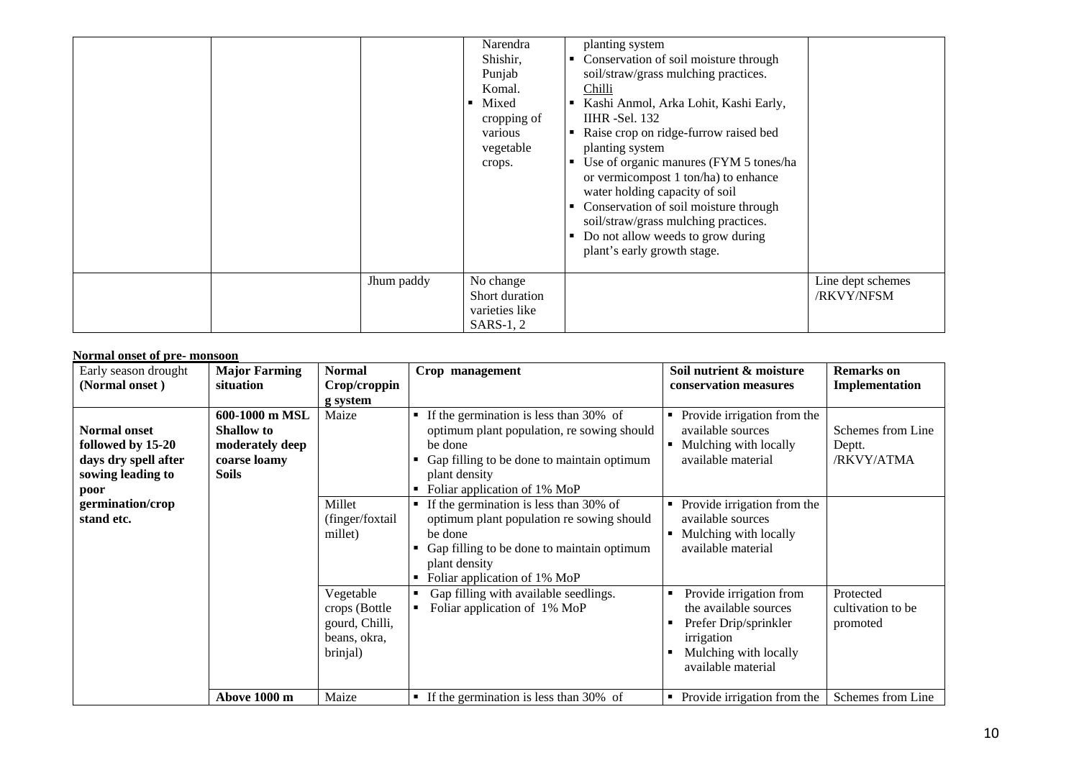|  |            | Narendra<br>Shishir,<br>Punjab<br>Komal.<br>Mixed<br>cropping of<br>various<br>vegetable<br>crops. | planting system<br>Conservation of soil moisture through<br>п.<br>soil/straw/grass mulching practices.<br>Chilli<br>Kashi Anmol, Arka Lohit, Kashi Early,<br>IIHR - Sel. $132$<br>Raise crop on ridge-furrow raised bed<br>planting system<br>Use of organic manures (FYM 5 tones/ha<br>or vermicompost 1 ton/ha) to enhance<br>water holding capacity of soil<br>Conservation of soil moisture through<br>soil/straw/grass mulching practices.<br>Do not allow weeds to grow during<br>plant's early growth stage. |                                 |
|--|------------|----------------------------------------------------------------------------------------------------|---------------------------------------------------------------------------------------------------------------------------------------------------------------------------------------------------------------------------------------------------------------------------------------------------------------------------------------------------------------------------------------------------------------------------------------------------------------------------------------------------------------------|---------------------------------|
|  | Jhum paddy | No change<br>Short duration<br>varieties like<br>SARS-1, 2                                         |                                                                                                                                                                                                                                                                                                                                                                                                                                                                                                                     | Line dept schemes<br>/RKVY/NFSM |

#### **Normal onset of pre- monsoon**

| Early season drought<br>(Normal onset)                                                        | <b>Major Farming</b><br>situation                                                      | <b>Normal</b><br>Crop/croppin<br>g system                                | Crop management                                                                                                                                                                                     | Soil nutrient & moisture<br>conservation measures                                                                                      | <b>Remarks</b> on<br>Implementation        |
|-----------------------------------------------------------------------------------------------|----------------------------------------------------------------------------------------|--------------------------------------------------------------------------|-----------------------------------------------------------------------------------------------------------------------------------------------------------------------------------------------------|----------------------------------------------------------------------------------------------------------------------------------------|--------------------------------------------|
| <b>Normal onset</b><br>followed by 15-20<br>days dry spell after<br>sowing leading to<br>poor | 600-1000 m MSL<br><b>Shallow</b> to<br>moderately deep<br>coarse loamy<br><b>Soils</b> | Maize                                                                    | If the germination is less than 30% of<br>٠<br>optimum plant population, re sowing should<br>be done<br>Gap filling to be done to maintain optimum<br>plant density<br>Foliar application of 1% MoP | • Provide irrigation from the<br>available sources<br>Mulching with locally<br>available material                                      | Schemes from Line<br>Deptt.<br>/RKVY/ATMA  |
| germination/crop<br>stand etc.                                                                |                                                                                        | Millet<br>(finger/foxtail<br>millet)                                     | If the germination is less than 30% of<br>optimum plant population re sowing should<br>be done<br>Gap filling to be done to maintain optimum<br>plant density<br>Foliar application of 1% MoP       | • Provide irrigation from the<br>available sources<br>Mulching with locally<br>available material                                      |                                            |
|                                                                                               |                                                                                        | Vegetable<br>crops (Bottle<br>gourd, Chilli,<br>beans, okra,<br>brinjal) | Gap filling with available seedlings.<br>Foliar application of 1% MoP                                                                                                                               | Provide irrigation from<br>the available sources<br>Prefer Drip/sprinkler<br>irrigation<br>Mulching with locally<br>available material | Protected<br>cultivation to be<br>promoted |
|                                                                                               | Above 1000 m                                                                           | Maize                                                                    | If the germination is less than 30% of                                                                                                                                                              | • Provide irrigation from the                                                                                                          | Schemes from Line                          |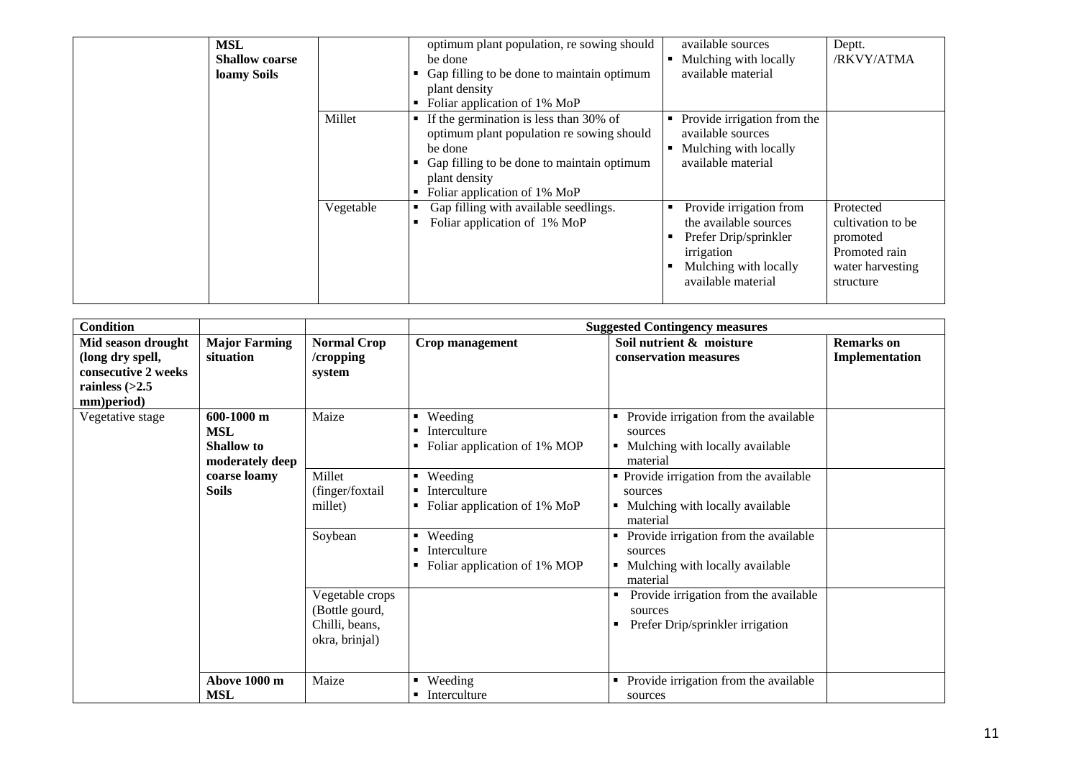| <b>MSL</b><br><b>Shallow coarse</b><br>loamy Soils |           | optimum plant population, re sowing should<br>be done<br>Gap filling to be done to maintain optimum<br>plant density<br>Foliar application of 1% MoP                                                         | available sources<br>Mulching with locally<br>available material                                                                       | Deptt.<br>/RKVY/ATMA                                                                         |
|----------------------------------------------------|-----------|--------------------------------------------------------------------------------------------------------------------------------------------------------------------------------------------------------------|----------------------------------------------------------------------------------------------------------------------------------------|----------------------------------------------------------------------------------------------|
|                                                    | Millet    | $\blacksquare$ If the germination is less than 30% of<br>optimum plant population re sowing should<br>be done<br>Gap filling to be done to maintain optimum<br>plant density<br>Foliar application of 1% MoP | Provide irrigation from the<br>available sources<br>Mulching with locally<br>available material                                        |                                                                                              |
|                                                    | Vegetable | Gap filling with available seedlings.<br>Foliar application of 1% MoP                                                                                                                                        | Provide irrigation from<br>the available sources<br>Prefer Drip/sprinkler<br>irrigation<br>Mulching with locally<br>available material | Protected<br>cultivation to be<br>promoted<br>Promoted rain<br>water harvesting<br>structure |

| <b>Condition</b>    |                      |                    | <b>Suggested Contingency measures</b> |                                            |                   |  |  |
|---------------------|----------------------|--------------------|---------------------------------------|--------------------------------------------|-------------------|--|--|
| Mid season drought  | <b>Major Farming</b> | <b>Normal Crop</b> | Crop management                       | Soil nutrient & moisture                   | <b>Remarks</b> on |  |  |
| (long dry spell,    | situation            | /cropping          |                                       | conservation measures                      | Implementation    |  |  |
| consecutive 2 weeks |                      | system             |                                       |                                            |                   |  |  |
| rainless $(>2.5$    |                      |                    |                                       |                                            |                   |  |  |
| mm)period)          |                      |                    |                                       |                                            |                   |  |  |
| Vegetative stage    | 600-1000 m           | Maize              | Weeding<br>٠                          | Provide irrigation from the available<br>٠ |                   |  |  |
|                     | <b>MSL</b>           |                    | Interculture<br>$\blacksquare$        | sources                                    |                   |  |  |
|                     | <b>Shallow</b> to    |                    | Foliar application of 1% MOP          | Mulching with locally available            |                   |  |  |
|                     | moderately deep      |                    |                                       | material                                   |                   |  |  |
|                     | coarse loamy         | Millet             | Weeding<br>٠                          | • Provide irrigation from the available    |                   |  |  |
|                     | <b>Soils</b>         | (finger/foxtail    | Interculture                          | sources                                    |                   |  |  |
|                     |                      | millet)            | Foliar application of 1% MoP          | Mulching with locally available            |                   |  |  |
|                     |                      |                    |                                       | material                                   |                   |  |  |
|                     |                      | Soybean            | Weeding<br>٠                          | Provide irrigation from the available      |                   |  |  |
|                     |                      |                    | Interculture<br>$\blacksquare$        | sources                                    |                   |  |  |
|                     |                      |                    | Foliar application of 1% MOP          | Mulching with locally available            |                   |  |  |
|                     |                      |                    |                                       | material                                   |                   |  |  |
|                     |                      | Vegetable crops    |                                       | Provide irrigation from the available      |                   |  |  |
|                     |                      | (Bottle gourd,     |                                       | sources                                    |                   |  |  |
|                     |                      | Chilli, beans,     |                                       | Prefer Drip/sprinkler irrigation<br>п      |                   |  |  |
|                     |                      | okra, brinjal)     |                                       |                                            |                   |  |  |
|                     |                      |                    |                                       |                                            |                   |  |  |
|                     |                      |                    |                                       |                                            |                   |  |  |
|                     | Above 1000 m         | Maize              | Weeding<br>٠                          | Provide irrigation from the available      |                   |  |  |
|                     | <b>MSL</b>           |                    | • Interculture                        | sources                                    |                   |  |  |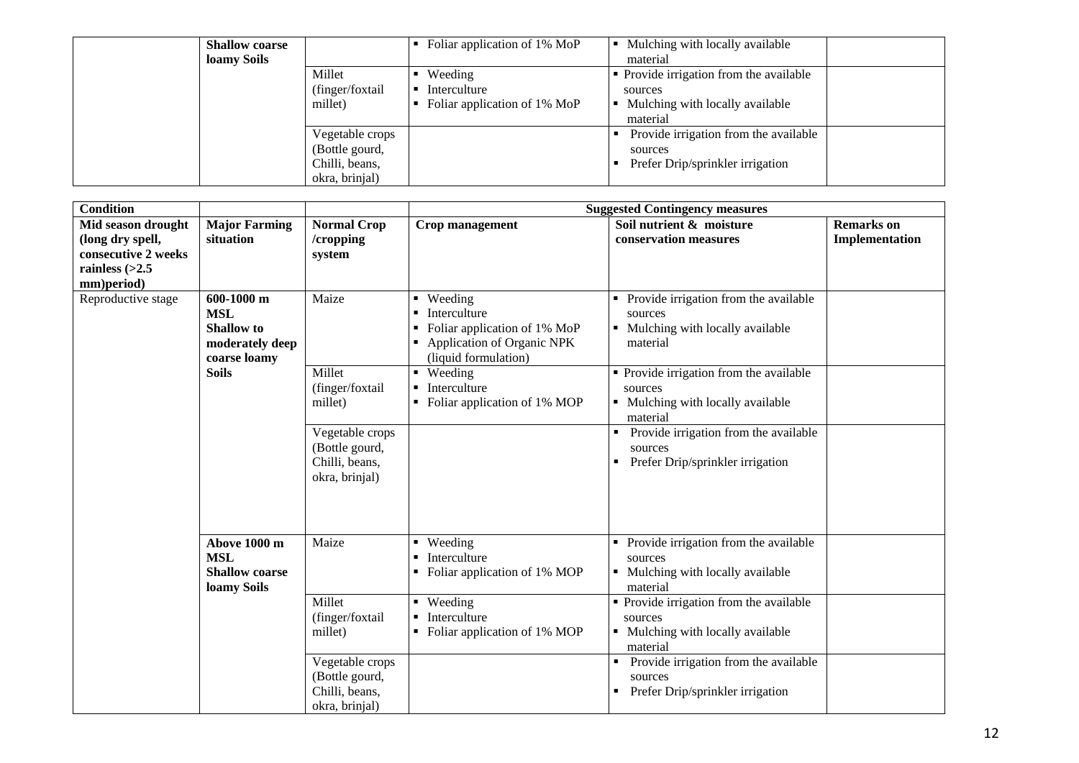| <b>Shallow coarse</b><br>loamy Soils |                  | • Foliar application of $1\%$ MoP | Mulching with locally available<br>material |  |
|--------------------------------------|------------------|-----------------------------------|---------------------------------------------|--|
|                                      | Millet           | Weeding<br>٠                      | • Provide irrigation from the available     |  |
|                                      | (finger/foxtail) | Interculture                      | sources                                     |  |
|                                      | millet)          | Foliar application of 1% MoP<br>٠ | Mulching with locally available             |  |
|                                      |                  |                                   | material                                    |  |
|                                      | Vegetable crops  |                                   | Provide irrigation from the available       |  |
|                                      | (Bottle gourd,   |                                   | sources                                     |  |
|                                      | Chilli, beans,   |                                   | Prefer Drip/sprinkler irrigation            |  |
|                                      | okra, brinjal)   |                                   |                                             |  |

| <b>Condition</b>                                                                  |                                                                                  |                                                                       | <b>Suggested Contingency measures</b>                                                                                                                  |                                                                                                        |                                     |  |  |
|-----------------------------------------------------------------------------------|----------------------------------------------------------------------------------|-----------------------------------------------------------------------|--------------------------------------------------------------------------------------------------------------------------------------------------------|--------------------------------------------------------------------------------------------------------|-------------------------------------|--|--|
| Mid season drought<br>(long dry spell,<br>consecutive 2 weeks<br>rainless $(>2.5$ | <b>Major Farming</b><br>situation                                                | <b>Normal Crop</b><br>/cropping<br>system                             | Crop management                                                                                                                                        | Soil nutrient & moisture<br>conservation measures                                                      | <b>Remarks</b> on<br>Implementation |  |  |
| mm)period)<br>Reproductive stage                                                  | 600-1000 m<br><b>MSL</b><br><b>Shallow</b> to<br>moderately deep<br>coarse loamy | Maize                                                                 | Weeding<br>٠<br>Interculture<br>$\blacksquare$<br>Foliar application of 1% MoP<br>$\blacksquare$<br>Application of Organic NPK<br>(liquid formulation) | Provide irrigation from the available<br>٠<br>sources<br>• Mulching with locally available<br>material |                                     |  |  |
|                                                                                   | <b>Soils</b>                                                                     | Millet<br>(finger/foxtail<br>millet)                                  | Weeding<br>$\blacksquare$<br>Interculture<br>Foliar application of 1% MOP                                                                              | • Provide irrigation from the available<br>sources<br>• Mulching with locally available<br>material    |                                     |  |  |
|                                                                                   |                                                                                  | Vegetable crops<br>(Bottle gourd,<br>Chilli, beans,<br>okra, brinjal) |                                                                                                                                                        | Provide irrigation from the available<br>sources<br>Prefer Drip/sprinkler irrigation                   |                                     |  |  |
|                                                                                   | Above 1000 m<br><b>MSL</b><br><b>Shallow coarse</b><br>loamy Soils               | Maize                                                                 | Weeding<br>٠<br>Interculture<br>Foliar application of 1% MOP                                                                                           | Provide irrigation from the available<br>sources<br>• Mulching with locally available<br>material      |                                     |  |  |
|                                                                                   |                                                                                  | Millet<br>(finger/foxtail<br>millet)                                  | Weeding<br>$\blacksquare$<br>Interculture<br>$\blacksquare$<br>Foliar application of 1% MOP                                                            | • Provide irrigation from the available<br>sources<br>• Mulching with locally available<br>material    |                                     |  |  |
|                                                                                   |                                                                                  | Vegetable crops<br>(Bottle gourd,<br>Chilli, beans,<br>okra, brinjal) |                                                                                                                                                        | Provide irrigation from the available<br>sources<br>Prefer Drip/sprinkler irrigation                   |                                     |  |  |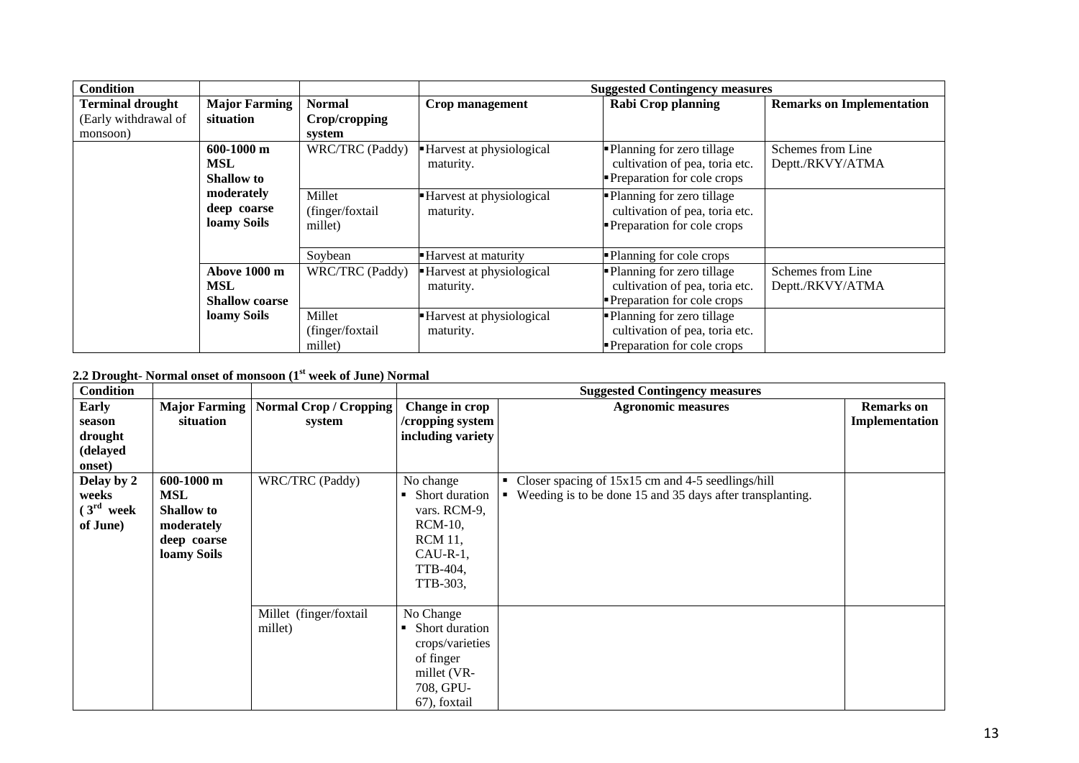| <b>Condition</b>        |                       |                  |                            | <b>Suggested Contingency measures</b> |                                  |
|-------------------------|-----------------------|------------------|----------------------------|---------------------------------------|----------------------------------|
| <b>Terminal drought</b> | <b>Major Farming</b>  | <b>Normal</b>    | Crop management            | <b>Rabi Crop planning</b>             | <b>Remarks on Implementation</b> |
| (Early withdrawal of    | situation             | Crop/cropping    |                            |                                       |                                  |
| monsoon)                |                       | system           |                            |                                       |                                  |
|                         | $600-1000$ m          | WRC/TRC (Paddy)  | Harvest at physiological   | • Planning for zero tillage           | Schemes from Line                |
|                         | MSL                   |                  | maturity.                  | cultivation of pea, toria etc.        | Deptt./RKVY/ATMA                 |
|                         | <b>Shallow</b> to     |                  |                            | Preparation for cole crops            |                                  |
|                         | moderately            | Millet           | Harvest at physiological   | Planning for zero tillage             |                                  |
|                         | deep coarse           | (finger/foxtail  | maturity.                  | cultivation of pea, toria etc.        |                                  |
|                         | loamy Soils           | millet)          |                            | Preparation for cole crops            |                                  |
|                         |                       |                  |                            |                                       |                                  |
|                         |                       | Soybean          | <b>Harvest at maturity</b> | -Planning for cole crops              |                                  |
|                         | Above 1000 m          | WRC/TRC (Paddy)  | - Harvest at physiological | • Planning for zero tillage           | Schemes from Line                |
|                         | MSL                   |                  | maturity.                  | cultivation of pea, toria etc.        | Deptt./RKVY/ATMA                 |
|                         | <b>Shallow coarse</b> |                  |                            | Preparation for cole crops            |                                  |
|                         | loamy Soils           | Millet           | Harvest at physiological   | -Planning for zero tillage            |                                  |
|                         |                       | (finger/foxtail) | maturity.                  | cultivation of pea, toria etc.        |                                  |
|                         |                       | millet)          |                            | <b>Preparation for cole crops</b>     |                                  |

# **2.2 Drought**- **Normal onset of monsoon (1st week of June) Normal**

| <b>Condition</b>                                                        |                                                                               |                                   |                                                                                                                        | <b>Suggested Contingency measures</b>                                                                                            |                                     |
|-------------------------------------------------------------------------|-------------------------------------------------------------------------------|-----------------------------------|------------------------------------------------------------------------------------------------------------------------|----------------------------------------------------------------------------------------------------------------------------------|-------------------------------------|
| <b>Early</b><br>season<br>drought<br>(delayed<br>onset)                 | <b>Major Farming</b><br>situation                                             | Normal Crop / Cropping<br>system  | Change in crop<br>/cropping system<br>including variety                                                                | <b>Agronomic measures</b>                                                                                                        | <b>Remarks</b> on<br>Implementation |
| Delay by 2<br><b>MSL</b><br>weeks<br>(3 <sup>rd</sup> week)<br>of June) | $600-1000$ m<br><b>Shallow</b> to<br>moderately<br>deep coarse<br>loamy Soils | WRC/TRC (Paddy)                   | No change<br>Short duration<br>vars. RCM-9,<br><b>RCM-10,</b><br><b>RCM</b> 11,<br>$CAU-R-1$ ,<br>TTB-404,<br>TTB-303, | Closer spacing of 15x15 cm and 4-5 seedlings/hill<br>Weeding is to be done 15 and 35 days after transplanting.<br>$\blacksquare$ |                                     |
|                                                                         |                                                                               | Millet (finger/foxtail<br>millet) | No Change<br>Short duration<br>crops/varieties<br>of finger<br>millet (VR-<br>708, GPU-<br>67), foxtail                |                                                                                                                                  |                                     |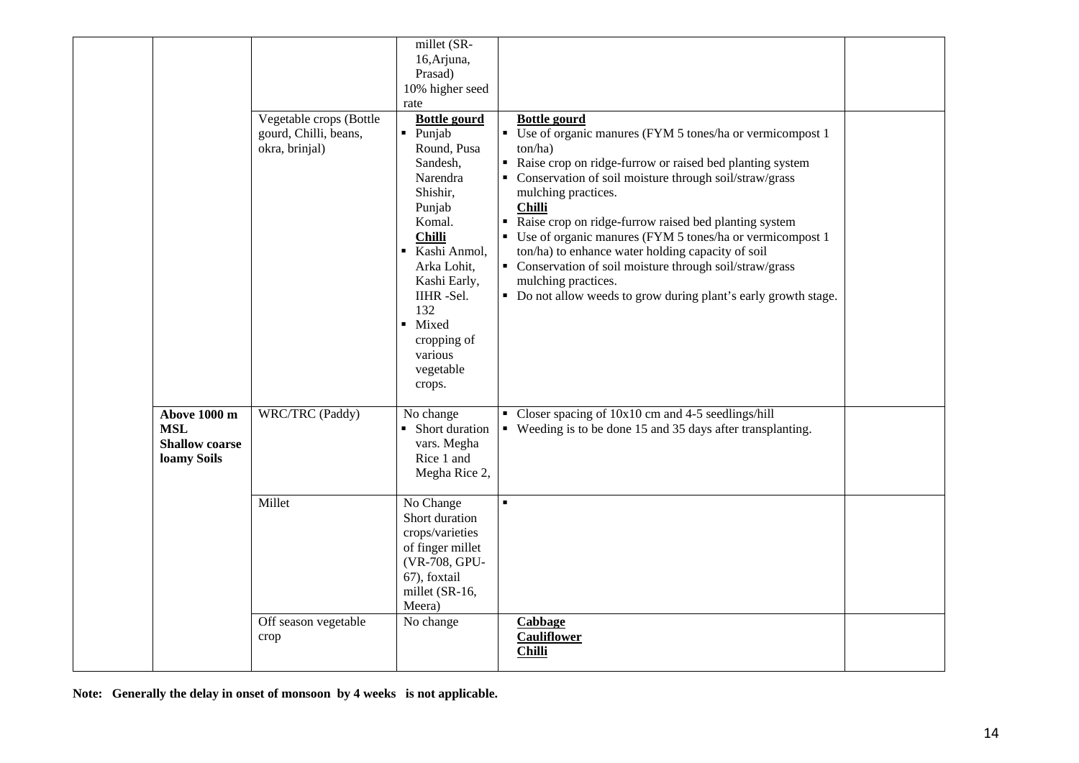|                                                                    | Vegetable crops (Bottle<br>gourd, Chilli, beans,<br>okra, brinjal) | millet (SR-<br>16, Arjuna,<br>Prasad)<br>10% higher seed<br>rate<br><b>Bottle gourd</b><br>$\blacksquare$ Punjab<br>Round, Pusa<br>Sandesh.<br>Narendra<br>Shishir,<br>Punjab<br>Komal.<br><b>Chilli</b><br>Kashi Anmol,<br>$\blacksquare$<br>Arka Lohit,<br>Kashi Early,<br>IIHR-Sel.<br>132<br>Mixed<br>٠<br>cropping of<br>various<br>vegetable<br>crops. | <b>Bottle gourd</b><br>• Use of organic manures (FYM 5 tones/ha or vermicompost 1<br>ton/ha)<br>Raise crop on ridge-furrow or raised bed planting system<br>• Conservation of soil moisture through soil/straw/grass<br>mulching practices.<br><b>Chilli</b><br>Raise crop on ridge-furrow raised bed planting system<br>• Use of organic manures (FYM 5 tones/ha or vermicompost 1<br>ton/ha) to enhance water holding capacity of soil<br>• Conservation of soil moisture through soil/straw/grass<br>mulching practices.<br>• Do not allow weeds to grow during plant's early growth stage. |  |
|--------------------------------------------------------------------|--------------------------------------------------------------------|--------------------------------------------------------------------------------------------------------------------------------------------------------------------------------------------------------------------------------------------------------------------------------------------------------------------------------------------------------------|------------------------------------------------------------------------------------------------------------------------------------------------------------------------------------------------------------------------------------------------------------------------------------------------------------------------------------------------------------------------------------------------------------------------------------------------------------------------------------------------------------------------------------------------------------------------------------------------|--|
| Above 1000 m<br><b>MSL</b><br><b>Shallow coarse</b><br>loamy Soils | WRC/TRC (Paddy)                                                    | No change<br>• Short duration<br>vars. Megha<br>Rice 1 and<br>Megha Rice 2,                                                                                                                                                                                                                                                                                  | Closer spacing of $10x10$ cm and 4-5 seedlings/hill<br>• Weeding is to be done 15 and 35 days after transplanting.                                                                                                                                                                                                                                                                                                                                                                                                                                                                             |  |
|                                                                    | Millet                                                             | No Change<br>Short duration<br>crops/varieties<br>of finger millet<br>(VR-708, GPU-<br>67), foxtail<br>millet (SR-16,<br>Meera)                                                                                                                                                                                                                              |                                                                                                                                                                                                                                                                                                                                                                                                                                                                                                                                                                                                |  |
|                                                                    | Off season vegetable<br>crop                                       | No change                                                                                                                                                                                                                                                                                                                                                    | Cabbage<br><b>Cauliflower</b><br><b>Chilli</b>                                                                                                                                                                                                                                                                                                                                                                                                                                                                                                                                                 |  |

**Note: Generally the delay in onset of monsoon by 4 weeks is not applicable.**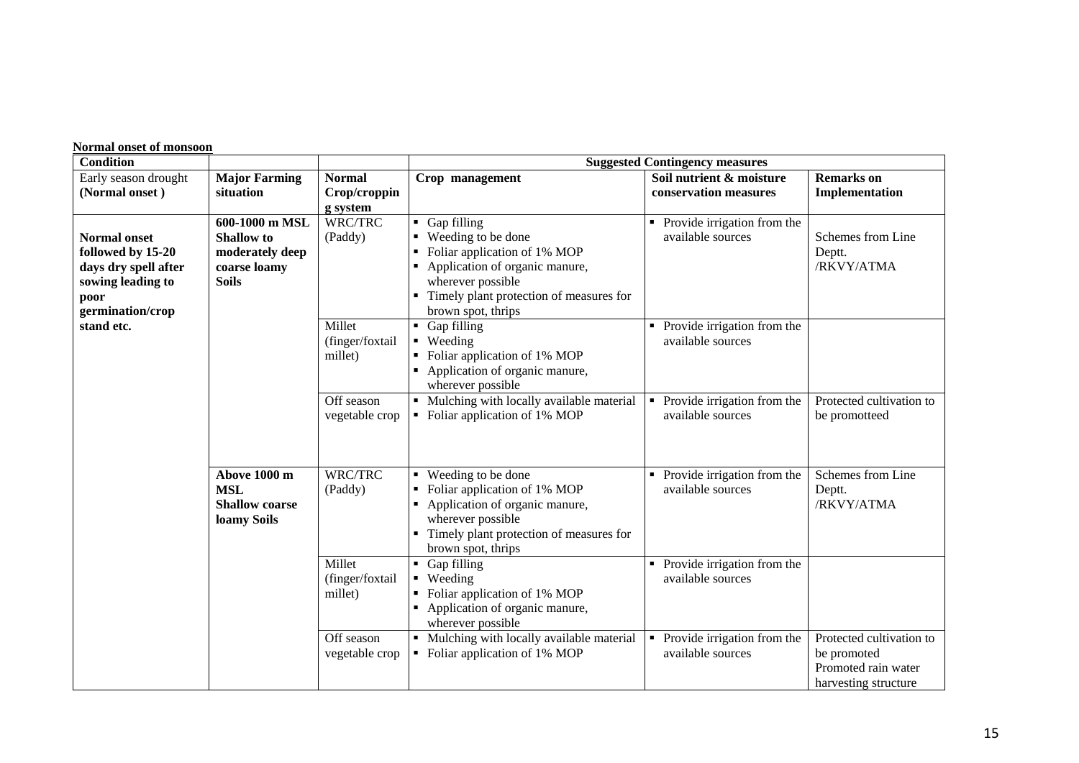| <b>Condition</b>                                           |                    |                                                     | <b>Suggested Contingency measures</b>            |                          |
|------------------------------------------------------------|--------------------|-----------------------------------------------------|--------------------------------------------------|--------------------------|
| Early season drought<br><b>Major Farming</b>               | <b>Normal</b>      | Crop management                                     | Soil nutrient & moisture                         | <b>Remarks</b> on        |
| (Normal onset)<br>situation                                | Crop/croppin       |                                                     | conservation measures                            | Implementation           |
|                                                            | g system           |                                                     |                                                  |                          |
| 600-1000 m MSL<br><b>Normal onset</b><br><b>Shallow</b> to | WRC/TRC<br>(Paddy) | Gap filling<br>■ Weeding to be done                 | Provide irrigation from the<br>available sources | Schemes from Line        |
| followed by 15-20<br>moderately deep                       |                    | Foliar application of 1% MOP                        |                                                  | Deptt.                   |
| days dry spell after<br>coarse loamy                       |                    | Application of organic manure,                      |                                                  | /RKVY/ATMA               |
| sowing leading to<br><b>Soils</b>                          |                    | wherever possible                                   |                                                  |                          |
| poor                                                       |                    | Timely plant protection of measures for             |                                                  |                          |
| germination/crop                                           |                    | brown spot, thrips                                  |                                                  |                          |
| stand etc.                                                 | Millet             | Gap filling<br>п.                                   | Provide irrigation from the<br>$\blacksquare$    |                          |
|                                                            | (finger/foxtail    | • Weeding                                           | available sources                                |                          |
|                                                            | millet)            | Foliar application of 1% MOP                        |                                                  |                          |
|                                                            |                    | • Application of organic manure,                    |                                                  |                          |
|                                                            |                    | wherever possible                                   |                                                  |                          |
|                                                            | Off season         | • Mulching with locally available material          | Provide irrigation from the<br>$\blacksquare$    | Protected cultivation to |
|                                                            | vegetable crop     | • Foliar application of 1% MOP                      | available sources                                | be promotteed            |
|                                                            |                    |                                                     |                                                  |                          |
|                                                            |                    |                                                     |                                                  |                          |
| Above 1000 m                                               | WRC/TRC            | • Weeding to be done                                | Provide irrigation from the                      | Schemes from Line        |
| <b>MSL</b>                                                 | (Paddy)            | • Foliar application of 1% MOP                      | available sources                                | Deptt.                   |
| <b>Shallow coarse</b>                                      |                    | Application of organic manure,                      |                                                  | /RKVY/ATMA               |
| loamy Soils                                                |                    | wherever possible                                   |                                                  |                          |
|                                                            |                    | Timely plant protection of measures for             |                                                  |                          |
|                                                            |                    | brown spot, thrips                                  |                                                  |                          |
|                                                            | Millet             | • Gap filling                                       | Provide irrigation from the<br>$\blacksquare$    |                          |
|                                                            | (finger/foxtail    | • Weeding                                           | available sources                                |                          |
|                                                            | millet)            | Foliar application of 1% MOP                        |                                                  |                          |
|                                                            |                    | Application of organic manure,<br>wherever possible |                                                  |                          |
|                                                            | Off season         | Mulching with locally available material            | Provide irrigation from the<br>$\blacksquare$    | Protected cultivation to |
|                                                            | vegetable crop     | • Foliar application of 1% MOP                      | available sources                                | be promoted              |
|                                                            |                    |                                                     |                                                  | Promoted rain water      |
|                                                            |                    |                                                     |                                                  | harvesting structure     |

#### **Normal onset of monsoon**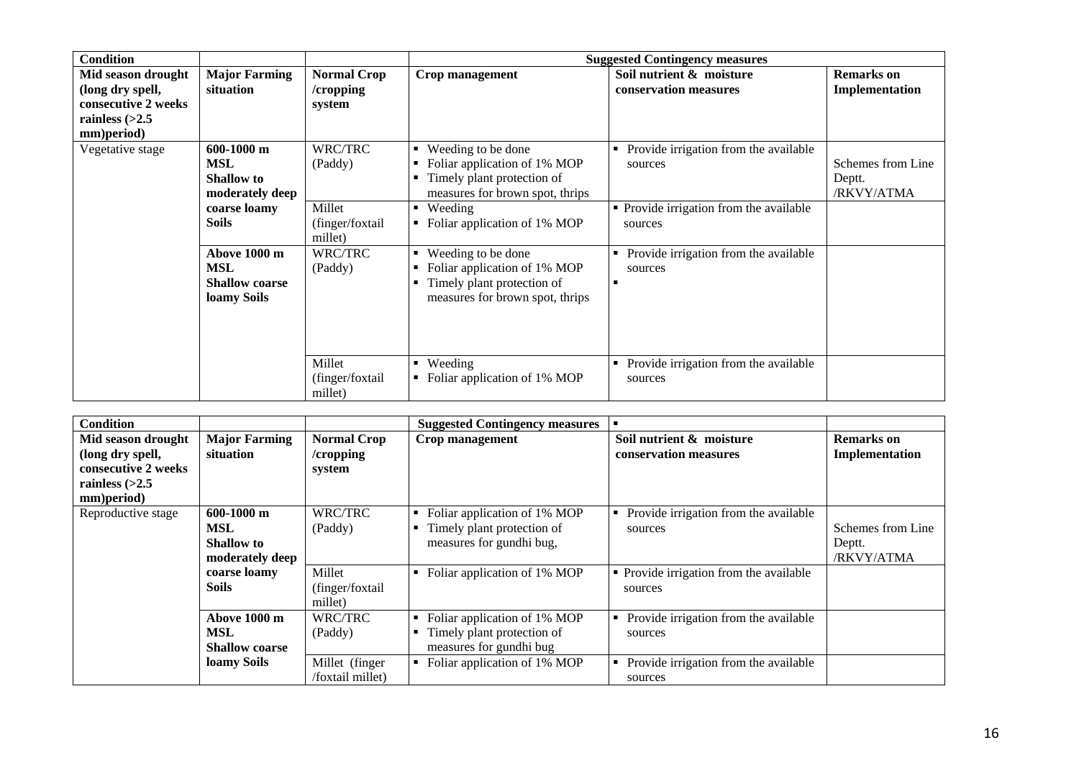| <b>Condition</b>                                                                                |                                                                  |                                           |                                                                                                                                       | <b>Suggested Contingency measures</b>                      |                                           |
|-------------------------------------------------------------------------------------------------|------------------------------------------------------------------|-------------------------------------------|---------------------------------------------------------------------------------------------------------------------------------------|------------------------------------------------------------|-------------------------------------------|
| Mid season drought<br>(long dry spell,<br>consecutive 2 weeks<br>rainless $(>2.5$<br>mm)period) | <b>Major Farming</b><br>situation                                | <b>Normal Crop</b><br>/cropping<br>system | Crop management                                                                                                                       | Soil nutrient & moisture<br>conservation measures          | <b>Remarks</b> on<br>Implementation       |
| Vegetative stage                                                                                | 600-1000 m<br><b>MSL</b><br><b>Shallow</b> to<br>moderately deep | WRC/TRC<br>(Paddy)                        | Weeding to be done<br>٠<br>Foliar application of 1% MOP<br>Timely plant protection of<br>measures for brown spot, thrips              | Provide irrigation from the available<br>٠<br>sources      | Schemes from Line<br>Deptt.<br>/RKVY/ATMA |
|                                                                                                 | coarse loamy<br><b>Soils</b>                                     | Millet<br>(finger/foxtail<br>millet)      | Weeding<br>٠<br>Foliar application of 1% MOP                                                                                          | • Provide irrigation from the available<br>sources         |                                           |
|                                                                                                 | Above 1000 m<br>MSL<br><b>Shallow coarse</b><br>loamy Soils      | WRC/TRC<br>(Paddy)                        | Weeding to be done<br>$\blacksquare$<br>Foliar application of 1% MOP<br>Timely plant protection of<br>measures for brown spot, thrips | Provide irrigation from the available<br>٠<br>sources<br>٠ |                                           |
|                                                                                                 |                                                                  | Millet<br>(finger/foxtail<br>millet)      | Weeding<br>$\blacksquare$<br>Foliar application of 1% MOP                                                                             | Provide irrigation from the available<br>٠<br>sources      |                                           |

| <b>Condition</b>    |                       |                    | <b>Suggested Contingency measures</b> |                                         |                   |
|---------------------|-----------------------|--------------------|---------------------------------------|-----------------------------------------|-------------------|
| Mid season drought  | <b>Major Farming</b>  | <b>Normal Crop</b> | Crop management                       | Soil nutrient & moisture                | <b>Remarks</b> on |
| (long dry spell,    | situation             | /cropping          |                                       | conservation measures                   | Implementation    |
| consecutive 2 weeks |                       | system             |                                       |                                         |                   |
| rainless $(>2.5$    |                       |                    |                                       |                                         |                   |
| mm)period)          |                       |                    |                                       |                                         |                   |
| Reproductive stage  | $600-1000$ m          | WRC/TRC            | Foliar application of 1% MOP          | Provide irrigation from the available   |                   |
|                     | <b>MSL</b>            | (Paddy)            | Timely plant protection of            | sources                                 | Schemes from Line |
|                     | <b>Shallow</b> to     |                    | measures for gundhi bug,              |                                         | Deptt.            |
|                     | moderately deep       |                    |                                       |                                         | /RKVY/ATMA        |
|                     | coarse loamy          | Millet             | Foliar application of 1% MOP<br>٠     | • Provide irrigation from the available |                   |
|                     | <b>Soils</b>          | (finger/foxtail    |                                       | sources                                 |                   |
|                     |                       | millet)            |                                       |                                         |                   |
|                     | Above 1000 m          | WRC/TRC            | Foliar application of 1% MOP<br>٠     | Provide irrigation from the available   |                   |
|                     | MSL                   | (Paddy)            | Timely plant protection of<br>٠       | sources                                 |                   |
|                     | <b>Shallow coarse</b> |                    | measures for gundhi bug               |                                         |                   |
|                     | loamy Soils           | Millet (finger     | Foliar application of 1% MOP<br>٠     | Provide irrigation from the available   |                   |
|                     |                       | /foxtail millet)   |                                       | sources                                 |                   |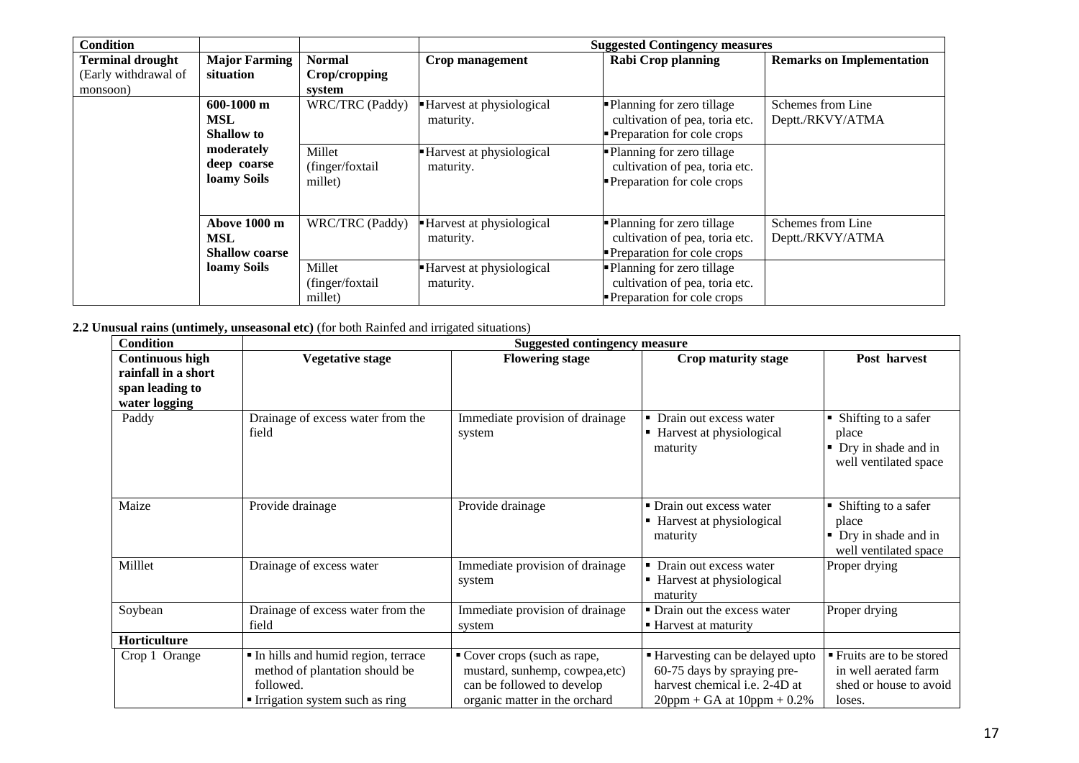| <b>Condition</b>        |                       |                 |                          | <b>Suggested Contingency measures</b> |                                  |
|-------------------------|-----------------------|-----------------|--------------------------|---------------------------------------|----------------------------------|
| <b>Terminal drought</b> | <b>Major Farming</b>  | <b>Normal</b>   | Crop management          | <b>Rabi Crop planning</b>             | <b>Remarks on Implementation</b> |
| (Early withdrawal of    | situation             | Crop/cropping   |                          |                                       |                                  |
| monsoon)                |                       | system          |                          |                                       |                                  |
|                         | $600-1000$ m          | WRC/TRC (Paddy) | Harvest at physiological | • Planning for zero tillage           | Schemes from Line                |
|                         | <b>MSL</b>            |                 | maturity.                | cultivation of pea, toria etc.        | Deptt./RKVY/ATMA                 |
|                         | <b>Shallow to</b>     |                 |                          | Preparation for cole crops            |                                  |
|                         | moderately            | Millet          | Harvest at physiological | Planning for zero tillage             |                                  |
|                         | deep coarse           | (finger/foxtail | maturity.                | cultivation of pea, toria etc.        |                                  |
|                         | loamy Soils           | millet)         |                          | Preparation for cole crops            |                                  |
|                         |                       |                 |                          |                                       |                                  |
|                         |                       |                 |                          |                                       |                                  |
|                         | Above 1000 m          | WRC/TRC (Paddy) | Harvest at physiological | • Planning for zero tillage           | Schemes from Line                |
|                         | MSL                   |                 | maturity.                | cultivation of pea, toria etc.        | Deptt./RKVY/ATMA                 |
|                         | <b>Shallow coarse</b> |                 |                          | Preparation for cole crops            |                                  |
|                         | loamy Soils           | Millet          | Harvest at physiological | • Planning for zero tillage           |                                  |
|                         |                       | (finger/foxtail | maturity.                | cultivation of pea, toria etc.        |                                  |
|                         |                       | millet)         |                          | Preparation for cole crops            |                                  |

**2.2 Unusual rains (untimely, unseasonal etc)** (for both Rainfed and irrigated situations)

| <b>Condition</b>                                                                  | <b>Suggested contingency measure</b>                                                                                |                                                                                                                              |                                                                                                                                           |                                                                                       |  |
|-----------------------------------------------------------------------------------|---------------------------------------------------------------------------------------------------------------------|------------------------------------------------------------------------------------------------------------------------------|-------------------------------------------------------------------------------------------------------------------------------------------|---------------------------------------------------------------------------------------|--|
| <b>Continuous high</b><br>rainfall in a short<br>span leading to<br>water logging | <b>Vegetative stage</b>                                                                                             | <b>Flowering stage</b>                                                                                                       | Crop maturity stage                                                                                                                       | Post harvest                                                                          |  |
| Paddy                                                                             | Drainage of excess water from the<br>field                                                                          | Immediate provision of drainage<br>system                                                                                    | • Drain out excess water<br>■ Harvest at physiological<br>maturity                                                                        | • Shifting to a safer<br>place<br>• Dry in shade and in<br>well ventilated space      |  |
| Maize                                                                             | Provide drainage                                                                                                    | Provide drainage                                                                                                             | • Drain out excess water<br>■ Harvest at physiological<br>maturity                                                                        | • Shifting to a safer<br>place<br>• Dry in shade and in<br>well ventilated space      |  |
| Milllet                                                                           | Drainage of excess water                                                                                            | Immediate provision of drainage<br>system                                                                                    | • Drain out excess water<br>■ Harvest at physiological<br>maturity                                                                        | Proper drying                                                                         |  |
| Soybean                                                                           | Drainage of excess water from the<br>field                                                                          | Immediate provision of drainage<br>system                                                                                    | • Drain out the excess water<br>■ Harvest at maturity                                                                                     | Proper drying                                                                         |  |
| Horticulture                                                                      |                                                                                                                     |                                                                                                                              |                                                                                                                                           |                                                                                       |  |
| Crop 1 Orange                                                                     | In hills and humid region, terrace<br>method of plantation should be<br>followed.<br>Irrigation system such as ring | • Cover crops (such as rape,<br>mustard, sunhemp, cowpea,etc)<br>can be followed to develop<br>organic matter in the orchard | ■ Harvesting can be delayed upto<br>60-75 days by spraying pre-<br>harvest chemical <i>i.e.</i> 2-4D at<br>$20ppm + GA$ at $10ppm + 0.2%$ | ■ Fruits are to be stored<br>in well aerated farm<br>shed or house to avoid<br>loses. |  |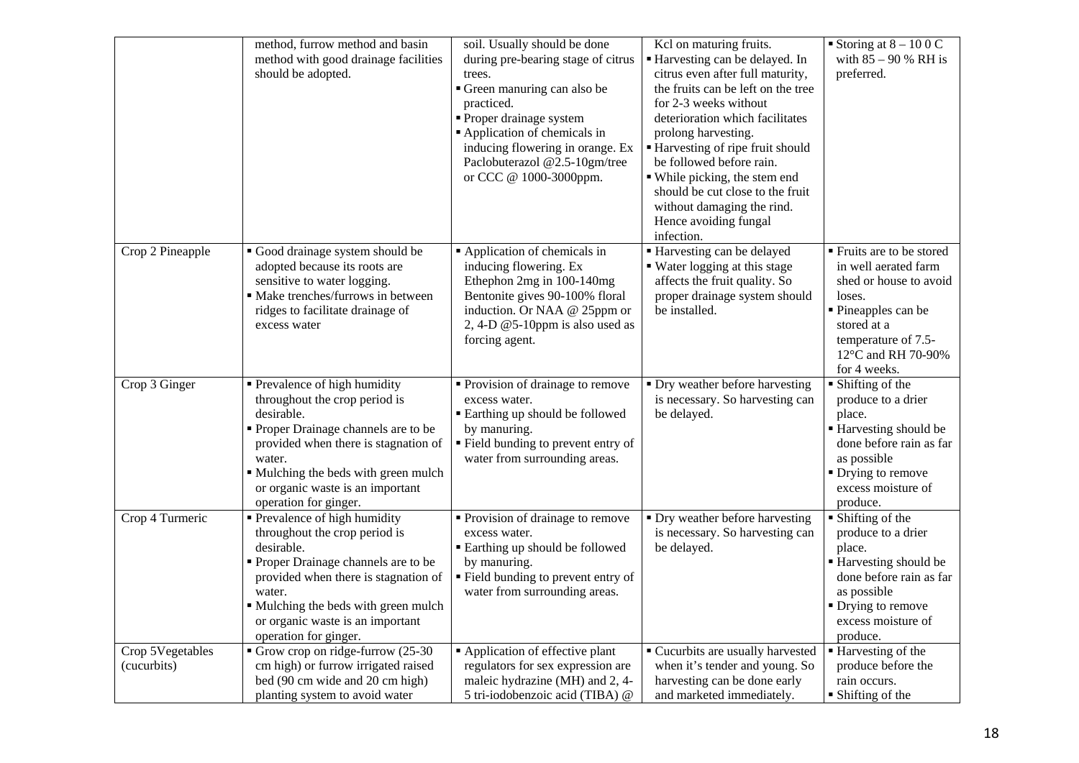|                                 | method, furrow method and basin<br>method with good drainage facilities<br>should be adopted.                                                                                                                                                                               | soil. Usually should be done<br>during pre-bearing stage of citrus<br>trees.<br>Green manuring can also be<br>practiced.<br>• Proper drainage system<br>Application of chemicals in<br>inducing flowering in orange. Ex<br>Paclobuterazol @2.5-10gm/tree<br>or CCC @ 1000-3000ppm. | Kcl on maturing fruits.<br>Harvesting can be delayed. In<br>citrus even after full maturity,<br>the fruits can be left on the tree<br>for 2-3 weeks without<br>deterioration which facilitates<br>prolong harvesting.<br>Harvesting of ripe fruit should<br>be followed before rain.<br>• While picking, the stem end<br>should be cut close to the fruit<br>without damaging the rind.<br>Hence avoiding fungal<br>infection. | Storing at $8 - 100C$<br>with $85 - 90$ % RH is<br>preferred.                                                                                                                                   |
|---------------------------------|-----------------------------------------------------------------------------------------------------------------------------------------------------------------------------------------------------------------------------------------------------------------------------|------------------------------------------------------------------------------------------------------------------------------------------------------------------------------------------------------------------------------------------------------------------------------------|--------------------------------------------------------------------------------------------------------------------------------------------------------------------------------------------------------------------------------------------------------------------------------------------------------------------------------------------------------------------------------------------------------------------------------|-------------------------------------------------------------------------------------------------------------------------------------------------------------------------------------------------|
| Crop 2 Pineapple                | Good drainage system should be<br>adopted because its roots are<br>sensitive to water logging.<br>· Make trenches/furrows in between<br>ridges to facilitate drainage of<br>excess water                                                                                    | Application of chemicals in<br>inducing flowering. Ex<br>Ethephon 2mg in 100-140mg<br>Bentonite gives 90-100% floral<br>induction. Or NAA @ 25ppm or<br>2, 4-D $@5$ -10ppm is also used as<br>forcing agent.                                                                       | Harvesting can be delayed<br>• Water logging at this stage<br>affects the fruit quality. So<br>proper drainage system should<br>be installed.                                                                                                                                                                                                                                                                                  | ■ Fruits are to be stored<br>in well aerated farm<br>shed or house to avoid<br>loses.<br>■ Pineapples can be<br>stored at a<br>temperature of 7.5-<br>12°C and RH 70-90%<br>for 4 weeks.        |
| Crop 3 Ginger                   | Prevalence of high humidity<br>throughout the crop period is<br>desirable.<br>Proper Drainage channels are to be<br>provided when there is stagnation of<br>water.<br>• Mulching the beds with green mulch<br>or organic waste is an important<br>operation for ginger.     | • Provision of drainage to remove<br>excess water.<br><b>Earthing up should be followed</b><br>by manuring.<br>" Field bunding to prevent entry of<br>water from surrounding areas.                                                                                                | • Dry weather before harvesting<br>is necessary. So harvesting can<br>be delayed.                                                                                                                                                                                                                                                                                                                                              | • Shifting of the<br>produce to a drier<br>place.<br><b>Harvesting should be</b><br>done before rain as far<br>as possible<br>• Drying to remove<br>excess moisture of<br>produce.              |
| Crop 4 Turmeric                 | • Prevalence of high humidity<br>throughout the crop period is<br>desirable.<br>• Proper Drainage channels are to be<br>provided when there is stagnation of<br>water.<br>• Mulching the beds with green mulch<br>or organic waste is an important<br>operation for ginger. | • Provision of drainage to remove<br>excess water.<br>" Earthing up should be followed<br>by manuring.<br>" Field bunding to prevent entry of<br>water from surrounding areas.                                                                                                     | • Dry weather before harvesting<br>is necessary. So harvesting can<br>be delayed.                                                                                                                                                                                                                                                                                                                                              | $\blacksquare$ Shifting of the<br>produce to a drier<br>place.<br><b>Harvesting should be</b><br>done before rain as far<br>as possible<br>• Drying to remove<br>excess moisture of<br>produce. |
| Crop 5Vegetables<br>(cucurbits) | Grow crop on ridge-furrow (25-30<br>cm high) or furrow irrigated raised<br>bed (90 cm wide and 20 cm high)<br>planting system to avoid water                                                                                                                                | Application of effective plant<br>regulators for sex expression are<br>maleic hydrazine (MH) and 2, 4-<br>5 tri-iodobenzoic acid (TIBA) @                                                                                                                                          | Cucurbits are usually harvested<br>when it's tender and young. So<br>harvesting can be done early<br>and marketed immediately.                                                                                                                                                                                                                                                                                                 | $\blacksquare$ Harvesting of the<br>produce before the<br>rain occurs.<br>$\blacksquare$ Shifting of the                                                                                        |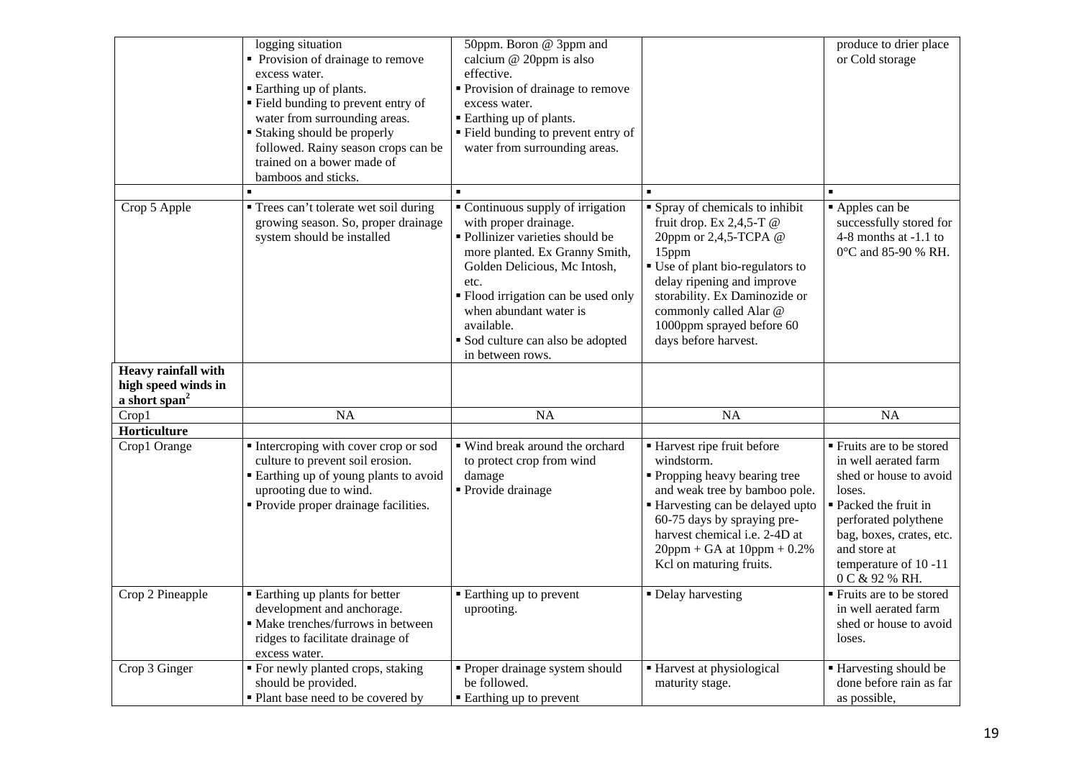|                                                                                         | logging situation<br>• Provision of drainage to remove<br>excess water.<br>• Earthing up of plants.<br>" Field bunding to prevent entry of<br>water from surrounding areas.<br>• Staking should be properly<br>followed. Rainy season crops can be<br>trained on a bower made of<br>bamboos and sticks. | 50ppm. Boron @ 3ppm and<br>calcium @ 20ppm is also<br>effective.<br>• Provision of drainage to remove<br>excess water.<br>■ Earthing up of plants.<br>■ Field bunding to prevent entry of<br>water from surrounding areas.                                                                                     |                                                                                                                                                                                                                                                                                       | produce to drier place<br>or Cold storage                                                                                                                                                                                     |
|-----------------------------------------------------------------------------------------|---------------------------------------------------------------------------------------------------------------------------------------------------------------------------------------------------------------------------------------------------------------------------------------------------------|----------------------------------------------------------------------------------------------------------------------------------------------------------------------------------------------------------------------------------------------------------------------------------------------------------------|---------------------------------------------------------------------------------------------------------------------------------------------------------------------------------------------------------------------------------------------------------------------------------------|-------------------------------------------------------------------------------------------------------------------------------------------------------------------------------------------------------------------------------|
| Crop 5 Apple                                                                            | " Trees can't tolerate wet soil during<br>growing season. So, proper drainage<br>system should be installed                                                                                                                                                                                             | • Continuous supply of irrigation<br>with proper drainage.<br>· Pollinizer varieties should be<br>more planted. Ex Granny Smith,<br>Golden Delicious, Mc Intosh,<br>etc.<br>• Flood irrigation can be used only<br>when abundant water is<br>available.<br>Sod culture can also be adopted<br>in between rows. | • Spray of chemicals to inhibit<br>fruit drop. Ex $2,4,5$ -T @<br>20ppm or 2,4,5-TCPA @<br>15ppm<br>• Use of plant bio-regulators to<br>delay ripening and improve<br>storability. Ex Daminozide or<br>commonly called Alar @<br>1000ppm sprayed before 60<br>days before harvest.    | Apples can be<br>successfully stored for<br>4-8 months at $-1.1$ to<br>0°C and 85-90 % RH.                                                                                                                                    |
| <b>Heavy rainfall with</b><br>high speed winds in<br>a short span <sup>2</sup><br>Crop1 | <b>NA</b>                                                                                                                                                                                                                                                                                               | <b>NA</b>                                                                                                                                                                                                                                                                                                      | NA                                                                                                                                                                                                                                                                                    | NA                                                                                                                                                                                                                            |
| Horticulture<br>Crop1 Orange                                                            | Intercroping with cover crop or sod<br>culture to prevent soil erosion.<br>" Earthing up of young plants to avoid<br>uprooting due to wind.<br>• Provide proper drainage facilities.                                                                                                                    | ■ Wind break around the orchard<br>to protect crop from wind<br>damage<br>• Provide drainage                                                                                                                                                                                                                   | ■ Harvest ripe fruit before<br>windstorm.<br>• Propping heavy bearing tree<br>and weak tree by bamboo pole.<br>■ Harvesting can be delayed upto<br>60-75 days by spraying pre-<br>harvest chemical <i>i.e.</i> 2-4D at<br>$20$ ppm + GA at $10$ ppm + 0.2%<br>Kcl on maturing fruits. | ■ Fruits are to be stored<br>in well aerated farm<br>shed or house to avoid<br>loses.<br>■ Packed the fruit in<br>perforated polythene<br>bag, boxes, crates, etc.<br>and store at<br>temperature of 10 -11<br>0 C & 92 % RH. |
| Crop 2 Pineapple                                                                        | <b>Earthing up plants for better</b><br>development and anchorage.<br>· Make trenches/furrows in between<br>ridges to facilitate drainage of<br>excess water.                                                                                                                                           | • Earthing up to prevent<br>uprooting.                                                                                                                                                                                                                                                                         | • Delay harvesting                                                                                                                                                                                                                                                                    | $\overline{\text{F}}$ Fruits are to be stored<br>in well aerated farm<br>shed or house to avoid<br>loses.                                                                                                                     |
| Crop 3 Ginger                                                                           | ■ For newly planted crops, staking<br>should be provided.<br>• Plant base need to be covered by                                                                                                                                                                                                         | • Proper drainage system should<br>be followed.<br>• Earthing up to prevent                                                                                                                                                                                                                                    | ■ Harvest at physiological<br>maturity stage.                                                                                                                                                                                                                                         | <b>Harvesting should be</b><br>done before rain as far<br>as possible,                                                                                                                                                        |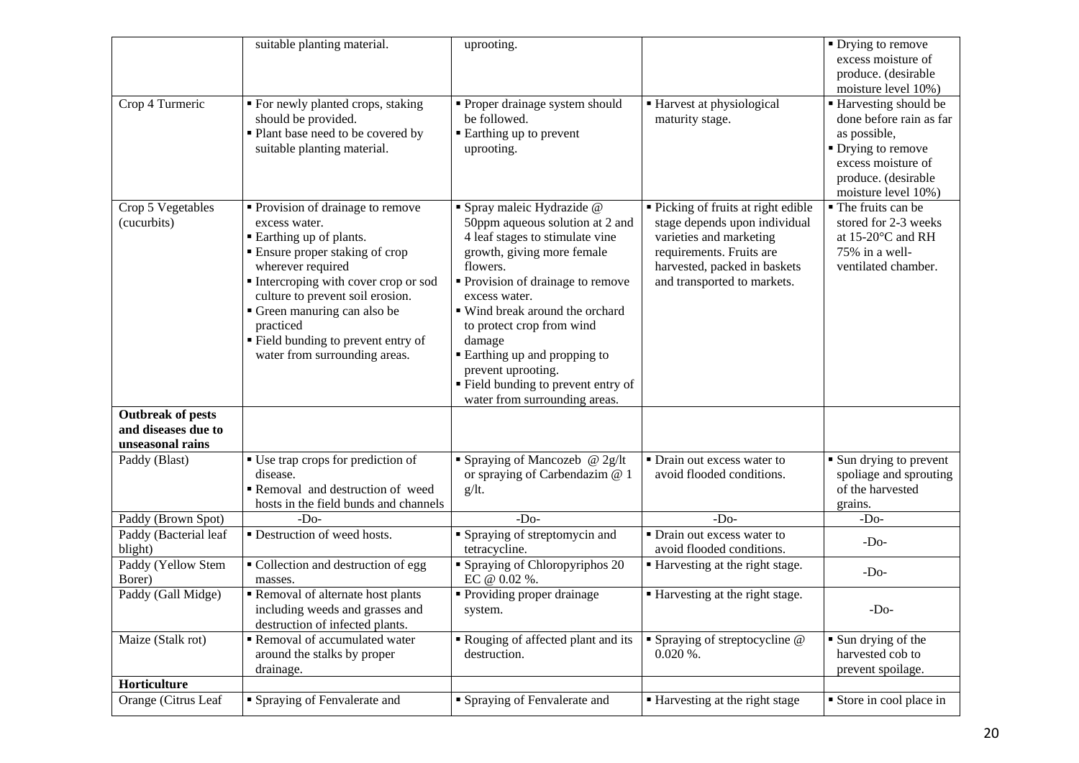|                                                 | suitable planting material.                                                                                                                                                                                                                                                                                                               | uprooting.                                                                                                                                                                                                                                                                                                                                                                  |                                                                                                                                                                                            | $\blacksquare$ Drying to remove<br>excess moisture of                                                     |
|-------------------------------------------------|-------------------------------------------------------------------------------------------------------------------------------------------------------------------------------------------------------------------------------------------------------------------------------------------------------------------------------------------|-----------------------------------------------------------------------------------------------------------------------------------------------------------------------------------------------------------------------------------------------------------------------------------------------------------------------------------------------------------------------------|--------------------------------------------------------------------------------------------------------------------------------------------------------------------------------------------|-----------------------------------------------------------------------------------------------------------|
|                                                 |                                                                                                                                                                                                                                                                                                                                           |                                                                                                                                                                                                                                                                                                                                                                             |                                                                                                                                                                                            | produce. (desirable                                                                                       |
|                                                 |                                                                                                                                                                                                                                                                                                                                           |                                                                                                                                                                                                                                                                                                                                                                             |                                                                                                                                                                                            | moisture level 10%)                                                                                       |
| Crop 4 Turmeric                                 | ■ For newly planted crops, staking<br>should be provided.                                                                                                                                                                                                                                                                                 | • Proper drainage system should<br>be followed.                                                                                                                                                                                                                                                                                                                             | ■ Harvest at physiological<br>maturity stage.                                                                                                                                              | ■ Harvesting should be<br>done before rain as far                                                         |
|                                                 | • Plant base need to be covered by                                                                                                                                                                                                                                                                                                        | ■ Earthing up to prevent                                                                                                                                                                                                                                                                                                                                                    |                                                                                                                                                                                            | as possible,                                                                                              |
|                                                 | suitable planting material.                                                                                                                                                                                                                                                                                                               | uprooting.                                                                                                                                                                                                                                                                                                                                                                  |                                                                                                                                                                                            | • Drying to remove                                                                                        |
|                                                 |                                                                                                                                                                                                                                                                                                                                           |                                                                                                                                                                                                                                                                                                                                                                             |                                                                                                                                                                                            | excess moisture of                                                                                        |
|                                                 |                                                                                                                                                                                                                                                                                                                                           |                                                                                                                                                                                                                                                                                                                                                                             |                                                                                                                                                                                            | produce. (desirable                                                                                       |
|                                                 |                                                                                                                                                                                                                                                                                                                                           |                                                                                                                                                                                                                                                                                                                                                                             |                                                                                                                                                                                            | moisture level 10%)                                                                                       |
| Crop 5 Vegetables<br>(cucurbits)                | • Provision of drainage to remove<br>excess water.<br>• Earthing up of plants.<br><b>Ensure proper staking of crop</b><br>wherever required<br>Intercroping with cover crop or sod<br>culture to prevent soil erosion.<br>Green manuring can also be<br>practiced<br>" Field bunding to prevent entry of<br>water from surrounding areas. | Spray maleic Hydrazide @<br>50ppm aqueous solution at 2 and<br>4 leaf stages to stimulate vine<br>growth, giving more female<br>flowers.<br>• Provision of drainage to remove<br>excess water.<br>■ Wind break around the orchard<br>to protect crop from wind<br>damage<br><b>Earthing up and propping to</b><br>prevent uprooting.<br>" Field bunding to prevent entry of | • Picking of fruits at right edible<br>stage depends upon individual<br>varieties and marketing<br>requirements. Fruits are<br>harvested, packed in baskets<br>and transported to markets. | • The fruits can be<br>stored for 2-3 weeks<br>at 15-20°C and RH<br>75% in a well-<br>ventilated chamber. |
|                                                 |                                                                                                                                                                                                                                                                                                                                           | water from surrounding areas.                                                                                                                                                                                                                                                                                                                                               |                                                                                                                                                                                            |                                                                                                           |
| <b>Outbreak of pests</b><br>and diseases due to |                                                                                                                                                                                                                                                                                                                                           |                                                                                                                                                                                                                                                                                                                                                                             |                                                                                                                                                                                            |                                                                                                           |
| unseasonal rains                                |                                                                                                                                                                                                                                                                                                                                           |                                                                                                                                                                                                                                                                                                                                                                             |                                                                                                                                                                                            |                                                                                                           |
| Paddy (Blast)                                   | • Use trap crops for prediction of                                                                                                                                                                                                                                                                                                        | ■ Spraying of Mancozeb $@$ 2g/lt                                                                                                                                                                                                                                                                                                                                            | • Drain out excess water to                                                                                                                                                                | • Sun drying to prevent                                                                                   |
|                                                 | disease.                                                                                                                                                                                                                                                                                                                                  | or spraying of Carbendazim @ 1                                                                                                                                                                                                                                                                                                                                              | avoid flooded conditions.                                                                                                                                                                  | spoliage and sprouting                                                                                    |
|                                                 | Removal and destruction of weed                                                                                                                                                                                                                                                                                                           | g/It.                                                                                                                                                                                                                                                                                                                                                                       |                                                                                                                                                                                            | of the harvested                                                                                          |
|                                                 | hosts in the field bunds and channels                                                                                                                                                                                                                                                                                                     |                                                                                                                                                                                                                                                                                                                                                                             |                                                                                                                                                                                            | grains.                                                                                                   |
| Paddy (Brown Spot)                              | $-DO$                                                                                                                                                                                                                                                                                                                                     | $-D0$                                                                                                                                                                                                                                                                                                                                                                       | $-Do-$                                                                                                                                                                                     | $-Do-$                                                                                                    |
| Paddy (Bacterial leaf<br>blight)                | • Destruction of weed hosts.                                                                                                                                                                                                                                                                                                              | • Spraying of streptomycin and<br>tetracycline.                                                                                                                                                                                                                                                                                                                             | • Drain out excess water to<br>avoid flooded conditions.                                                                                                                                   | $-DO$                                                                                                     |
| Paddy (Yellow Stem                              | • Collection and destruction of egg                                                                                                                                                                                                                                                                                                       | • Spraying of Chloropyriphos 20                                                                                                                                                                                                                                                                                                                                             | ■ Harvesting at the right stage.                                                                                                                                                           | $-DO$                                                                                                     |
| Borer)                                          | masses.                                                                                                                                                                                                                                                                                                                                   | EC @ 0.02 %.                                                                                                                                                                                                                                                                                                                                                                |                                                                                                                                                                                            |                                                                                                           |
| Paddy (Gall Midge)                              | Removal of alternate host plants<br>including weeds and grasses and<br>destruction of infected plants.                                                                                                                                                                                                                                    | • Providing proper drainage<br>system.                                                                                                                                                                                                                                                                                                                                      | ■ Harvesting at the right stage.                                                                                                                                                           | $-Do-$                                                                                                    |
| Maize (Stalk rot)                               | Removal of accumulated water<br>around the stalks by proper                                                                                                                                                                                                                                                                               | Rouging of affected plant and its<br>destruction.                                                                                                                                                                                                                                                                                                                           | $\blacksquare$ Spraying of streptocycline $@$<br>$0.020\%$ .                                                                                                                               | $\blacksquare$ Sun drying of the<br>harvested cob to                                                      |
|                                                 | drainage.                                                                                                                                                                                                                                                                                                                                 |                                                                                                                                                                                                                                                                                                                                                                             |                                                                                                                                                                                            | prevent spoilage.                                                                                         |
| Horticulture                                    |                                                                                                                                                                                                                                                                                                                                           |                                                                                                                                                                                                                                                                                                                                                                             |                                                                                                                                                                                            |                                                                                                           |
| Orange (Citrus Leaf                             | • Spraying of Fenvalerate and                                                                                                                                                                                                                                                                                                             | • Spraying of Fenvalerate and                                                                                                                                                                                                                                                                                                                                               | ■ Harvesting at the right stage                                                                                                                                                            | Store in cool place in                                                                                    |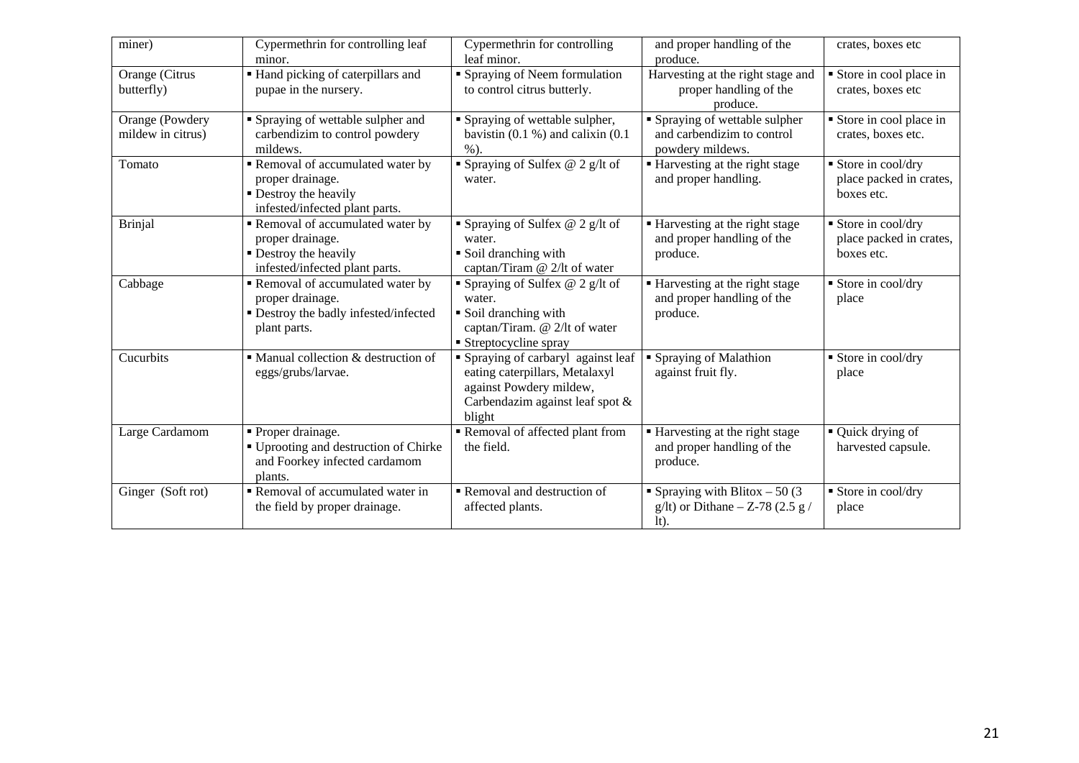| miner)                               | Cypermethrin for controlling leaf<br>minor.                                                                    | Cypermethrin for controlling<br>leaf minor.                                                                                                   | and proper handling of the<br>produce.                                           | crates, boxes etc                                            |
|--------------------------------------|----------------------------------------------------------------------------------------------------------------|-----------------------------------------------------------------------------------------------------------------------------------------------|----------------------------------------------------------------------------------|--------------------------------------------------------------|
| Orange (Citrus<br>butterfly)         | Hand picking of caterpillars and<br>pupae in the nursery.                                                      | • Spraying of Neem formulation<br>to control citrus butterly.                                                                                 | Harvesting at the right stage and<br>proper handling of the<br>produce.          | Store in cool place in<br>crates, boxes etc                  |
| Orange (Powdery<br>mildew in citrus) | Spraying of wettable sulpher and<br>carbendizim to control powdery<br>mildews.                                 | • Spraying of wettable sulpher,<br>bavistin $(0.1 %)$ and calixin $(0.1 %)$<br>$%$ ).                                                         | • Spraying of wettable sulpher<br>and carbendizim to control<br>powdery mildews. | Store in cool place in<br>crates, boxes etc.                 |
| Tomato                               | Removal of accumulated water by<br>proper drainage.<br>• Destroy the heavily<br>infested/infected plant parts. | Spraying of Sulfex $@$ 2 g/lt of<br>water.                                                                                                    | ■ Harvesting at the right stage<br>and proper handling.                          | Store in cool/dry<br>place packed in crates,<br>boxes etc.   |
| <b>Brinjal</b>                       | Removal of accumulated water by<br>proper drainage.<br>• Destroy the heavily<br>infested/infected plant parts. | Spraying of Sulfex $@$ 2 g/lt of<br>water.<br>• Soil dranching with<br>captan/Tiram @ 2/lt of water                                           | ■ Harvesting at the right stage<br>and proper handling of the<br>produce.        | ■ Store in cool/dry<br>place packed in crates,<br>boxes etc. |
| Cabbage                              | Removal of accumulated water by<br>proper drainage.<br>• Destroy the badly infested/infected<br>plant parts.   | Spraying of Sulfex $@$ 2 g/lt of<br>water.<br>• Soil dranching with<br>captan/Tiram. @ 2/lt of water<br>■ Streptocycline spray                | ■ Harvesting at the right stage<br>and proper handling of the<br>produce.        | ■ Store in cool/dry<br>place                                 |
| Cucurbits                            | $\blacksquare$ Manual collection & destruction of<br>eggs/grubs/larvae.                                        | • Spraying of carbaryl against leaf<br>eating caterpillars, Metalaxyl<br>against Powdery mildew,<br>Carbendazim against leaf spot &<br>blight | ■ Spraying of Malathion<br>against fruit fly.                                    | ■ Store in cool/dry<br>place                                 |
| Large Cardamom                       | • Proper drainage.<br>■ Uprooting and destruction of Chirke<br>and Foorkey infected cardamom<br>plants.        | Removal of affected plant from<br>the field.                                                                                                  | ■ Harvesting at the right stage<br>and proper handling of the<br>produce.        | • Quick drying of<br>harvested capsule.                      |
| Ginger (Soft rot)                    | Removal of accumulated water in<br>the field by proper drainage.                                               | Removal and destruction of<br>affected plants.                                                                                                | • Spraying with Blitox $-50(3)$<br>g/lt) or Dithane $-$ Z-78 (2.5 g /<br>$lt$ ). | Store in cool/dry<br>place                                   |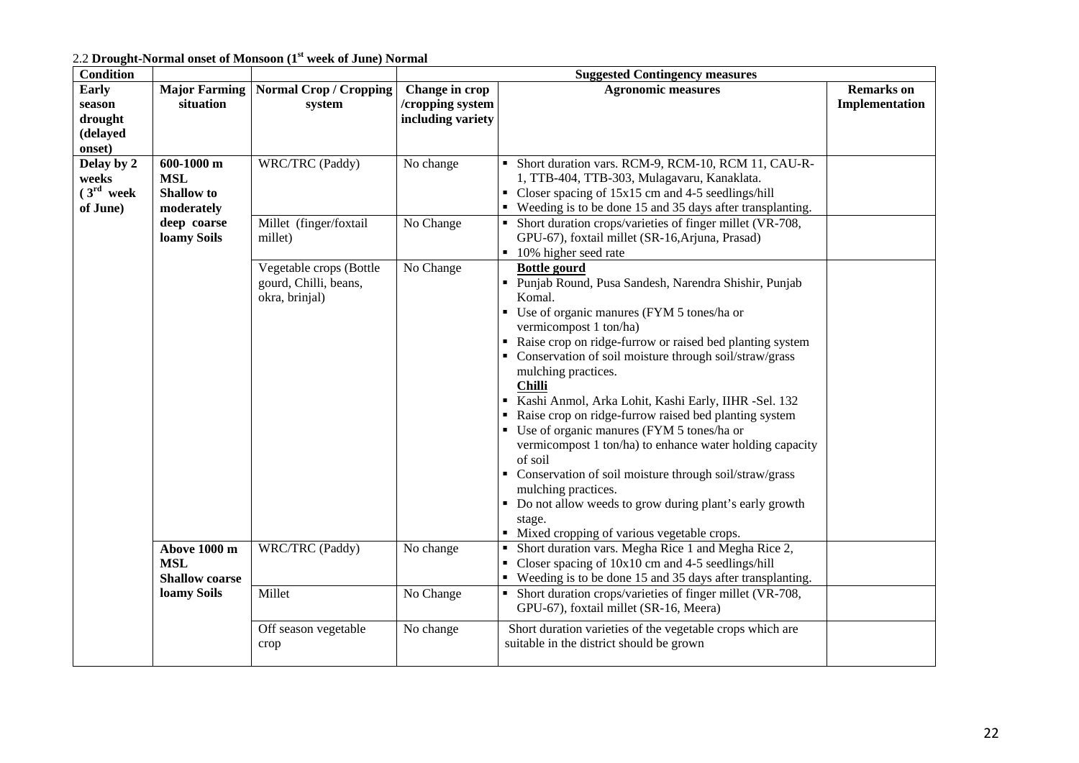2.2 **Drought-Normal onset of Monsoon (1st week of June) Normal**

| <b>Condition</b>       |                                   |                                         | <b>Suggested Contingency measures</b> |                                                                                                                                           |                                     |  |
|------------------------|-----------------------------------|-----------------------------------------|---------------------------------------|-------------------------------------------------------------------------------------------------------------------------------------------|-------------------------------------|--|
| <b>Early</b><br>season | <b>Major Farming</b><br>situation | <b>Normal Crop / Cropping</b><br>system | Change in crop<br>/cropping system    | <b>Agronomic measures</b>                                                                                                                 | <b>Remarks</b> on<br>Implementation |  |
| drought                |                                   |                                         | including variety                     |                                                                                                                                           |                                     |  |
| (delayed               |                                   |                                         |                                       |                                                                                                                                           |                                     |  |
| onset)                 |                                   |                                         |                                       |                                                                                                                                           |                                     |  |
| Delay by 2<br>weeks    | 600-1000 m<br><b>MSL</b>          | WRC/TRC (Paddy)                         | No change                             | Short duration vars. RCM-9, RCM-10, RCM 11, CAU-R-<br>1, TTB-404, TTB-303, Mulagavaru, Kanaklata.                                         |                                     |  |
| (3 <sup>rd</sup> week) | <b>Shallow</b> to                 |                                         |                                       | Closer spacing of 15x15 cm and 4-5 seedlings/hill                                                                                         |                                     |  |
| of June)               | moderately                        |                                         |                                       | • Weeding is to be done 15 and 35 days after transplanting.                                                                               |                                     |  |
|                        | deep coarse                       | Millet (finger/foxtail                  | No Change                             | Short duration crops/varieties of finger millet (VR-708,                                                                                  |                                     |  |
|                        | loamy Soils                       | millet)                                 |                                       | GPU-67), foxtail millet (SR-16, Arjuna, Prasad)                                                                                           |                                     |  |
|                        |                                   | Vegetable crops (Bottle                 | No Change                             | 10% higher seed rate<br><b>Bottle gourd</b>                                                                                               |                                     |  |
|                        |                                   | gourd, Chilli, beans,                   |                                       | Punjab Round, Pusa Sandesh, Narendra Shishir, Punjab                                                                                      |                                     |  |
|                        |                                   | okra, brinjal)                          |                                       | Komal.                                                                                                                                    |                                     |  |
|                        |                                   |                                         |                                       | • Use of organic manures (FYM 5 tones/ha or                                                                                               |                                     |  |
|                        |                                   |                                         |                                       | vermicompost 1 ton/ha)<br>• Raise crop on ridge-furrow or raised bed planting system                                                      |                                     |  |
|                        |                                   |                                         |                                       | • Conservation of soil moisture through soil/straw/grass                                                                                  |                                     |  |
|                        |                                   |                                         |                                       | mulching practices.                                                                                                                       |                                     |  |
|                        |                                   |                                         |                                       | <b>Chilli</b>                                                                                                                             |                                     |  |
|                        |                                   |                                         |                                       | Kashi Anmol, Arka Lohit, Kashi Early, IIHR -Sel. 132                                                                                      |                                     |  |
|                        |                                   |                                         |                                       | Raise crop on ridge-furrow raised bed planting system<br>• Use of organic manures (FYM 5 tones/ha or                                      |                                     |  |
|                        |                                   |                                         |                                       | vermicompost 1 ton/ha) to enhance water holding capacity                                                                                  |                                     |  |
|                        |                                   |                                         |                                       | of soil                                                                                                                                   |                                     |  |
|                        |                                   |                                         |                                       | • Conservation of soil moisture through soil/straw/grass                                                                                  |                                     |  |
|                        |                                   |                                         |                                       | mulching practices.                                                                                                                       |                                     |  |
|                        |                                   |                                         |                                       | • Do not allow weeds to grow during plant's early growth<br>stage.                                                                        |                                     |  |
|                        |                                   |                                         |                                       | • Mixed cropping of various vegetable crops.                                                                                              |                                     |  |
|                        | Above 1000 m                      | WRC/TRC (Paddy)                         | No change                             | Short duration vars. Megha Rice 1 and Megha Rice 2,<br>$\blacksquare$                                                                     |                                     |  |
|                        | <b>MSL</b>                        |                                         |                                       | Closer spacing of $10x10$ cm and 4-5 seedlings/hill                                                                                       |                                     |  |
|                        | <b>Shallow</b> coarse             | Millet                                  | No Change                             | • Weeding is to be done 15 and 35 days after transplanting.<br>Short duration crops/varieties of finger millet (VR-708,<br>$\blacksquare$ |                                     |  |
|                        | loamy Soils                       |                                         |                                       | GPU-67), foxtail millet (SR-16, Meera)                                                                                                    |                                     |  |
|                        |                                   | Off season vegetable                    | No change                             | Short duration varieties of the vegetable crops which are                                                                                 |                                     |  |
|                        |                                   | crop                                    |                                       | suitable in the district should be grown                                                                                                  |                                     |  |
|                        |                                   |                                         |                                       |                                                                                                                                           |                                     |  |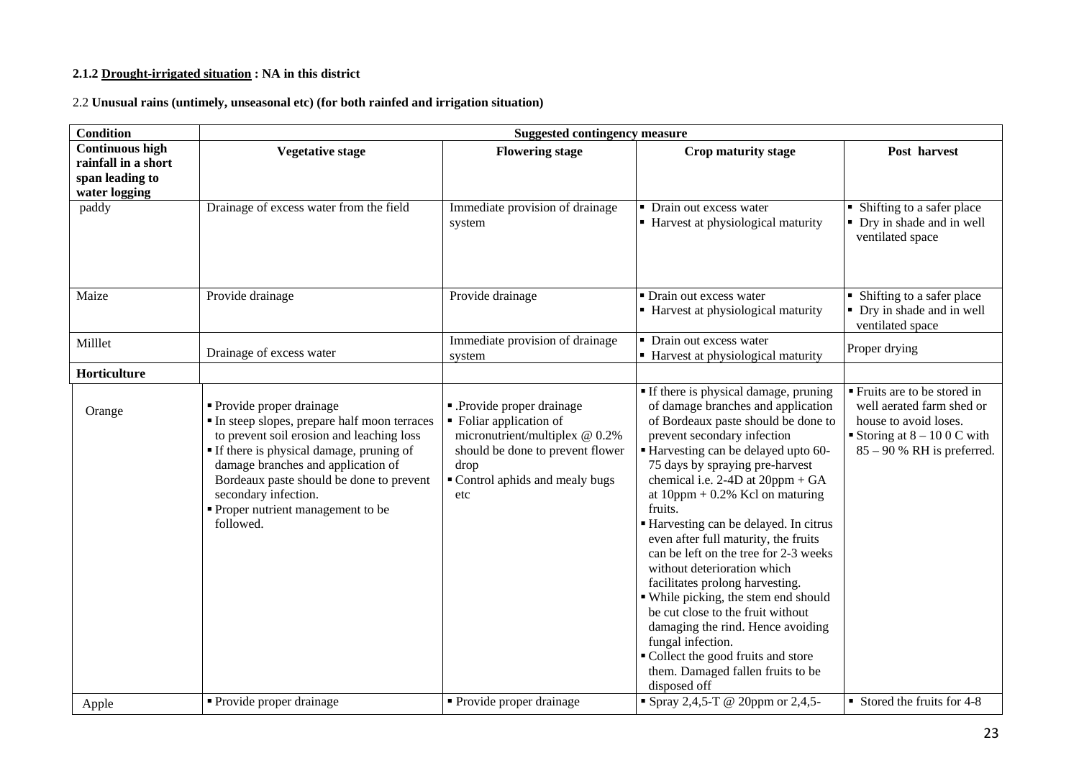#### **2.1.2 Drought-irrigated situation : NA in this district**

2.2 **Unusual rains (untimely, unseasonal etc) (for both rainfed and irrigation situation)**

| <b>Condition</b>                                                                  | <b>Suggested contingency measure</b>                                                                                                                                                                                                                                                                                          |                                                                                                                                                                            |                                                                                                                                                                                                                                                                                                                                                                                                                                                                                                                                                                                                                                                                                                                                                  |                                                                                                                                                   |
|-----------------------------------------------------------------------------------|-------------------------------------------------------------------------------------------------------------------------------------------------------------------------------------------------------------------------------------------------------------------------------------------------------------------------------|----------------------------------------------------------------------------------------------------------------------------------------------------------------------------|--------------------------------------------------------------------------------------------------------------------------------------------------------------------------------------------------------------------------------------------------------------------------------------------------------------------------------------------------------------------------------------------------------------------------------------------------------------------------------------------------------------------------------------------------------------------------------------------------------------------------------------------------------------------------------------------------------------------------------------------------|---------------------------------------------------------------------------------------------------------------------------------------------------|
| <b>Continuous high</b><br>rainfall in a short<br>span leading to<br>water logging | <b>Vegetative stage</b>                                                                                                                                                                                                                                                                                                       | <b>Flowering stage</b>                                                                                                                                                     | Crop maturity stage                                                                                                                                                                                                                                                                                                                                                                                                                                                                                                                                                                                                                                                                                                                              | Post harvest                                                                                                                                      |
| paddy                                                                             | Drainage of excess water from the field                                                                                                                                                                                                                                                                                       | Immediate provision of drainage<br>system                                                                                                                                  | • Drain out excess water<br>■ Harvest at physiological maturity                                                                                                                                                                                                                                                                                                                                                                                                                                                                                                                                                                                                                                                                                  | • Shifting to a safer place<br>• Dry in shade and in well<br>ventilated space                                                                     |
| Maize                                                                             | Provide drainage                                                                                                                                                                                                                                                                                                              | Provide drainage                                                                                                                                                           | • Drain out excess water<br>■ Harvest at physiological maturity                                                                                                                                                                                                                                                                                                                                                                                                                                                                                                                                                                                                                                                                                  | • Shifting to a safer place<br>• Dry in shade and in well<br>ventilated space                                                                     |
| Milllet                                                                           | Drainage of excess water                                                                                                                                                                                                                                                                                                      | Immediate provision of drainage<br>system                                                                                                                                  | • Drain out excess water<br>• Harvest at physiological maturity                                                                                                                                                                                                                                                                                                                                                                                                                                                                                                                                                                                                                                                                                  | Proper drying                                                                                                                                     |
| Horticulture                                                                      |                                                                                                                                                                                                                                                                                                                               |                                                                                                                                                                            |                                                                                                                                                                                                                                                                                                                                                                                                                                                                                                                                                                                                                                                                                                                                                  |                                                                                                                                                   |
| Orange                                                                            | • Provide proper drainage<br>In steep slopes, prepare half moon terraces<br>to prevent soil erosion and leaching loss<br>If there is physical damage, pruning of<br>damage branches and application of<br>Bordeaux paste should be done to prevent<br>secondary infection.<br>• Proper nutrient management to be<br>followed. | - Provide proper drainage<br>• Foliar application of<br>micronutrient/multiplex @ 0.2%<br>should be done to prevent flower<br>drop<br>Control aphids and mealy bugs<br>etc | If there is physical damage, pruning<br>of damage branches and application<br>of Bordeaux paste should be done to<br>prevent secondary infection<br>Harvesting can be delayed upto 60-<br>75 days by spraying pre-harvest<br>chemical i.e. $2-4D$ at $20ppm + GA$<br>at $10$ ppm + 0.2% Kcl on maturing<br>fruits.<br>Harvesting can be delayed. In citrus<br>even after full maturity, the fruits<br>can be left on the tree for 2-3 weeks<br>without deterioration which<br>facilitates prolong harvesting.<br>• While picking, the stem end should<br>be cut close to the fruit without<br>damaging the rind. Hence avoiding<br>fungal infection.<br>• Collect the good fruits and store<br>them. Damaged fallen fruits to be<br>disposed off | ■ Fruits are to be stored in<br>well aerated farm shed or<br>house to avoid loses.<br>Storing at $8 - 100$ C with<br>$85 - 90$ % RH is preferred. |
| Apple                                                                             | • Provide proper drainage                                                                                                                                                                                                                                                                                                     | • Provide proper drainage                                                                                                                                                  | " Spray 2,4,5-T @ 20ppm or 2,4,5-                                                                                                                                                                                                                                                                                                                                                                                                                                                                                                                                                                                                                                                                                                                | Stored the fruits for 4-8                                                                                                                         |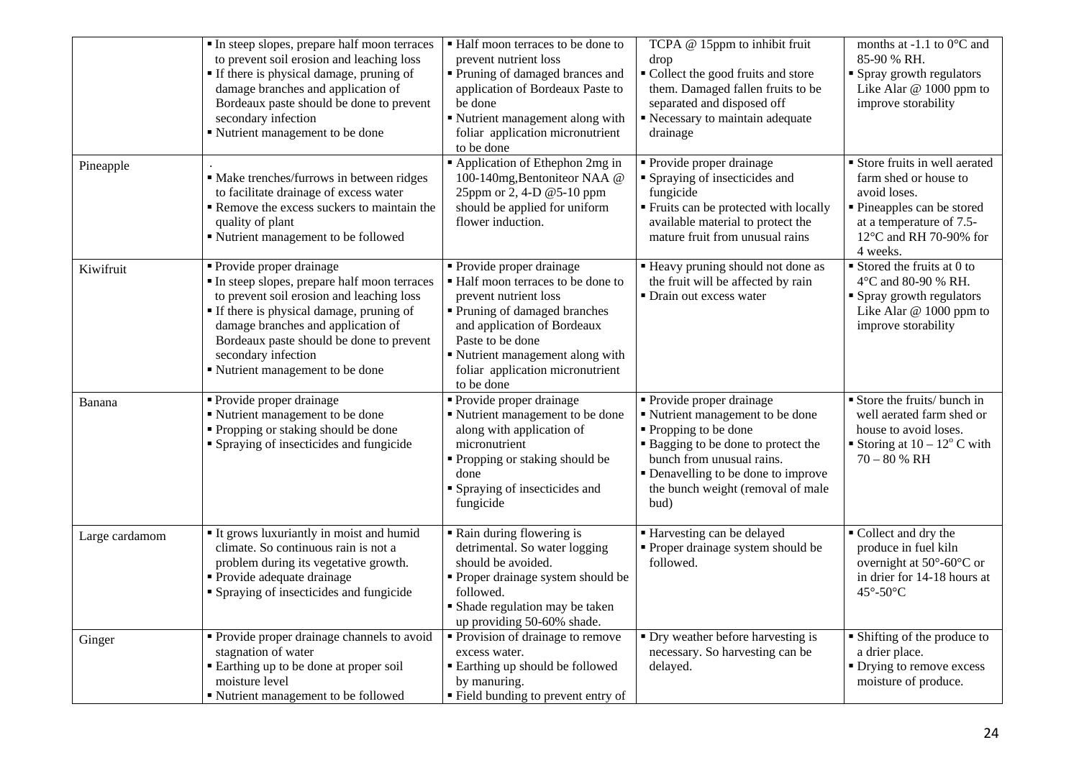|                | In steep slopes, prepare half moon terraces<br>to prevent soil erosion and leaching loss<br>If there is physical damage, pruning of<br>damage branches and application of<br>Bordeaux paste should be done to prevent<br>secondary infection<br>Nutrient management to be done                                   | • Half moon terraces to be done to<br>prevent nutrient loss<br>Pruning of damaged brances and<br>application of Bordeaux Paste to<br>be done<br>Nutrient management along with<br>foliar application micronutrient<br>to be done                           | TCPA @ 15ppm to inhibit fruit<br>drop<br>• Collect the good fruits and store<br>them. Damaged fallen fruits to be<br>separated and disposed off<br>Recessary to maintain adequate<br>drainage                                                       | months at -1.1 to $0^{\circ}$ C and<br>85-90 % RH.<br>• Spray growth regulators<br>Like Alar @ 1000 ppm to<br>improve storability                                     |
|----------------|------------------------------------------------------------------------------------------------------------------------------------------------------------------------------------------------------------------------------------------------------------------------------------------------------------------|------------------------------------------------------------------------------------------------------------------------------------------------------------------------------------------------------------------------------------------------------------|-----------------------------------------------------------------------------------------------------------------------------------------------------------------------------------------------------------------------------------------------------|-----------------------------------------------------------------------------------------------------------------------------------------------------------------------|
| Pineapple      | • Make trenches/furrows in between ridges<br>to facilitate drainage of excess water<br>Remove the excess suckers to maintain the<br>quality of plant<br>" Nutrient management to be followed                                                                                                                     | Application of Ethephon 2mg in<br>100-140mg, Bentoniteor NAA @<br>25ppm or 2, 4-D @5-10 ppm<br>should be applied for uniform<br>flower induction.                                                                                                          | • Provide proper drainage<br>• Spraying of insecticides and<br>fungicide<br>" Fruits can be protected with locally<br>available material to protect the<br>mature fruit from unusual rains                                                          | Store fruits in well aerated<br>farm shed or house to<br>avoid loses.<br>• Pineapples can be stored<br>at a temperature of 7.5-<br>12°C and RH 70-90% for<br>4 weeks. |
| Kiwifruit      | Provide proper drainage<br>In steep slopes, prepare half moon terraces<br>to prevent soil erosion and leaching loss<br><b>If there is physical damage, pruning of</b><br>damage branches and application of<br>Bordeaux paste should be done to prevent<br>secondary infection<br>Nutrient management to be done | Provide proper drainage<br>Half moon terraces to be done to<br>prevent nutrient loss<br>Pruning of damaged branches<br>and application of Bordeaux<br>Paste to be done<br>Nutrient management along with<br>foliar application micronutrient<br>to be done | " Heavy pruning should not done as<br>the fruit will be affected by rain<br>• Drain out excess water                                                                                                                                                | $\blacksquare$ Stored the fruits at 0 to<br>4°C and 80-90 % RH.<br>• Spray growth regulators<br>Like Alar @ 1000 ppm to<br>improve storability                        |
| Banana         | Provide proper drainage<br>" Nutrient management to be done<br>• Propping or staking should be done<br>• Spraying of insecticides and fungicide                                                                                                                                                                  | Provide proper drainage<br>Nutrient management to be done<br>along with application of<br>micronutrient<br>" Propping or staking should be<br>done<br>Spraying of insecticides and<br>fungicide                                                            | • Provide proper drainage<br>" Nutrient management to be done<br>• Propping to be done<br><b>Bagging to be done to protect the</b><br>bunch from unusual rains.<br>• Denavelling to be done to improve<br>the bunch weight (removal of male<br>bud) | Store the fruits/ bunch in<br>well aerated farm shed or<br>house to avoid loses.<br>Storing at $10 - 12^{\circ}$ C with<br>$70 - 80 %$ RH                             |
| Large cardamom | It grows luxuriantly in moist and humid<br>climate. So continuous rain is not a<br>problem during its vegetative growth.<br>• Provide adequate drainage<br>• Spraying of insecticides and fungicide                                                                                                              | Rain during flowering is<br>detrimental. So water logging<br>should be avoided.<br>Proper drainage system should be<br>followed.<br>Shade regulation may be taken<br>up providing 50-60% shade.                                                            | ■ Harvesting can be delayed<br>• Proper drainage system should be<br>followed.                                                                                                                                                                      | ■ Collect and dry the<br>produce in fuel kiln<br>overnight at 50°-60°C or<br>in drier for 14-18 hours at<br>45°-50°C                                                  |
| Ginger         | • Provide proper drainage channels to avoid<br>stagnation of water<br>Earthing up to be done at proper soil<br>moisture level<br>• Nutrient management to be followed                                                                                                                                            | Provision of drainage to remove<br>excess water.<br><b>Earthing up should be followed</b><br>by manuring.<br>" Field bunding to prevent entry of                                                                                                           | • Dry weather before harvesting is<br>necessary. So harvesting can be<br>delayed.                                                                                                                                                                   | • Shifting of the produce to<br>a drier place.<br>• Drying to remove excess<br>moisture of produce.                                                                   |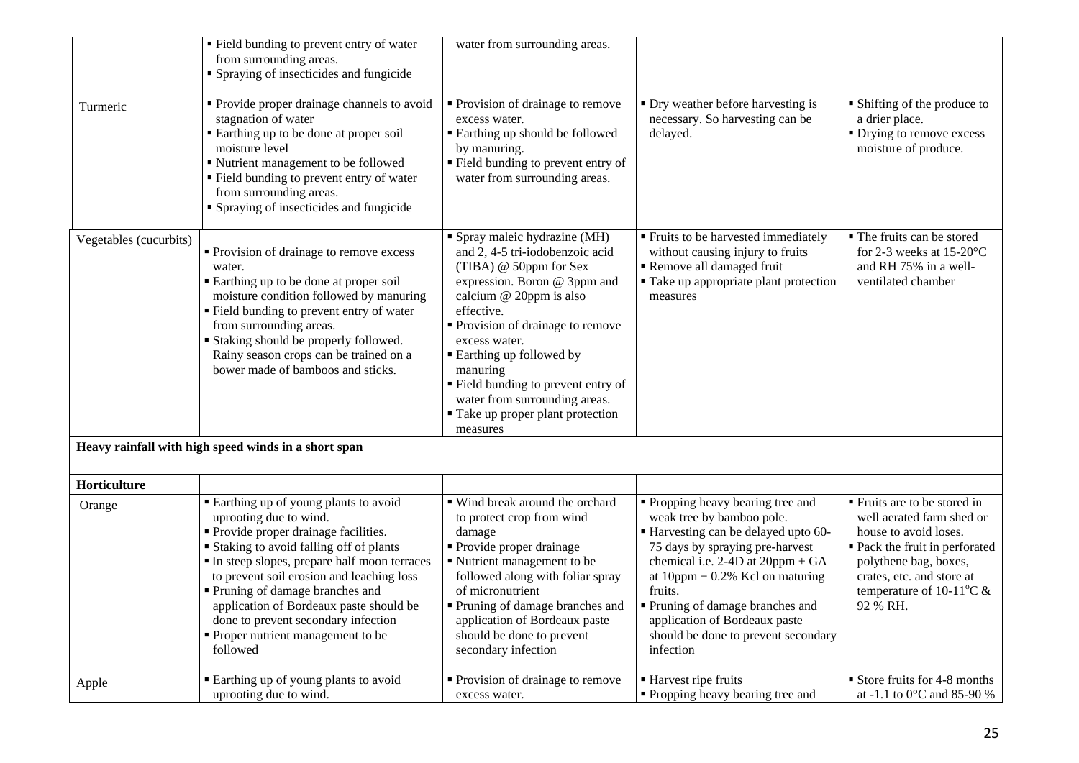|                        | " Field bunding to prevent entry of water<br>from surrounding areas.<br>• Spraying of insecticides and fungicide                                                                                                                                                                                                                                                                                                             | water from surrounding areas.                                                                                                                                                                                                                                                                                                                                                                       |                                                                                                                                                                                                                                                                                                                                                         |                                                                                                                                                                                                                                 |
|------------------------|------------------------------------------------------------------------------------------------------------------------------------------------------------------------------------------------------------------------------------------------------------------------------------------------------------------------------------------------------------------------------------------------------------------------------|-----------------------------------------------------------------------------------------------------------------------------------------------------------------------------------------------------------------------------------------------------------------------------------------------------------------------------------------------------------------------------------------------------|---------------------------------------------------------------------------------------------------------------------------------------------------------------------------------------------------------------------------------------------------------------------------------------------------------------------------------------------------------|---------------------------------------------------------------------------------------------------------------------------------------------------------------------------------------------------------------------------------|
| Turmeric               | • Provide proper drainage channels to avoid<br>stagnation of water<br>Earthing up to be done at proper soil<br>moisture level<br>Nutrient management to be followed<br>Field bunding to prevent entry of water<br>from surrounding areas.<br>• Spraying of insecticides and fungicide                                                                                                                                        | • Provision of drainage to remove<br>excess water.<br><b>Earthing up should be followed</b><br>by manuring.<br>" Field bunding to prevent entry of<br>water from surrounding areas.                                                                                                                                                                                                                 | • Dry weather before harvesting is<br>necessary. So harvesting can be<br>delayed.                                                                                                                                                                                                                                                                       | • Shifting of the produce to<br>a drier place.<br>• Drying to remove excess<br>moisture of produce.                                                                                                                             |
| Vegetables (cucurbits) | • Provision of drainage to remove excess<br>water.<br>Earthing up to be done at proper soil<br>moisture condition followed by manuring<br>• Field bunding to prevent entry of water<br>from surrounding areas.<br><b>Staking should be properly followed.</b><br>Rainy season crops can be trained on a<br>bower made of bamboos and sticks.                                                                                 | Spray maleic hydrazine (MH)<br>and 2, 4-5 tri-iodobenzoic acid<br>(TIBA) @ 50ppm for Sex<br>expression. Boron @ 3ppm and<br>calcium @ 20ppm is also<br>effective.<br>• Provision of drainage to remove<br>excess water.<br><b>Earthing up followed by</b><br>manuring<br>" Field bunding to prevent entry of<br>water from surrounding areas.<br><b>Take up proper plant protection</b><br>measures | <b>Fruits to be harvested immediately</b><br>without causing injury to fruits<br>Remove all damaged fruit<br>" Take up appropriate plant protection<br>measures                                                                                                                                                                                         | • The fruits can be stored<br>for 2-3 weeks at $15\text{-}20^{\circ}\text{C}$<br>and RH 75% in a well-<br>ventilated chamber                                                                                                    |
|                        | Heavy rainfall with high speed winds in a short span                                                                                                                                                                                                                                                                                                                                                                         |                                                                                                                                                                                                                                                                                                                                                                                                     |                                                                                                                                                                                                                                                                                                                                                         |                                                                                                                                                                                                                                 |
| Horticulture           |                                                                                                                                                                                                                                                                                                                                                                                                                              |                                                                                                                                                                                                                                                                                                                                                                                                     |                                                                                                                                                                                                                                                                                                                                                         |                                                                                                                                                                                                                                 |
| Orange                 | Earthing up of young plants to avoid<br>uprooting due to wind.<br>• Provide proper drainage facilities.<br><b>Staking to avoid falling off of plants</b><br>In steep slopes, prepare half moon terraces<br>to prevent soil erosion and leaching loss<br>• Pruning of damage branches and<br>application of Bordeaux paste should be<br>done to prevent secondary infection<br>• Proper nutrient management to be<br>followed | " Wind break around the orchard<br>to protect crop from wind<br>damage<br>• Provide proper drainage<br>Nutrient management to be<br>followed along with foliar spray<br>of micronutrient<br>Pruning of damage branches and<br>application of Bordeaux paste<br>should be done to prevent<br>secondary infection                                                                                     | • Propping heavy bearing tree and<br>weak tree by bamboo pole.<br>Harvesting can be delayed upto 60-<br>75 days by spraying pre-harvest<br>chemical i.e. $2-4D$ at $20ppm + GA$<br>at $10$ ppm + 0.2% Kcl on maturing<br>fruits.<br>Pruning of damage branches and<br>application of Bordeaux paste<br>should be done to prevent secondary<br>infection | ■ Fruits are to be stored in<br>well aerated farm shed or<br>house to avoid loses.<br>• Pack the fruit in perforated<br>polythene bag, boxes,<br>crates, etc. and store at<br>temperature of 10-11 <sup>o</sup> C &<br>92 % RH. |
| Apple                  | Earthing up of young plants to avoid<br>uprooting due to wind.                                                                                                                                                                                                                                                                                                                                                               | • Provision of drainage to remove<br>excess water.                                                                                                                                                                                                                                                                                                                                                  | ■ Harvest ripe fruits<br>• Propping heavy bearing tree and                                                                                                                                                                                                                                                                                              | Store fruits for 4-8 months<br>at -1.1 to 0°C and 85-90 %                                                                                                                                                                       |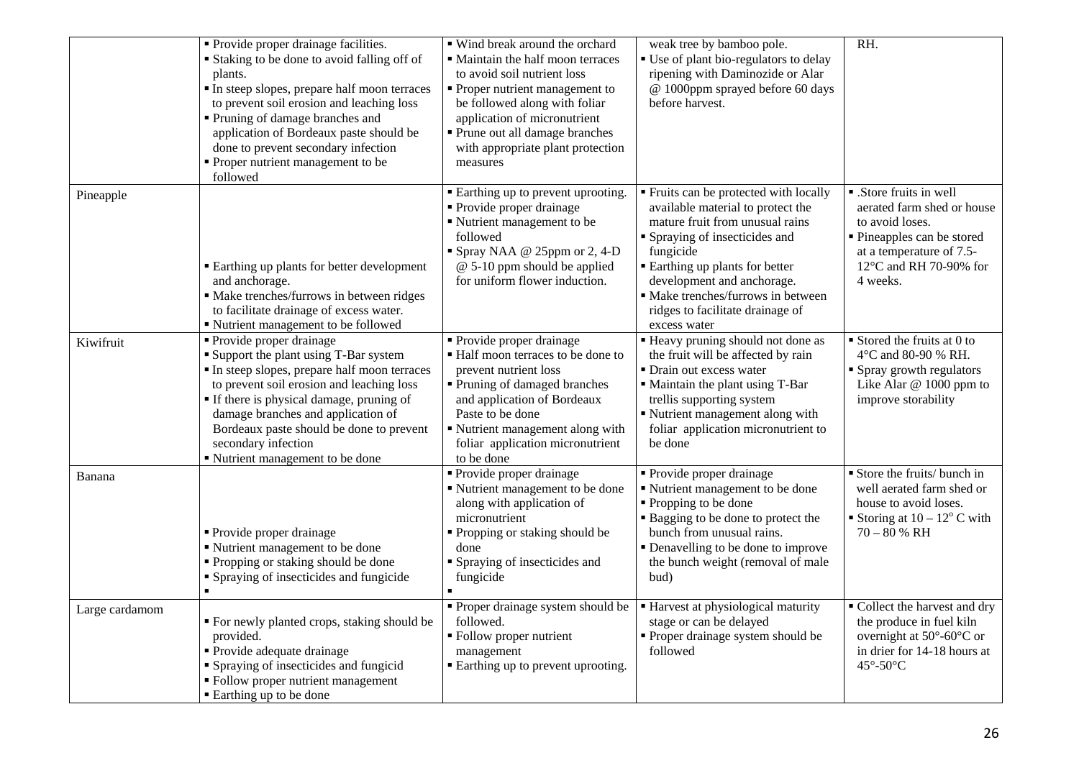|                | • Provide proper drainage facilities.<br><b>Staking to be done to avoid falling off of</b><br>plants.<br>In steep slopes, prepare half moon terraces<br>to prevent soil erosion and leaching loss<br>Pruning of damage branches and<br>application of Bordeaux paste should be<br>done to prevent secondary infection<br>• Proper nutrient management to be<br>followed | ■ Wind break around the orchard<br>• Maintain the half moon terraces<br>to avoid soil nutrient loss<br>• Proper nutrient management to<br>be followed along with foliar<br>application of micronutrient<br>Prune out all damage branches<br>with appropriate plant protection<br>measures | weak tree by bamboo pole.<br>" Use of plant bio-regulators to delay<br>ripening with Daminozide or Alar<br>@ 1000ppm sprayed before 60 days<br>before harvest.                                                                                                                                                              | RH.                                                                                                                                                                      |
|----------------|-------------------------------------------------------------------------------------------------------------------------------------------------------------------------------------------------------------------------------------------------------------------------------------------------------------------------------------------------------------------------|-------------------------------------------------------------------------------------------------------------------------------------------------------------------------------------------------------------------------------------------------------------------------------------------|-----------------------------------------------------------------------------------------------------------------------------------------------------------------------------------------------------------------------------------------------------------------------------------------------------------------------------|--------------------------------------------------------------------------------------------------------------------------------------------------------------------------|
| Pineapple      | <b>Earthing up plants for better development</b><br>and anchorage.<br>· Make trenches/furrows in between ridges<br>to facilitate drainage of excess water.<br>• Nutrient management to be followed                                                                                                                                                                      | <b>Earthing up to prevent uprooting.</b><br>• Provide proper drainage<br>Nutrient management to be<br>followed<br>Spray NAA @ 25ppm or 2, 4-D<br>@ 5-10 ppm should be applied<br>for uniform flower induction.                                                                            | " Fruits can be protected with locally<br>available material to protect the<br>mature fruit from unusual rains<br>Spraying of insecticides and<br>fungicide<br><b>Earthing up plants for better</b><br>development and anchorage.<br>• Make trenches/furrows in between<br>ridges to facilitate drainage of<br>excess water | • .Store fruits in well<br>aerated farm shed or house<br>to avoid loses.<br>• Pineapples can be stored<br>at a temperature of 7.5-<br>12°C and RH 70-90% for<br>4 weeks. |
| Kiwifruit      | • Provide proper drainage<br><b>Support the plant using T-Bar system</b><br>In steep slopes, prepare half moon terraces<br>to prevent soil erosion and leaching loss<br>• If there is physical damage, pruning of<br>damage branches and application of<br>Bordeaux paste should be done to prevent<br>secondary infection<br>Nutrient management to be done            | • Provide proper drainage<br>• Half moon terraces to be done to<br>prevent nutrient loss<br>• Pruning of damaged branches<br>and application of Bordeaux<br>Paste to be done<br>Nutrient management along with<br>foliar application micronutrient<br>to be done                          | <b>Heavy pruning should not done as</b><br>the fruit will be affected by rain<br>· Drain out excess water<br>• Maintain the plant using T-Bar<br>trellis supporting system<br>Nutrient management along with<br>foliar application micronutrient to<br>be done                                                              | $\blacksquare$ Stored the fruits at 0 to<br>4°C and 80-90 % RH.<br>• Spray growth regulators<br>Like Alar @ 1000 ppm to<br>improve storability                           |
| Banana         | • Provide proper drainage<br>■ Nutrient management to be done<br>• Propping or staking should be done<br>• Spraying of insecticides and fungicide<br>$\blacksquare$                                                                                                                                                                                                     | Provide proper drainage<br>Nutrient management to be done<br>along with application of<br>micronutrient<br>" Propping or staking should be<br>done<br>• Spraying of insecticides and<br>fungicide                                                                                         | · Provide proper drainage<br>■ Nutrient management to be done<br>• Propping to be done<br><b>Bagging to be done to protect the</b><br>bunch from unusual rains.<br>• Denavelling to be done to improve<br>the bunch weight (removal of male<br>bud)                                                                         | Store the fruits/ bunch in<br>well aerated farm shed or<br>house to avoid loses.<br>Storing at $10 - 12^{\circ}$ C with<br>$70 - 80 %$ RH                                |
| Large cardamom | " For newly planted crops, staking should be<br>provided.<br>• Provide adequate drainage<br>• Spraying of insecticides and fungicid<br>• Follow proper nutrient management<br>■ Earthing up to be done                                                                                                                                                                  | • Proper drainage system should be<br>followed.<br>• Follow proper nutrient<br>management<br>■ Earthing up to prevent uprooting.                                                                                                                                                          | <b>Harvest at physiological maturity</b><br>stage or can be delayed<br>• Proper drainage system should be<br>followed                                                                                                                                                                                                       | • Collect the harvest and dry<br>the produce in fuel kiln<br>overnight at $50^{\circ}$ -60 $^{\circ}$ C or<br>in drier for 14-18 hours at<br>45°-50°C                    |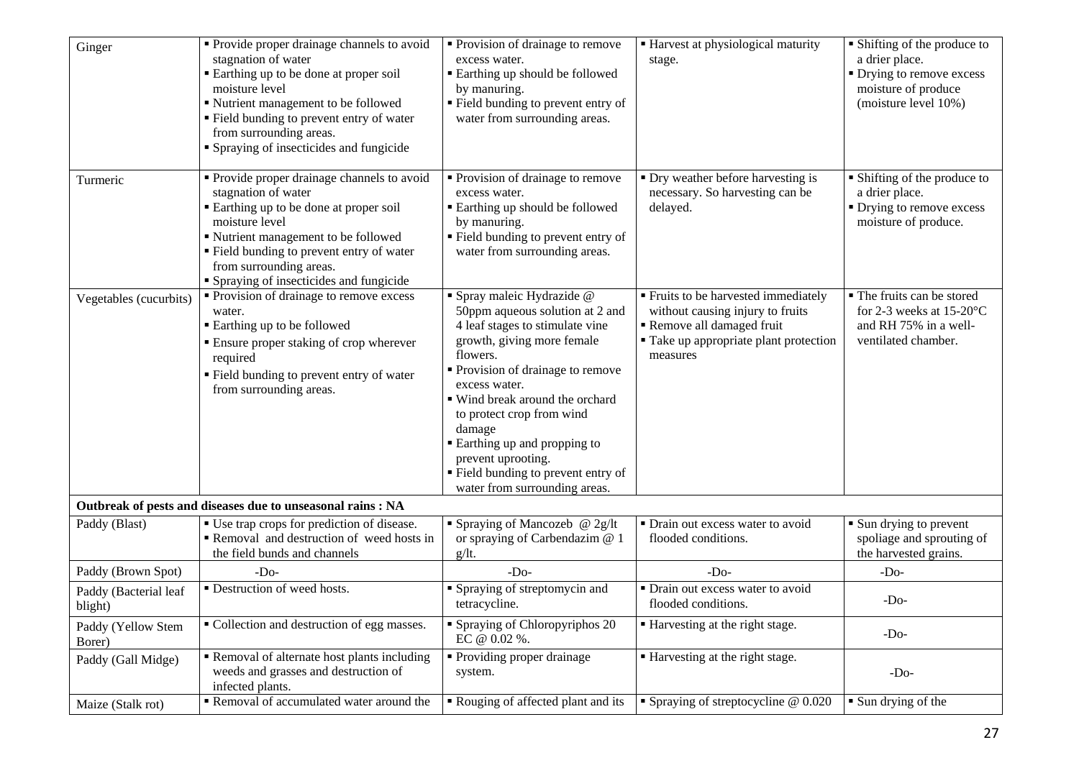| Ginger                           | Provide proper drainage channels to avoid<br>stagnation of water<br>Earthing up to be done at proper soil<br>moisture level<br>" Nutrient management to be followed<br>" Field bunding to prevent entry of water<br>from surrounding areas.<br>• Spraying of insecticides and fungicide     | • Provision of drainage to remove<br>excess water.<br>■ Earthing up should be followed<br>by manuring.<br>" Field bunding to prevent entry of<br>water from surrounding areas.                                                                                                                                                                                                                             | <b>Harvest at physiological maturity</b><br>stage.                                                                                                              | • Shifting of the produce to<br>a drier place.<br>• Drying to remove excess<br>moisture of produce<br>(moisture level 10%) |
|----------------------------------|---------------------------------------------------------------------------------------------------------------------------------------------------------------------------------------------------------------------------------------------------------------------------------------------|------------------------------------------------------------------------------------------------------------------------------------------------------------------------------------------------------------------------------------------------------------------------------------------------------------------------------------------------------------------------------------------------------------|-----------------------------------------------------------------------------------------------------------------------------------------------------------------|----------------------------------------------------------------------------------------------------------------------------|
| Turmeric                         | • Provide proper drainage channels to avoid<br>stagnation of water<br>■ Earthing up to be done at proper soil<br>moisture level<br>■ Nutrient management to be followed<br>" Field bunding to prevent entry of water<br>from surrounding areas.<br>• Spraying of insecticides and fungicide | • Provision of drainage to remove<br>excess water.<br>■ Earthing up should be followed<br>by manuring.<br>" Field bunding to prevent entry of<br>water from surrounding areas.                                                                                                                                                                                                                             | • Dry weather before harvesting is<br>necessary. So harvesting can be<br>delayed.                                                                               | • Shifting of the produce to<br>a drier place.<br>• Drying to remove excess<br>moisture of produce.                        |
| Vegetables (cucurbits)           | • Provision of drainage to remove excess<br>water.<br>■ Earthing up to be followed<br><b>Ensure proper staking of crop wherever</b><br>required<br>" Field bunding to prevent entry of water<br>from surrounding areas.                                                                     | Spray maleic Hydrazide @<br>50ppm aqueous solution at 2 and<br>4 leaf stages to stimulate vine<br>growth, giving more female<br>flowers.<br>Provision of drainage to remove<br>excess water.<br>■ Wind break around the orchard<br>to protect crop from wind<br>damage<br><b>Earthing up and propping to</b><br>prevent uprooting.<br>" Field bunding to prevent entry of<br>water from surrounding areas. | <b>Fruits to be harvested immediately</b><br>without causing injury to fruits<br>Remove all damaged fruit<br>" Take up appropriate plant protection<br>measures | • The fruits can be stored<br>for 2-3 weeks at 15-20 $\mathrm{^{\circ}C}$<br>and RH 75% in a well-<br>ventilated chamber.  |
|                                  | Outbreak of pests and diseases due to unseasonal rains : NA                                                                                                                                                                                                                                 |                                                                                                                                                                                                                                                                                                                                                                                                            |                                                                                                                                                                 |                                                                                                                            |
| Paddy (Blast)                    | • Use trap crops for prediction of disease.<br>Removal and destruction of weed hosts in<br>the field bunds and channels                                                                                                                                                                     | <b>Spraying of Mancozeb</b> @ $2g/lt$<br>or spraying of Carbendazim @ 1<br>g/It.                                                                                                                                                                                                                                                                                                                           | · Drain out excess water to avoid<br>flooded conditions.                                                                                                        | • Sun drying to prevent<br>spoliage and sprouting of<br>the harvested grains.                                              |
| Paddy (Brown Spot)               | $-Do-$                                                                                                                                                                                                                                                                                      | $-Do-$                                                                                                                                                                                                                                                                                                                                                                                                     | $-Do-$                                                                                                                                                          | $-Do-$                                                                                                                     |
| Paddy (Bacterial leaf<br>blight) | • Destruction of weed hosts.                                                                                                                                                                                                                                                                | • Spraying of streptomycin and<br>tetracycline.                                                                                                                                                                                                                                                                                                                                                            | • Drain out excess water to avoid<br>flooded conditions.                                                                                                        | $-Do-$                                                                                                                     |
| Paddy (Yellow Stem<br>Borer)     | • Collection and destruction of egg masses.                                                                                                                                                                                                                                                 | • Spraying of Chloropyriphos 20<br>EC @ 0.02 %.                                                                                                                                                                                                                                                                                                                                                            | ■ Harvesting at the right stage.                                                                                                                                | $-Do-$                                                                                                                     |
| Paddy (Gall Midge)               | Removal of alternate host plants including<br>weeds and grasses and destruction of<br>infected plants.                                                                                                                                                                                      | • Providing proper drainage<br>system.                                                                                                                                                                                                                                                                                                                                                                     | ■ Harvesting at the right stage.                                                                                                                                | $-Do-$                                                                                                                     |
| Maize (Stalk rot)                | Removal of accumulated water around the                                                                                                                                                                                                                                                     | Rouging of affected plant and its                                                                                                                                                                                                                                                                                                                                                                          | • Spraying of streptocycline $@$ 0.020                                                                                                                          | • Sun drying of the                                                                                                        |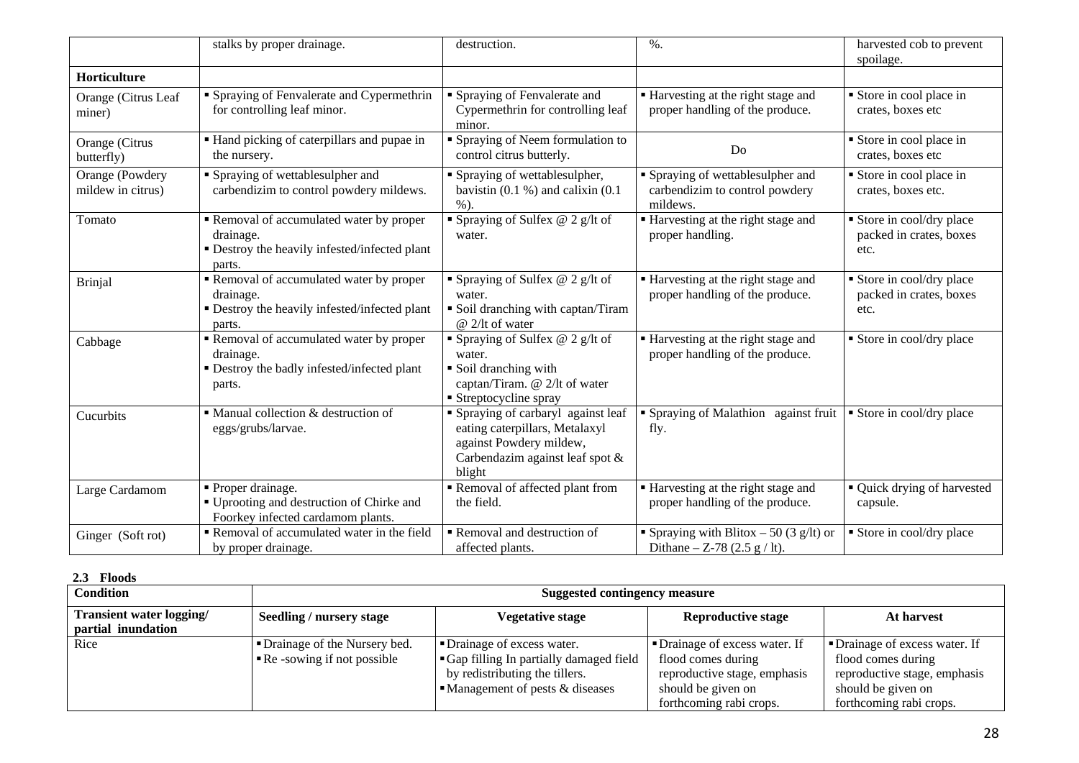|                                      | stalks by proper drainage.                                                                                     | destruction.                                                                                                                                  | $%$ .                                                                                           | harvested cob to prevent<br>spoilage.                      |
|--------------------------------------|----------------------------------------------------------------------------------------------------------------|-----------------------------------------------------------------------------------------------------------------------------------------------|-------------------------------------------------------------------------------------------------|------------------------------------------------------------|
| Horticulture                         |                                                                                                                |                                                                                                                                               |                                                                                                 |                                                            |
| Orange (Citrus Leaf<br>miner)        | • Spraying of Fenvalerate and Cypermethrin<br>for controlling leaf minor.                                      | Spraying of Fenvalerate and<br>Cypermethrin for controlling leaf<br>minor.                                                                    | ■ Harvesting at the right stage and<br>proper handling of the produce.                          | Store in cool place in<br>crates, boxes etc.               |
| Orange (Citrus<br>butterfly)         | • Hand picking of caterpillars and pupae in<br>the nursery.                                                    | Spraying of Neem formulation to<br>control citrus butterly.                                                                                   | Do                                                                                              | Store in cool place in<br>crates, boxes etc                |
| Orange (Powdery<br>mildew in citrus) | • Spraying of wettablesulpher and<br>carbendizim to control powdery mildews.                                   | Spraying of wettablesulpher,<br>bavistin $(0.1 %)$ and calixin $(0.1 %)$<br>$%$ ).                                                            | • Spraying of wettablesulpher and<br>carbendizim to control powdery<br>mildews.                 | Store in cool place in<br>crates, boxes etc.               |
| Tomato                               | Removal of accumulated water by proper<br>drainage.<br>• Destroy the heavily infested/infected plant<br>parts. | Spraying of Sulfex $@$ 2 g/lt of<br>water.                                                                                                    | Harvesting at the right stage and<br>proper handling.                                           | Store in cool/dry place<br>packed in crates, boxes<br>etc. |
| <b>Brinjal</b>                       | Removal of accumulated water by proper<br>drainage.<br>• Destroy the heavily infested/infected plant<br>parts. | Spraying of Sulfex $@$ 2 g/lt of<br>water.<br>Soil dranching with captan/Tiram<br>$@2/lt$ of water                                            | ■ Harvesting at the right stage and<br>proper handling of the produce.                          | Store in cool/dry place<br>packed in crates, boxes<br>etc. |
| Cabbage                              | Removal of accumulated water by proper<br>drainage.<br>• Destroy the badly infested/infected plant<br>parts.   | Spraying of Sulfex @ 2 g/lt of<br>water.<br>Soil dranching with<br>captan/Tiram. @ 2/lt of water<br>• Streptocycline spray                    | ■ Harvesting at the right stage and<br>proper handling of the produce.                          | • Store in cool/dry place                                  |
| Cucurbits                            | • Manual collection & destruction of<br>eggs/grubs/larvae.                                                     | • Spraying of carbaryl against leaf<br>eating caterpillars, Metalaxyl<br>against Powdery mildew,<br>Carbendazim against leaf spot &<br>blight | • Spraying of Malathion against fruit<br>fly.                                                   | • Store in cool/dry place                                  |
| Large Cardamom                       | • Proper drainage.<br>■ Uprooting and destruction of Chirke and<br>Foorkey infected cardamom plants.           | Removal of affected plant from<br>the field.                                                                                                  | ■ Harvesting at the right stage and<br>proper handling of the produce.                          | • Quick drying of harvested<br>capsule.                    |
| Ginger (Soft rot)                    | Removal of accumulated water in the field<br>by proper drainage.                                               | Removal and destruction of<br>affected plants.                                                                                                | Spraying with Blitox $-50(3 \text{ g/lt})$ or<br>Dithane – Z-78 $(2.5 \text{ g} / \text{lt})$ . | Store in cool/dry place                                    |

| <b>Floods</b><br>2.3                           |                                                                             |                                                                                                                                                          |                                                                                                                                       |                                                                                                                                       |
|------------------------------------------------|-----------------------------------------------------------------------------|----------------------------------------------------------------------------------------------------------------------------------------------------------|---------------------------------------------------------------------------------------------------------------------------------------|---------------------------------------------------------------------------------------------------------------------------------------|
| <b>Condition</b>                               | <b>Suggested contingency measure</b>                                        |                                                                                                                                                          |                                                                                                                                       |                                                                                                                                       |
| Transient water logging/<br>partial inundation | Seedling / nursery stage                                                    | Vegetative stage                                                                                                                                         | <b>Reproductive stage</b>                                                                                                             | At harvest                                                                                                                            |
| Rice                                           | • Drainage of the Nursery bed.<br>$\blacksquare$ Re -sowing if not possible | • Drainage of excess water.<br>Gap filling In partially damaged field<br>by redistributing the tillers.<br>$\blacksquare$ Management of pests & diseases | • Drainage of excess water. If<br>flood comes during<br>reproductive stage, emphasis<br>should be given on<br>forthcoming rabi crops. | • Drainage of excess water. If<br>flood comes during<br>reproductive stage, emphasis<br>should be given on<br>forthcoming rabi crops. |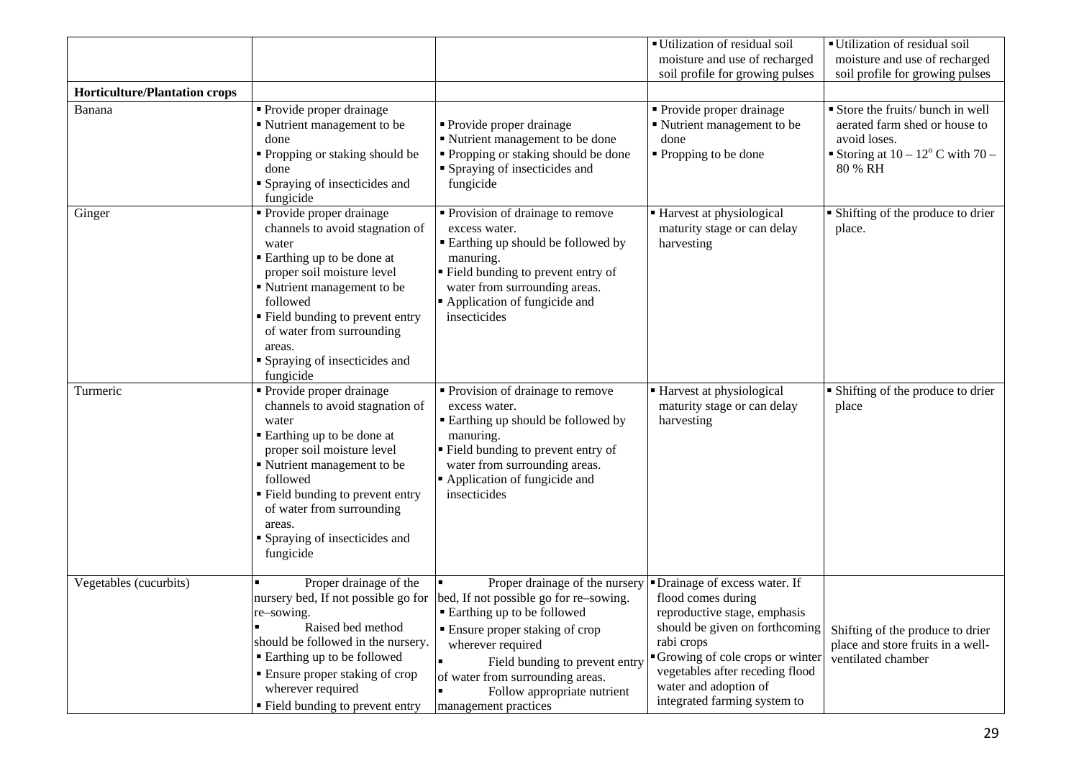|                                      |                                                                                                                                                                                                                                                                                                   |                                                                                                                                                                                                                                                                                                                                                          | Utilization of residual soil<br>moisture and use of recharged<br>soil profile for growing pulses                                                                                                                                                                    | Utilization of residual soil<br>moisture and use of recharged<br>soil profile for growing pulses                                      |
|--------------------------------------|---------------------------------------------------------------------------------------------------------------------------------------------------------------------------------------------------------------------------------------------------------------------------------------------------|----------------------------------------------------------------------------------------------------------------------------------------------------------------------------------------------------------------------------------------------------------------------------------------------------------------------------------------------------------|---------------------------------------------------------------------------------------------------------------------------------------------------------------------------------------------------------------------------------------------------------------------|---------------------------------------------------------------------------------------------------------------------------------------|
| <b>Horticulture/Plantation crops</b> |                                                                                                                                                                                                                                                                                                   |                                                                                                                                                                                                                                                                                                                                                          |                                                                                                                                                                                                                                                                     |                                                                                                                                       |
| Banana                               | Provide proper drainage<br>Nutrient management to be<br>done<br>• Propping or staking should be<br>done<br>• Spraying of insecticides and<br>fungicide                                                                                                                                            | • Provide proper drainage<br>" Nutrient management to be done<br>" Propping or staking should be done<br><b>S</b> praying of insecticides and<br>fungicide                                                                                                                                                                                               | • Provide proper drainage<br>• Nutrient management to be<br>done<br>• Propping to be done                                                                                                                                                                           | Store the fruits/ bunch in well<br>aerated farm shed or house to<br>avoid loses.<br>Storing at $10-12^{\circ}$ C with 70 –<br>80 % RH |
| Ginger                               | • Provide proper drainage<br>channels to avoid stagnation of<br>water<br>Earthing up to be done at<br>proper soil moisture level<br>Nutrient management to be<br>followed<br>• Field bunding to prevent entry<br>of water from surrounding<br>areas.<br>Spraying of insecticides and<br>fungicide | • Provision of drainage to remove<br>excess water.<br><b>Earthing up should be followed by</b><br>manuring.<br>Field bunding to prevent entry of<br>water from surrounding areas.<br>Application of fungicide and<br>insecticides                                                                                                                        | Harvest at physiological<br>maturity stage or can delay<br>harvesting                                                                                                                                                                                               | • Shifting of the produce to drier<br>place.                                                                                          |
| Turmeric                             | • Provide proper drainage<br>channels to avoid stagnation of<br>water<br>Earthing up to be done at<br>proper soil moisture level<br>Nutrient management to be<br>followed<br>" Field bunding to prevent entry<br>of water from surrounding<br>areas.<br>Spraying of insecticides and<br>fungicide | • Provision of drainage to remove<br>excess water.<br><b>Earthing up should be followed by</b><br>manuring.<br>" Field bunding to prevent entry of<br>water from surrounding areas.<br>Application of fungicide and<br>insecticides                                                                                                                      | • Harvest at physiological<br>maturity stage or can delay<br>harvesting                                                                                                                                                                                             | • Shifting of the produce to drier<br>place                                                                                           |
| Vegetables (cucurbits)               | Proper drainage of the<br>re-sowing.<br>Raised bed method<br>should be followed in the nursery.<br>■ Earthing up to be followed<br>• Ensure proper staking of crop<br>wherever required<br>• Field bunding to prevent entry                                                                       | Proper drainage of the nursery<br>nursery bed, If not possible go for bed, If not possible go for re-sowing.<br>■ Earthing up to be followed<br><b>Ensure proper staking of crop</b><br>wherever required<br>$\blacksquare$<br>Field bunding to prevent entry<br>of water from surrounding areas.<br>Follow appropriate nutrient<br>management practices | • Drainage of excess water. If<br>flood comes during<br>reproductive stage, emphasis<br>should be given on forthcoming<br>rabi crops<br>Growing of cole crops or winter<br>vegetables after receding flood<br>water and adoption of<br>integrated farming system to | Shifting of the produce to drier<br>place and store fruits in a well-<br>ventilated chamber                                           |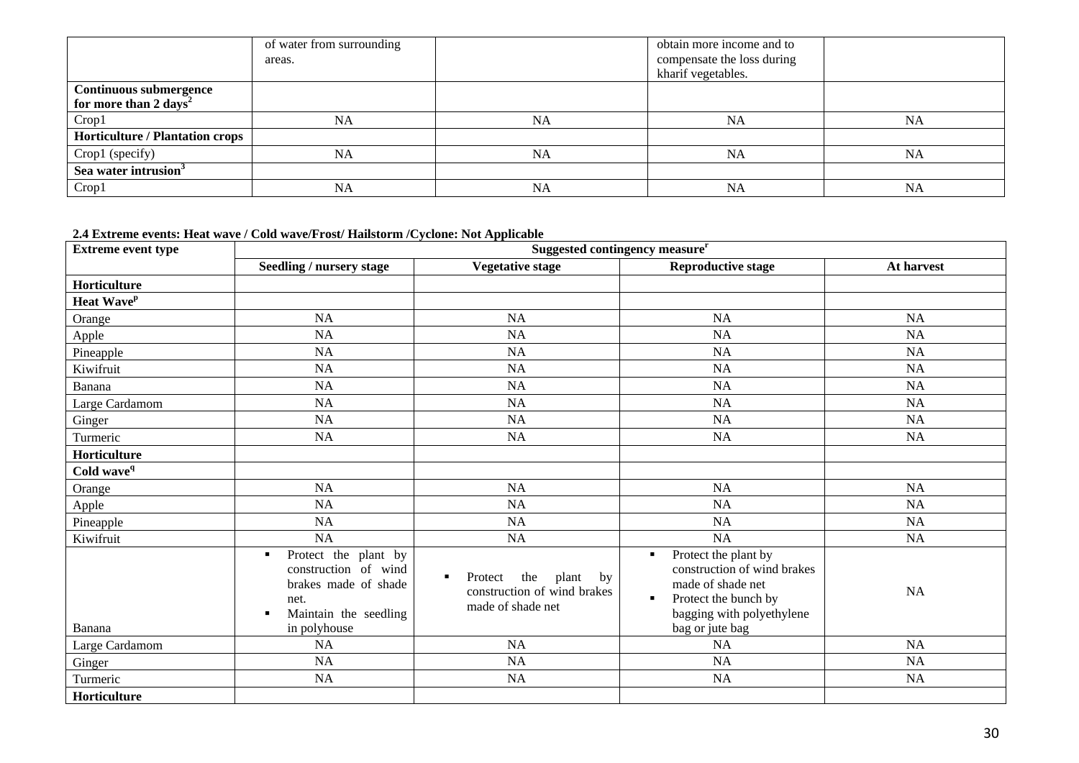|                                        | of water from surrounding |           | obtain more income and to  |           |
|----------------------------------------|---------------------------|-----------|----------------------------|-----------|
|                                        | areas.                    |           | compensate the loss during |           |
|                                        |                           |           | kharif vegetables.         |           |
| <b>Continuous submergence</b>          |                           |           |                            |           |
| for more than 2 days <sup>2</sup>      |                           |           |                            |           |
| Crop1                                  | <b>NA</b>                 | NA        | NA                         | NA        |
| <b>Horticulture / Plantation crops</b> |                           |           |                            |           |
| Crop1 (specify)                        | <b>NA</b>                 | <b>NA</b> | <b>NA</b>                  | <b>NA</b> |
| Sea water intrusion <sup>3</sup>       |                           |           |                            |           |
| Crop1                                  | <b>NA</b>                 | NA        | <b>NA</b>                  | <b>NA</b> |

**2.4 Extreme events: Heat wave / Cold wave/Frost/ Hailstorm /Cyclone: Not Applicable**

| <b>Extreme event type</b> | Suggested contingency measure <sup>r</sup>                                                                                              |                                                                                        |                                                                                                                                                                                      |            |  |
|---------------------------|-----------------------------------------------------------------------------------------------------------------------------------------|----------------------------------------------------------------------------------------|--------------------------------------------------------------------------------------------------------------------------------------------------------------------------------------|------------|--|
|                           | <b>Seedling / nursery stage</b>                                                                                                         | <b>Vegetative stage</b>                                                                | <b>Reproductive stage</b>                                                                                                                                                            | At harvest |  |
| Horticulture              |                                                                                                                                         |                                                                                        |                                                                                                                                                                                      |            |  |
| Heat Wave <sup>p</sup>    |                                                                                                                                         |                                                                                        |                                                                                                                                                                                      |            |  |
| Orange                    | <b>NA</b>                                                                                                                               | <b>NA</b>                                                                              | <b>NA</b>                                                                                                                                                                            | <b>NA</b>  |  |
| Apple                     | <b>NA</b>                                                                                                                               | NA                                                                                     | <b>NA</b>                                                                                                                                                                            | <b>NA</b>  |  |
| Pineapple                 | <b>NA</b>                                                                                                                               | NA                                                                                     | <b>NA</b>                                                                                                                                                                            | <b>NA</b>  |  |
| Kiwifruit                 | NA                                                                                                                                      | NA                                                                                     | <b>NA</b>                                                                                                                                                                            | <b>NA</b>  |  |
| Banana                    | <b>NA</b>                                                                                                                               | <b>NA</b>                                                                              | <b>NA</b>                                                                                                                                                                            | <b>NA</b>  |  |
| Large Cardamom            | <b>NA</b>                                                                                                                               | NA                                                                                     | <b>NA</b>                                                                                                                                                                            | NA         |  |
| Ginger                    | <b>NA</b>                                                                                                                               | NA                                                                                     | <b>NA</b>                                                                                                                                                                            | $\rm NA$   |  |
| Turmeric                  | <b>NA</b>                                                                                                                               | $\rm NA$                                                                               | NA                                                                                                                                                                                   | <b>NA</b>  |  |
| Horticulture              |                                                                                                                                         |                                                                                        |                                                                                                                                                                                      |            |  |
| Cold wave <sup>q</sup>    |                                                                                                                                         |                                                                                        |                                                                                                                                                                                      |            |  |
| Orange                    | NA                                                                                                                                      | NA                                                                                     | <b>NA</b>                                                                                                                                                                            | <b>NA</b>  |  |
| Apple                     | <b>NA</b>                                                                                                                               | NA                                                                                     | <b>NA</b>                                                                                                                                                                            | <b>NA</b>  |  |
| Pineapple                 | <b>NA</b>                                                                                                                               | NA                                                                                     | <b>NA</b>                                                                                                                                                                            | <b>NA</b>  |  |
| Kiwifruit                 | NA                                                                                                                                      | NA                                                                                     | <b>NA</b>                                                                                                                                                                            | <b>NA</b>  |  |
| Banana                    | Protect the plant by<br>$\blacksquare$<br>construction of wind<br>brakes made of shade<br>net.<br>Maintain the seedling<br>in polyhouse | the<br>plant<br>Protect<br>by<br>٠<br>construction of wind brakes<br>made of shade net | Protect the plant by<br>$\blacksquare$<br>construction of wind brakes<br>made of shade net<br>Protect the bunch by<br>$\blacksquare$<br>bagging with polyethylene<br>bag or jute bag | <b>NA</b>  |  |
| Large Cardamom            | <b>NA</b>                                                                                                                               | <b>NA</b>                                                                              | <b>NA</b>                                                                                                                                                                            | <b>NA</b>  |  |
| Ginger                    | $\rm NA$                                                                                                                                | $\rm NA$                                                                               | NA                                                                                                                                                                                   | $\rm NA$   |  |
| Turmeric                  | <b>NA</b>                                                                                                                               | <b>NA</b>                                                                              | <b>NA</b>                                                                                                                                                                            | <b>NA</b>  |  |
| Horticulture              |                                                                                                                                         |                                                                                        |                                                                                                                                                                                      |            |  |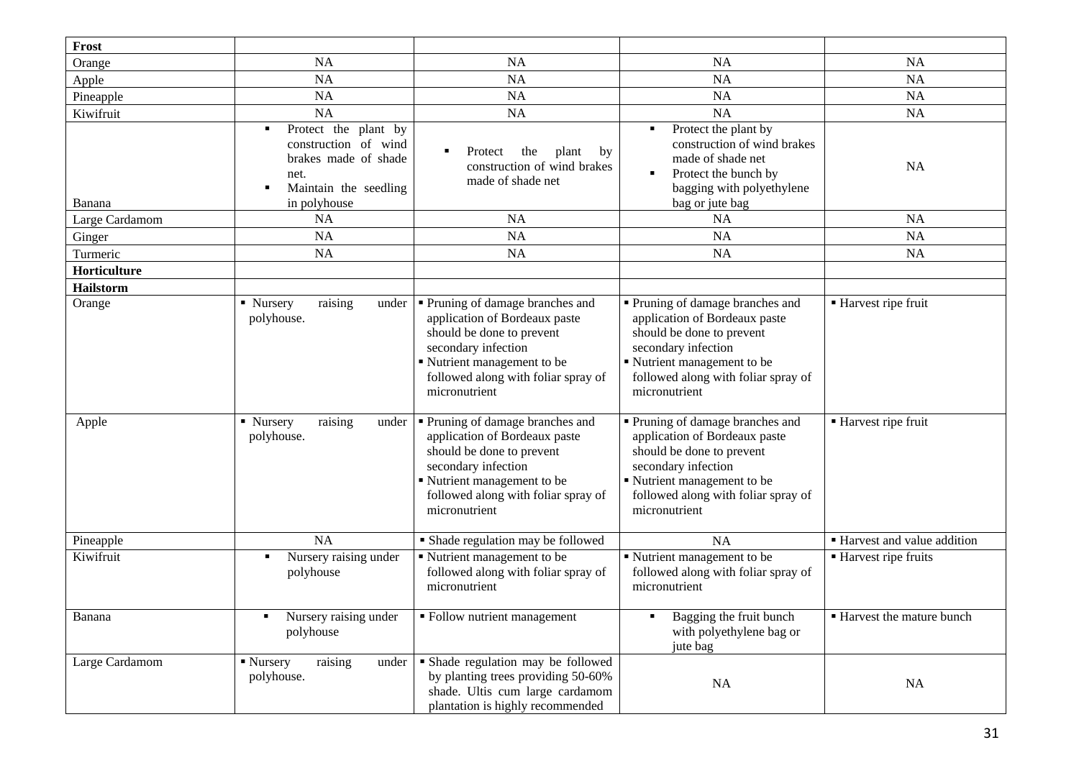| Frost          |                                                                                                                            |                                                                                                                                                                                                            |                                                                                                                                                                                                            |                              |
|----------------|----------------------------------------------------------------------------------------------------------------------------|------------------------------------------------------------------------------------------------------------------------------------------------------------------------------------------------------------|------------------------------------------------------------------------------------------------------------------------------------------------------------------------------------------------------------|------------------------------|
| Orange         | <b>NA</b>                                                                                                                  | <b>NA</b>                                                                                                                                                                                                  | <b>NA</b>                                                                                                                                                                                                  | <b>NA</b>                    |
| Apple          | <b>NA</b>                                                                                                                  | NA                                                                                                                                                                                                         | <b>NA</b>                                                                                                                                                                                                  | <b>NA</b>                    |
| Pineapple      | <b>NA</b>                                                                                                                  | NA                                                                                                                                                                                                         | NA                                                                                                                                                                                                         | <b>NA</b>                    |
| Kiwifruit      | <b>NA</b>                                                                                                                  | NA                                                                                                                                                                                                         | NA                                                                                                                                                                                                         | <b>NA</b>                    |
| Banana         | Protect the plant by<br>٠<br>construction of wind<br>brakes made of shade<br>net.<br>Maintain the seedling<br>in polyhouse | Protect<br>the<br>plant<br>$\blacksquare$<br>by<br>construction of wind brakes<br>made of shade net                                                                                                        | Protect the plant by<br>х<br>construction of wind brakes<br>made of shade net<br>Protect the bunch by<br>п<br>bagging with polyethylene<br>bag or jute bag                                                 | <b>NA</b>                    |
| Large Cardamom | <b>NA</b>                                                                                                                  | NA                                                                                                                                                                                                         | <b>NA</b>                                                                                                                                                                                                  | <b>NA</b>                    |
| Ginger         | <b>NA</b>                                                                                                                  | NA                                                                                                                                                                                                         | <b>NA</b>                                                                                                                                                                                                  | <b>NA</b>                    |
| Turmeric       | NA                                                                                                                         | NA                                                                                                                                                                                                         | <b>NA</b>                                                                                                                                                                                                  | <b>NA</b>                    |
| Horticulture   |                                                                                                                            |                                                                                                                                                                                                            |                                                                                                                                                                                                            |                              |
| Hailstorm      |                                                                                                                            |                                                                                                                                                                                                            |                                                                                                                                                                                                            |                              |
| Orange         | raising<br>$\blacksquare$ Nursery<br>under<br>polyhouse.                                                                   | Pruning of damage branches and<br>application of Bordeaux paste<br>should be done to prevent<br>secondary infection<br>Nutrient management to be<br>followed along with foliar spray of<br>micronutrient   | Pruning of damage branches and<br>application of Bordeaux paste<br>should be done to prevent<br>secondary infection<br>Nutrient management to be<br>followed along with foliar spray of<br>micronutrient   | ■ Harvest ripe fruit         |
| Apple          | raising<br>• Nursery<br>under<br>polyhouse.                                                                                | • Pruning of damage branches and<br>application of Bordeaux paste<br>should be done to prevent<br>secondary infection<br>Nutrient management to be<br>followed along with foliar spray of<br>micronutrient | • Pruning of damage branches and<br>application of Bordeaux paste<br>should be done to prevent<br>secondary infection<br>Nutrient management to be<br>followed along with foliar spray of<br>micronutrient | ■ Harvest ripe fruit         |
| Pineapple      | <b>NA</b>                                                                                                                  | • Shade regulation may be followed                                                                                                                                                                         | NA                                                                                                                                                                                                         | • Harvest and value addition |
| Kiwifruit      | Nursery raising under<br>polyhouse                                                                                         | Nutrient management to be<br>followed along with foliar spray of<br>micronutrient                                                                                                                          | Nutrient management to be<br>followed along with foliar spray of<br>micronutrient                                                                                                                          | ■ Harvest ripe fruits        |
| Banana         | Nursery raising under<br>polyhouse                                                                                         | • Follow nutrient management                                                                                                                                                                               | Bagging the fruit bunch<br>with polyethylene bag or<br>jute bag                                                                                                                                            | ■ Harvest the mature bunch   |
| Large Cardamom | • Nursery<br>raising<br>under<br>polyhouse.                                                                                | • Shade regulation may be followed<br>by planting trees providing 50-60%<br>shade. Ultis cum large cardamom<br>plantation is highly recommended                                                            | NA                                                                                                                                                                                                         | NA                           |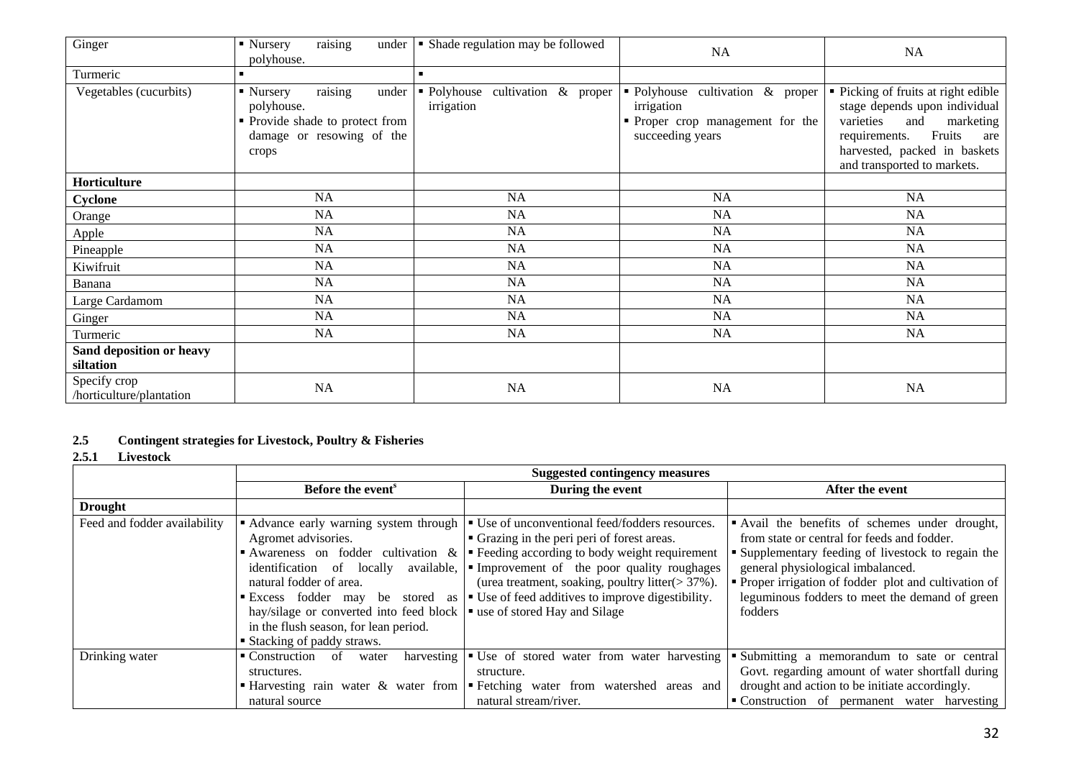| Ginger                                   | raising<br>$\blacksquare$ Nursery<br>under<br>polyhouse.                                                             | • Shade regulation may be followed                | NA                                                                                                     | NA                                                                                                                                                                                                     |
|------------------------------------------|----------------------------------------------------------------------------------------------------------------------|---------------------------------------------------|--------------------------------------------------------------------------------------------------------|--------------------------------------------------------------------------------------------------------------------------------------------------------------------------------------------------------|
| Turmeric                                 | $\blacksquare$                                                                                                       |                                                   |                                                                                                        |                                                                                                                                                                                                        |
| Vegetables (cucurbits)                   | raising<br>• Nursery<br>under<br>polyhouse.<br>• Provide shade to protect from<br>damage or resowing of the<br>crops | • Polyhouse<br>cultivation & proper<br>irrigation | • Polyhouse cultivation & proper<br>irrigation<br>• Proper crop management for the<br>succeeding years | • Picking of fruits at right edible<br>stage depends upon individual<br>varieties<br>and<br>marketing<br>Fruits<br>requirements.<br>are<br>harvested, packed in baskets<br>and transported to markets. |
| Horticulture                             |                                                                                                                      |                                                   |                                                                                                        |                                                                                                                                                                                                        |
| Cyclone                                  | NA                                                                                                                   | NA                                                | NA                                                                                                     | NA                                                                                                                                                                                                     |
| Orange                                   | <b>NA</b>                                                                                                            | NA                                                | NA                                                                                                     | NA                                                                                                                                                                                                     |
| Apple                                    | NA                                                                                                                   | NA                                                | NA                                                                                                     | NA                                                                                                                                                                                                     |
| Pineapple                                | NA                                                                                                                   | NA                                                | <b>NA</b>                                                                                              | NA                                                                                                                                                                                                     |
| Kiwifruit                                | NA                                                                                                                   | NA                                                | <b>NA</b>                                                                                              | <b>NA</b>                                                                                                                                                                                              |
| Banana                                   | <b>NA</b>                                                                                                            | NA                                                | <b>NA</b>                                                                                              | NA                                                                                                                                                                                                     |
| Large Cardamom                           | NA                                                                                                                   | NA                                                | NA                                                                                                     | NA                                                                                                                                                                                                     |
| Ginger                                   | NA                                                                                                                   | NA                                                | NA                                                                                                     | NA                                                                                                                                                                                                     |
| Turmeric                                 | NA                                                                                                                   | NA                                                | NA                                                                                                     | NA                                                                                                                                                                                                     |
| Sand deposition or heavy<br>siltation    |                                                                                                                      |                                                   |                                                                                                        |                                                                                                                                                                                                        |
| Specify crop<br>/horticulture/plantation | $\rm NA$                                                                                                             | NA                                                | <b>NA</b>                                                                                              | NA                                                                                                                                                                                                     |

## **2.5 Contingent strategies for Livestock, Poultry & Fisheries**

## **2.5.1 Livestock**

|                              | <b>Suggested contingency measures</b>                                                                                                                                                                                                                                                                                                                                             |                                                                                                                                                                                                                                                                                                          |                                                                                                                                                                                                                                                                                                              |  |
|------------------------------|-----------------------------------------------------------------------------------------------------------------------------------------------------------------------------------------------------------------------------------------------------------------------------------------------------------------------------------------------------------------------------------|----------------------------------------------------------------------------------------------------------------------------------------------------------------------------------------------------------------------------------------------------------------------------------------------------------|--------------------------------------------------------------------------------------------------------------------------------------------------------------------------------------------------------------------------------------------------------------------------------------------------------------|--|
|                              | Before the event <sup>s</sup>                                                                                                                                                                                                                                                                                                                                                     | During the event                                                                                                                                                                                                                                                                                         | After the event                                                                                                                                                                                                                                                                                              |  |
| <b>Drought</b>               |                                                                                                                                                                                                                                                                                                                                                                                   |                                                                                                                                                                                                                                                                                                          |                                                                                                                                                                                                                                                                                                              |  |
| Feed and fodder availability | • Advance early warning system through<br>Agromet advisories.<br>Awareness on fodder cultivation $\&$<br>available,<br>identification of locally<br>natural fodder of area.<br>Excess fodder may be stored as<br>hay/silage or converted into feed block $\vert \cdot \vert$ use of stored Hay and Silage<br>in the flush season, for lean period.<br>■ Stacking of paddy straws. | • Use of unconventional feed/fodders resources.<br>• Grazing in the peri peri of forest areas.<br>Eveling according to body weight requirement<br>Improvement of the poor quality roughages<br>(urea treatment, soaking, poultry litter $(>37\%)$ .<br>• Use of feed additives to improve digestibility. | Avail the benefits of schemes under drought,<br>from state or central for feeds and fodder.<br>• Supplementary feeding of livestock to regain the<br>general physiological imbalanced.<br>• Proper irrigation of fodder plot and cultivation of<br>leguminous fodders to meet the demand of green<br>fodders |  |
| Drinking water               | $\blacksquare$ Construction<br>of<br>water<br>structures.<br>natural source                                                                                                                                                                                                                                                                                                       | harvesting $\bullet$ Use of stored water from water harvesting<br>structure.<br>• Harvesting rain water & water from • Fetching water from watershed areas and<br>natural stream/river.                                                                                                                  | Submitting a memorandum to sate or central<br>Govt. regarding amount of water shortfall during<br>drought and action to be initiate accordingly.<br>• Construction of permanent water harvesting                                                                                                             |  |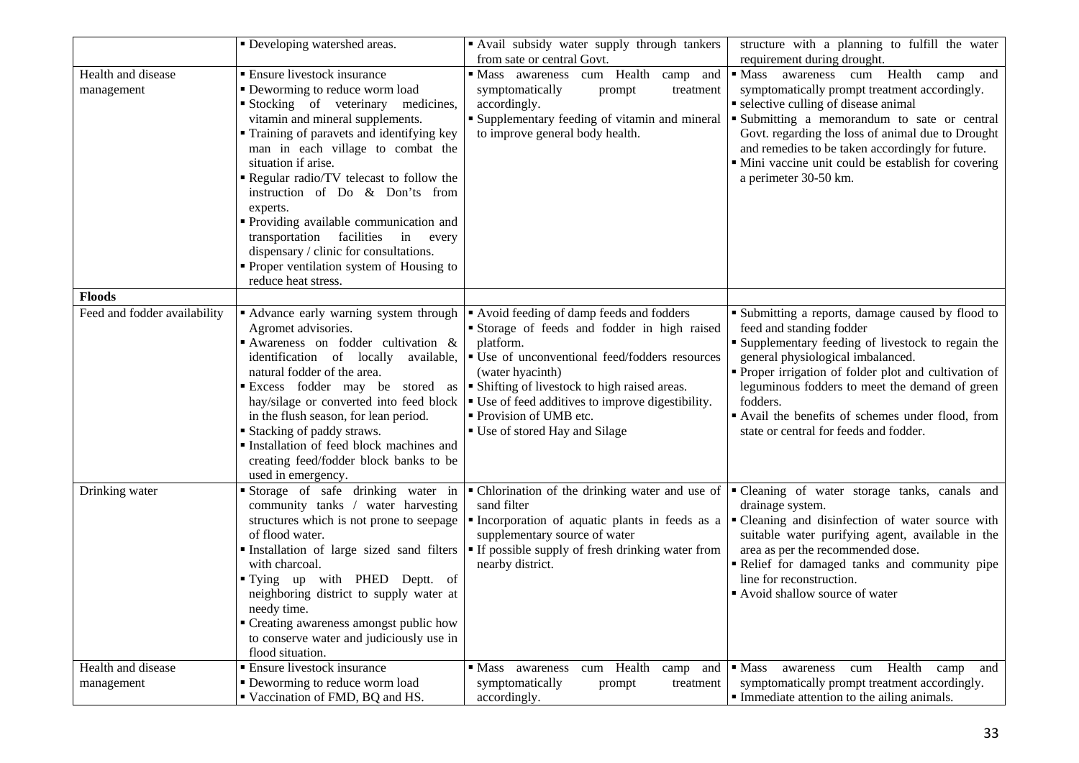|                              | • Developing watershed areas.                                | " Avail subsidy water supply through tankers<br>from sate or central Govt. | structure with a planning to fulfill the water<br>requirement during drought.                 |
|------------------------------|--------------------------------------------------------------|----------------------------------------------------------------------------|-----------------------------------------------------------------------------------------------|
| Health and disease           | <b>Ensure livestock insurance</b>                            | cum Health camp<br>• Mass awareness<br>and                                 | · Mass awareness cum Health camp and                                                          |
| management                   | · Deworming to reduce worm load                              | symptomatically<br>prompt<br>treatment                                     | symptomatically prompt treatment accordingly.                                                 |
|                              | Stocking of veterinary medicines,                            | accordingly.                                                               | • selective culling of disease animal                                                         |
|                              | vitamin and mineral supplements.                             | <b>Supplementary feeding of vitamin and mineral</b>                        | Submitting a memorandum to sate or central                                                    |
|                              | Training of paravets and identifying key                     | to improve general body health.                                            | Govt. regarding the loss of animal due to Drought                                             |
|                              | man in each village to combat the                            |                                                                            | and remedies to be taken accordingly for future.                                              |
|                              | situation if arise.                                          |                                                                            | • Mini vaccine unit could be establish for covering                                           |
|                              | Regular radio/TV telecast to follow the                      |                                                                            | a perimeter 30-50 km.                                                                         |
|                              | instruction of Do & Don'ts from<br>experts.                  |                                                                            |                                                                                               |
|                              | Providing available communication and                        |                                                                            |                                                                                               |
|                              | transportation facilities<br>in every                        |                                                                            |                                                                                               |
|                              | dispensary / clinic for consultations.                       |                                                                            |                                                                                               |
|                              | Proper ventilation system of Housing to                      |                                                                            |                                                                                               |
|                              | reduce heat stress.                                          |                                                                            |                                                                                               |
| <b>Floods</b>                |                                                              |                                                                            |                                                                                               |
| Feed and fodder availability | • Advance early warning system through                       | Avoid feeding of damp feeds and fodders                                    | • Submitting a reports, damage caused by flood to                                             |
|                              | Agromet advisories.                                          | Storage of feeds and fodder in high raised                                 | feed and standing fodder                                                                      |
|                              | Awareness on fodder cultivation &                            | platform.                                                                  | " Supplementary feeding of livestock to regain the                                            |
|                              | identification of locally<br>available,                      | • Use of unconventional feed/fodders resources                             | general physiological imbalanced.                                                             |
|                              | natural fodder of the area.                                  | (water hyacinth)                                                           | • Proper irrigation of folder plot and cultivation of                                         |
|                              | Excess fodder may be stored as                               | • Shifting of livestock to high raised areas.                              | leguminous fodders to meet the demand of green                                                |
|                              | hay/silage or converted into feed block                      | • Use of feed additives to improve digestibility.                          | fodders.                                                                                      |
|                              | in the flush season, for lean period.                        | ■ Provision of UMB etc.                                                    | Avail the benefits of schemes under flood, from                                               |
|                              | <b>Stacking of paddy straws.</b>                             | ■ Use of stored Hay and Silage                                             | state or central for feeds and fodder.                                                        |
|                              | Installation of feed block machines and                      |                                                                            |                                                                                               |
|                              | creating feed/fodder block banks to be                       |                                                                            |                                                                                               |
|                              | used in emergency.                                           |                                                                            |                                                                                               |
| Drinking water               | Storage of safe drinking water in                            |                                                                            | • Chlorination of the drinking water and use of • Cleaning of water storage tanks, canals and |
|                              | community tanks / water harvesting                           | sand filter                                                                | drainage system.                                                                              |
|                              | structures which is not prone to seepage                     | Incorporation of aquatic plants in feeds as a                              | • Cleaning and disinfection of water source with                                              |
|                              | of flood water.                                              | supplementary source of water                                              | suitable water purifying agent, available in the                                              |
|                              | Installation of large sized sand filters                     | " If possible supply of fresh drinking water from                          | area as per the recommended dose.                                                             |
|                              | with charcoal.                                               | nearby district.                                                           | Relief for damaged tanks and community pipe                                                   |
|                              | Tying up with PHED Deptt. of                                 |                                                                            | line for reconstruction.                                                                      |
|                              | neighboring district to supply water at                      |                                                                            | • Avoid shallow source of water                                                               |
|                              | needy time.<br>• Creating awareness amongst public how       |                                                                            |                                                                                               |
|                              |                                                              |                                                                            |                                                                                               |
|                              | to conserve water and judiciously use in<br>flood situation. |                                                                            |                                                                                               |
| Health and disease           | <b>Ensure livestock insurance</b>                            | cum Health<br>• Mass awareness<br>camp and                                 | awareness cum Health camp and<br>$\blacksquare$ Mass                                          |
| management                   | • Deworming to reduce worm load                              | symptomatically<br>prompt<br>treatment                                     | symptomatically prompt treatment accordingly.                                                 |
|                              | Vaccination of FMD, BQ and HS.                               | accordingly.                                                               | • Immediate attention to the ailing animals.                                                  |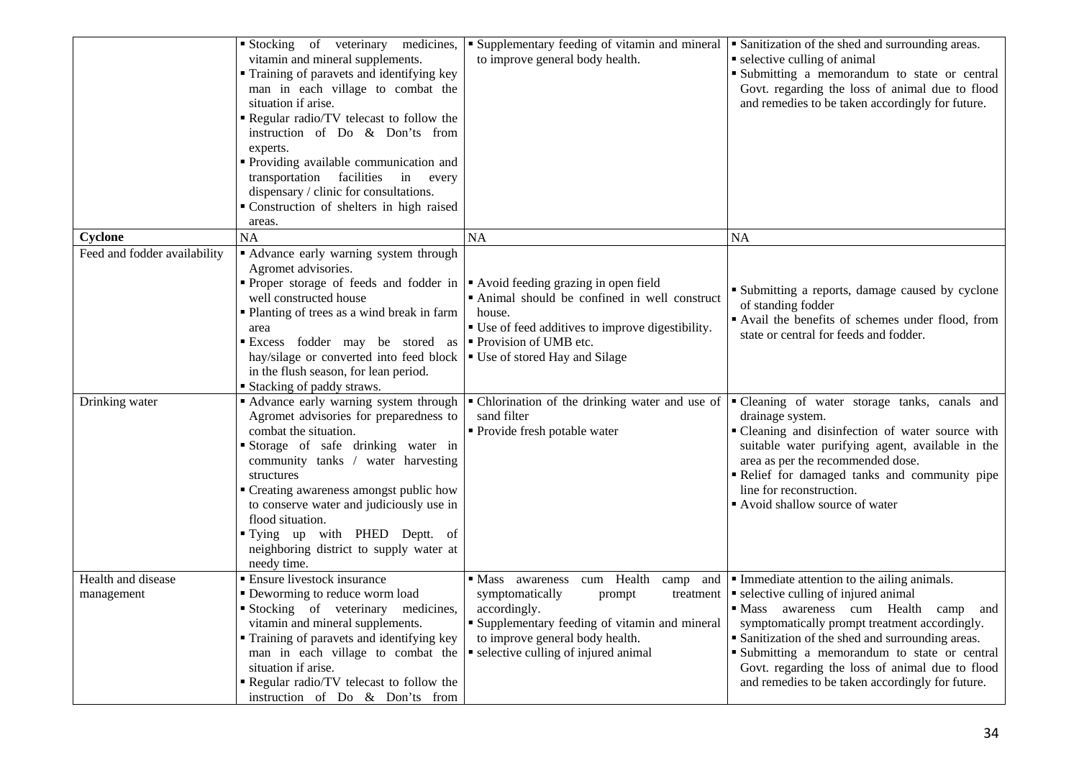|                                  | Stocking of veterinary medicines,<br>vitamin and mineral supplements.<br>Training of paravets and identifying key<br>man in each village to combat the<br>situation if arise.<br>Regular radio/TV telecast to follow the<br>instruction of Do & Don'ts from<br>experts.<br>· Providing available communication and<br>transportation facilities<br>in every<br>dispensary / clinic for consultations.<br>" Construction of shelters in high raised<br>areas. | • Supplementary feeding of vitamin and mineral<br>to improve general body health.                                                                                                                                               | • Sanitization of the shed and surrounding areas.<br>• selective culling of animal<br>Submitting a memorandum to state or central<br>Govt. regarding the loss of animal due to flood<br>and remedies to be taken accordingly for future.                                                                                                                                                                |
|----------------------------------|--------------------------------------------------------------------------------------------------------------------------------------------------------------------------------------------------------------------------------------------------------------------------------------------------------------------------------------------------------------------------------------------------------------------------------------------------------------|---------------------------------------------------------------------------------------------------------------------------------------------------------------------------------------------------------------------------------|---------------------------------------------------------------------------------------------------------------------------------------------------------------------------------------------------------------------------------------------------------------------------------------------------------------------------------------------------------------------------------------------------------|
| Cyclone                          | NA                                                                                                                                                                                                                                                                                                                                                                                                                                                           | <b>NA</b>                                                                                                                                                                                                                       | <b>NA</b>                                                                                                                                                                                                                                                                                                                                                                                               |
| Feed and fodder availability     | " Advance early warning system through<br>Agromet advisories.<br>• Proper storage of feeds and fodder in $\vert \cdot \vert$ Avoid feeding grazing in open field<br>well constructed house<br>" Planting of trees as a wind break in farm<br>area<br>Excess fodder may be stored as<br>hay/silage or converted into feed block<br>in the flush season, for lean period.<br>■ Stacking of paddy straws.                                                       | • Animal should be confined in well construct<br>house.<br>• Use of feed additives to improve digestibility.<br>Provision of UMB etc.<br>■ Use of stored Hay and Silage                                                         | • Submitting a reports, damage caused by cyclone<br>of standing fodder<br>Avail the benefits of schemes under flood, from<br>state or central for feeds and fodder.                                                                                                                                                                                                                                     |
| Drinking water                   | • Advance early warning system through<br>Agromet advisories for preparedness to<br>combat the situation.<br>Storage of safe drinking water in<br>community tanks / water harvesting<br>structures<br>• Creating awareness amongst public how<br>to conserve water and judiciously use in<br>flood situation.<br>"Tying up with PHED Deptt. of<br>neighboring district to supply water at<br>needy time.                                                     | • Chlorination of the drinking water and use of<br>sand filter<br>• Provide fresh potable water                                                                                                                                 | "Cleaning of water storage tanks, canals and<br>drainage system.<br>• Cleaning and disinfection of water source with<br>suitable water purifying agent, available in the<br>area as per the recommended dose.<br>Relief for damaged tanks and community pipe<br>line for reconstruction.<br>Avoid shallow source of water                                                                               |
| Health and disease<br>management | <b>Ensure livestock insurance</b><br>• Deworming to reduce worm load<br>Stocking of veterinary medicines,<br>vitamin and mineral supplements.<br>" Training of paravets and identifying key<br>man in each village to combat the<br>situation if arise.<br>Regular radio/TV telecast to follow the<br>instruction of Do & Don'ts from                                                                                                                        | cum Health camp and<br>• Mass awareness<br>symptomatically<br>prompt<br>treatment<br>accordingly.<br>• Supplementary feeding of vitamin and mineral<br>to improve general body health.<br>• selective culling of injured animal | Immediate attention to the ailing animals.<br>• selective culling of injured animal<br>awareness cum Health camp and<br>$\blacksquare$ Mass<br>symptomatically prompt treatment accordingly.<br>• Sanitization of the shed and surrounding areas.<br>Submitting a memorandum to state or central<br>Govt. regarding the loss of animal due to flood<br>and remedies to be taken accordingly for future. |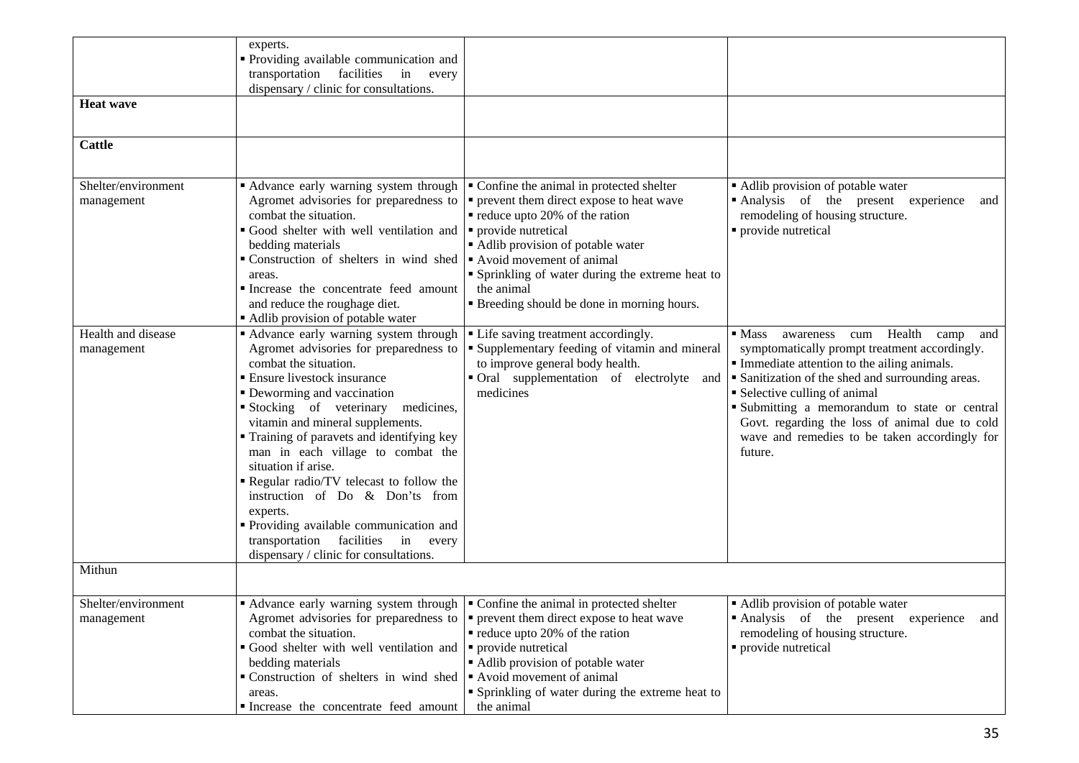|                                   | experts.<br>• Providing available communication and                                                                                               |                                                                                                                                                              |                                                                                                                                                                   |
|-----------------------------------|---------------------------------------------------------------------------------------------------------------------------------------------------|--------------------------------------------------------------------------------------------------------------------------------------------------------------|-------------------------------------------------------------------------------------------------------------------------------------------------------------------|
|                                   | transportation facilities in every<br>dispensary / clinic for consultations.                                                                      |                                                                                                                                                              |                                                                                                                                                                   |
| <b>Heat wave</b>                  |                                                                                                                                                   |                                                                                                                                                              |                                                                                                                                                                   |
|                                   |                                                                                                                                                   |                                                                                                                                                              |                                                                                                                                                                   |
| <b>Cattle</b>                     |                                                                                                                                                   |                                                                                                                                                              |                                                                                                                                                                   |
|                                   |                                                                                                                                                   |                                                                                                                                                              |                                                                                                                                                                   |
| Shelter/environment<br>management | Advance early warning system through<br>Agromet advisories for preparedness to<br>combat the situation.<br>Good shelter with well ventilation and | • Confine the animal in protected shelter<br>• prevent them direct expose to heat wave<br>$\blacksquare$ reduce upto 20% of the ration<br>provide nutretical | Adlib provision of potable water<br>Analysis of the present experience<br>and<br>remodeling of housing structure.<br>provide nutretical                           |
|                                   | bedding materials<br>Construction of shelters in wind shed<br>areas.                                                                              | Adlib provision of potable water<br>Avoid movement of animal<br>• Sprinkling of water during the extreme heat to                                             |                                                                                                                                                                   |
|                                   | Increase the concentrate feed amount<br>and reduce the roughage diet.<br>• Adlib provision of potable water                                       | the animal<br>• Breeding should be done in morning hours.                                                                                                    |                                                                                                                                                                   |
| Health and disease<br>management  | • Advance early warning system through<br>Agromet advisories for preparedness to<br>combat the situation.                                         | • Life saving treatment accordingly.<br>Supplementary feeding of vitamin and mineral<br>to improve general body health.                                      | Health<br>$\blacksquare$ Mass<br>awareness<br>cum<br>camp<br>and<br>symptomatically prompt treatment accordingly.<br>• Immediate attention to the ailing animals. |
|                                   | • Ensure livestock insurance<br>• Deworming and vaccination<br>Stocking of veterinary medicines,                                                  | • Oral supplementation of electrolyte<br>and<br>medicines                                                                                                    | Sanitization of the shed and surrounding areas.<br>• Selective culling of animal<br>· Submitting a memorandum to state or central                                 |
|                                   | vitamin and mineral supplements.<br>• Training of paravets and identifying key<br>man in each village to combat the<br>situation if arise.        |                                                                                                                                                              | Govt. regarding the loss of animal due to cold<br>wave and remedies to be taken accordingly for<br>future.                                                        |
|                                   | Regular radio/TV telecast to follow the<br>instruction of Do & Don'ts from<br>experts.                                                            |                                                                                                                                                              |                                                                                                                                                                   |
|                                   | " Providing available communication and<br>transportation facilities in<br>every<br>dispensary / clinic for consultations.                        |                                                                                                                                                              |                                                                                                                                                                   |
| Mithun                            |                                                                                                                                                   |                                                                                                                                                              |                                                                                                                                                                   |
| Shelter/environment<br>management | • Advance early warning system through $\vert \cdot \vert$ Confine the animal in protected shelter                                                | Agromet advisories for preparedness to $\vert \bullet \vert$ prevent them direct expose to heat wave                                                         | Adlib provision of potable water<br>Analysis of the present experience and                                                                                        |
|                                   | combat the situation.                                                                                                                             | $\blacksquare$ reduce upto 20% of the ration                                                                                                                 | remodeling of housing structure.                                                                                                                                  |
|                                   | Good shelter with well ventilation and $\vert \cdot \vert$ provide nutretical                                                                     |                                                                                                                                                              | • provide nutretical                                                                                                                                              |
|                                   | bedding materials<br>$\bullet$ Construction of shelters in wind shed $\bullet$ Avoid movement of animal                                           | Adlib provision of potable water                                                                                                                             |                                                                                                                                                                   |
|                                   | areas.                                                                                                                                            | • Sprinkling of water during the extreme heat to                                                                                                             |                                                                                                                                                                   |
|                                   | Increase the concentrate feed amount                                                                                                              | the animal                                                                                                                                                   |                                                                                                                                                                   |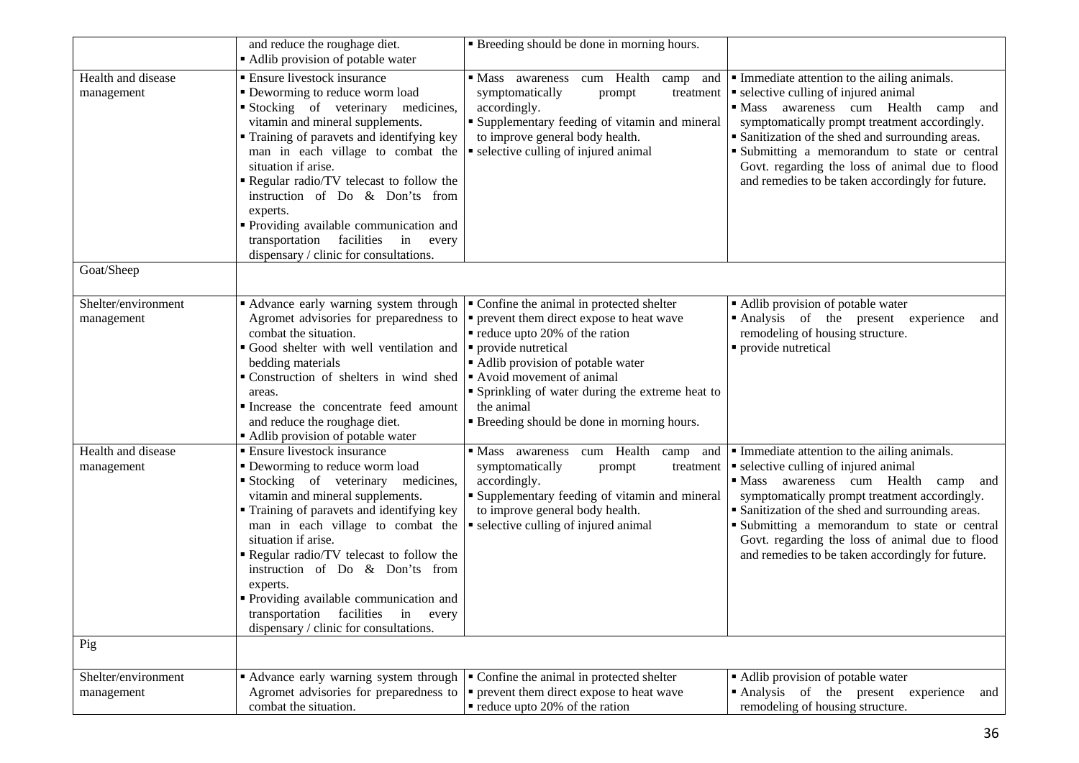|                                   | and reduce the roughage diet.<br>Adlib provision of potable water                                                                                                                                                                                                                                                                                                                                                                                                                     | • Breeding should be done in morning hours.                                                                                                                                                                                                                                                                                        |                                                                                                                                                                                                                                                                                                                                                                                                                 |
|-----------------------------------|---------------------------------------------------------------------------------------------------------------------------------------------------------------------------------------------------------------------------------------------------------------------------------------------------------------------------------------------------------------------------------------------------------------------------------------------------------------------------------------|------------------------------------------------------------------------------------------------------------------------------------------------------------------------------------------------------------------------------------------------------------------------------------------------------------------------------------|-----------------------------------------------------------------------------------------------------------------------------------------------------------------------------------------------------------------------------------------------------------------------------------------------------------------------------------------------------------------------------------------------------------------|
| Health and disease<br>management  | • Ensure livestock insurance<br>• Deworming to reduce worm load<br>Stocking of veterinary medicines,<br>vitamin and mineral supplements.<br>" Training of paravets and identifying key<br>man in each village to combat the<br>situation if arise.<br>Regular radio/TV telecast to follow the<br>instruction of Do & Don'ts from<br>experts.<br>· Providing available communication and<br>transportation facilities<br>in every<br>dispensary / clinic for consultations.            | • Mass awareness<br>cum Health<br>camp<br>and<br>symptomatically<br>prompt<br>treatment<br>accordingly.<br>" Supplementary feeding of vitamin and mineral<br>to improve general body health.<br>• selective culling of injured animal                                                                                              | Immediate attention to the ailing animals.<br>• selective culling of injured animal<br>· Mass awareness cum Health camp<br>and<br>symptomatically prompt treatment accordingly.<br>• Sanitization of the shed and surrounding areas.<br>Submitting a memorandum to state or central<br>Govt. regarding the loss of animal due to flood<br>and remedies to be taken accordingly for future.                      |
| Goat/Sheep                        |                                                                                                                                                                                                                                                                                                                                                                                                                                                                                       |                                                                                                                                                                                                                                                                                                                                    |                                                                                                                                                                                                                                                                                                                                                                                                                 |
| Shelter/environment<br>management | " Advance early warning system through<br>Agromet advisories for preparedness to<br>combat the situation.<br>Good shelter with well ventilation and<br>bedding materials<br>Construction of shelters in wind shed<br>areas.<br>Increase the concentrate feed amount<br>and reduce the roughage diet.<br>Adlib provision of potable water                                                                                                                                              | • Confine the animal in protected shelter<br>• prevent them direct expose to heat wave<br>• reduce upto 20% of the ration<br>· provide nutretical<br>Adlib provision of potable water<br>Avoid movement of animal<br>• Sprinkling of water during the extreme heat to<br>the animal<br>" Breeding should be done in morning hours. | Adlib provision of potable water<br>Analysis of the present experience<br>and<br>remodeling of housing structure.<br>• provide nutretical                                                                                                                                                                                                                                                                       |
| Health and disease<br>management  | <b>Ensure livestock insurance</b><br>• Deworming to reduce worm load<br>Stocking of veterinary medicines,<br>vitamin and mineral supplements.<br>" Training of paravets and identifying key<br>man in each village to combat the<br>situation if arise.<br>Regular radio/TV telecast to follow the<br>instruction of Do & Don'ts from<br>experts.<br>• Providing available communication and<br>transportation<br>facilities<br>in<br>every<br>dispensary / clinic for consultations. | cum Health<br>• Mass awareness<br>camp<br>and<br>symptomatically<br>prompt<br>treatment<br>accordingly.<br><b>Supplementary feeding of vitamin and mineral</b><br>to improve general body health.<br>• selective culling of injured animal                                                                                         | • Immediate attention to the ailing animals.<br>• selective culling of injured animal<br>awareness cum Health<br>$\blacksquare$ Mass<br>camp<br>and<br>symptomatically prompt treatment accordingly.<br>• Sanitization of the shed and surrounding areas.<br>Submitting a memorandum to state or central<br>Govt. regarding the loss of animal due to flood<br>and remedies to be taken accordingly for future. |
| Pig                               |                                                                                                                                                                                                                                                                                                                                                                                                                                                                                       |                                                                                                                                                                                                                                                                                                                                    |                                                                                                                                                                                                                                                                                                                                                                                                                 |
| Shelter/environment<br>management | • Advance early warning system through<br>Agromet advisories for preparedness to<br>combat the situation.                                                                                                                                                                                                                                                                                                                                                                             | • Confine the animal in protected shelter<br>• prevent them direct expose to heat wave<br>$\blacksquare$ reduce upto 20% of the ration                                                                                                                                                                                             | • Adlib provision of potable water<br>Analysis of the present experience<br>and<br>remodeling of housing structure.                                                                                                                                                                                                                                                                                             |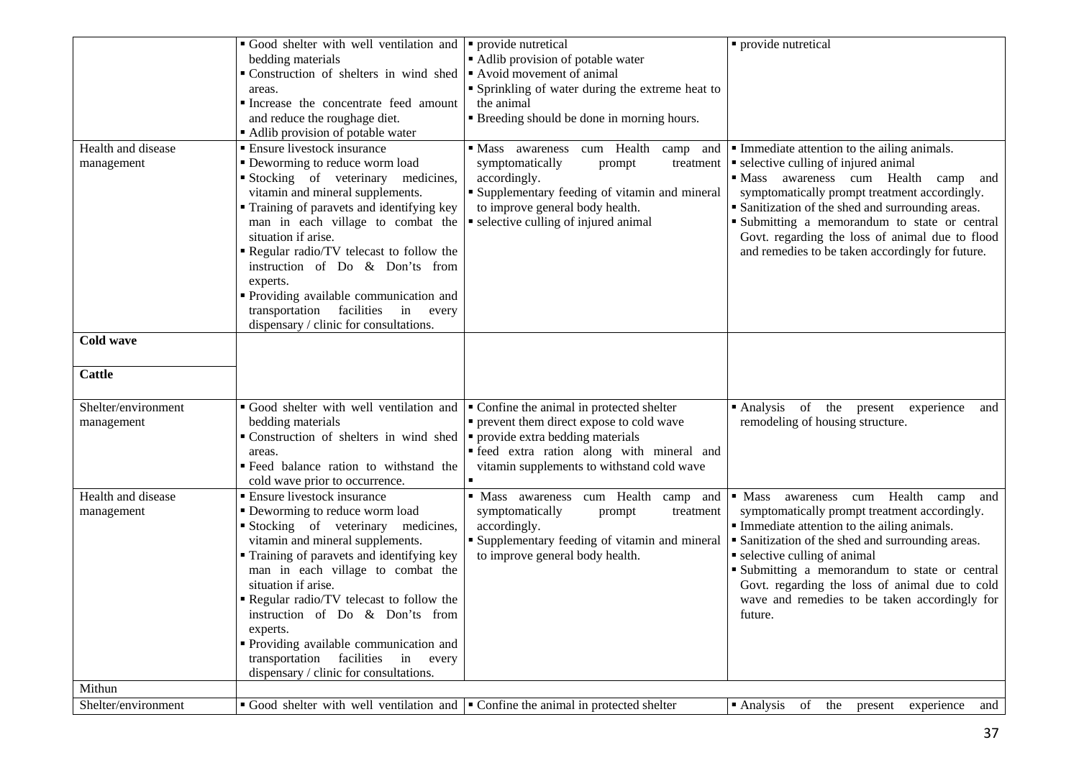|                                   | Good shelter with well ventilation and<br>bedding materials<br>Construction of shelters in wind shed<br>areas.<br>Increase the concentrate feed amount<br>and reduce the roughage diet.<br>Adlib provision of potable water                                                                                                                                                                                                                                                     | • provide nutretical<br>• Adlib provision of potable water<br>Avoid movement of animal<br>• Sprinkling of water during the extreme heat to<br>the animal<br>• Breeding should be done in morning hours.                            | · provide nutretical                                                                                                                                                                                                                                                                                                                                                                                                   |
|-----------------------------------|---------------------------------------------------------------------------------------------------------------------------------------------------------------------------------------------------------------------------------------------------------------------------------------------------------------------------------------------------------------------------------------------------------------------------------------------------------------------------------|------------------------------------------------------------------------------------------------------------------------------------------------------------------------------------------------------------------------------------|------------------------------------------------------------------------------------------------------------------------------------------------------------------------------------------------------------------------------------------------------------------------------------------------------------------------------------------------------------------------------------------------------------------------|
| Health and disease<br>management  | • Ensure livestock insurance<br>• Deworming to reduce worm load<br>Stocking of veterinary medicines,<br>vitamin and mineral supplements.<br>Training of paravets and identifying key<br>man in each village to combat the<br>situation if arise.<br>Regular radio/TV telecast to follow the<br>instruction of Do & Don'ts from<br>experts.<br>Providing available communication and<br>transportation facilities<br>in every<br>dispensary / clinic for consultations.          | cum Health<br>• Mass awareness<br>camp and<br>symptomatically<br>treatment<br>prompt<br>accordingly.<br>• Supplementary feeding of vitamin and mineral<br>to improve general body health.<br>• selective culling of injured animal | • Immediate attention to the ailing animals.<br>• selective culling of injured animal<br>• Mass awareness cum Health<br>camp<br>and<br>symptomatically prompt treatment accordingly.<br>• Sanitization of the shed and surrounding areas.<br>Submitting a memorandum to state or central<br>Govt. regarding the loss of animal due to flood<br>and remedies to be taken accordingly for future.                        |
| <b>Cold wave</b><br><b>Cattle</b> |                                                                                                                                                                                                                                                                                                                                                                                                                                                                                 |                                                                                                                                                                                                                                    |                                                                                                                                                                                                                                                                                                                                                                                                                        |
|                                   |                                                                                                                                                                                                                                                                                                                                                                                                                                                                                 |                                                                                                                                                                                                                                    |                                                                                                                                                                                                                                                                                                                                                                                                                        |
| Shelter/environment<br>management | Good shelter with well ventilation and<br>bedding materials<br>Construction of shelters in wind shed<br>areas.<br>" Feed balance ration to withstand the<br>cold wave prior to occurrence.                                                                                                                                                                                                                                                                                      | • Confine the animal in protected shelter<br>• prevent them direct expose to cold wave<br>• provide extra bedding materials<br>· feed extra ration along with mineral and<br>vitamin supplements to withstand cold wave            | · Analysis of the present experience<br>and<br>remodeling of housing structure.                                                                                                                                                                                                                                                                                                                                        |
| Health and disease<br>management  | <b>Ensure livestock insurance</b><br>• Deworming to reduce worm load<br>Stocking of veterinary medicines,<br>vitamin and mineral supplements.<br>• Training of paravets and identifying key<br>man in each village to combat the<br>situation if arise.<br>Regular radio/TV telecast to follow the<br>instruction of Do & Don'ts from<br>experts.<br>• Providing available communication and<br>transportation facilities<br>in every<br>dispensary / clinic for consultations. | · Mass awareness cum Health<br>camp<br>and<br>symptomatically<br>prompt<br>treatment<br>accordingly.<br><b>Supplementary feeding of vitamin and mineral</b><br>to improve general body health.                                     | Health<br>$\blacksquare$ Mass<br>cum<br>and<br>awareness<br>camp<br>symptomatically prompt treatment accordingly.<br>• Immediate attention to the ailing animals.<br>• Sanitization of the shed and surrounding areas.<br>• selective culling of animal<br>• Submitting a memorandum to state or central<br>Govt. regarding the loss of animal due to cold<br>wave and remedies to be taken accordingly for<br>future. |
| Mithun                            |                                                                                                                                                                                                                                                                                                                                                                                                                                                                                 |                                                                                                                                                                                                                                    |                                                                                                                                                                                                                                                                                                                                                                                                                        |
| Shelter/environment               | Good shelter with well ventilation and $\vert \cdot \vert$ Confine the animal in protected shelter                                                                                                                                                                                                                                                                                                                                                                              |                                                                                                                                                                                                                                    | $\blacksquare$ Analysis<br>the<br>of<br>experience<br>and<br>present                                                                                                                                                                                                                                                                                                                                                   |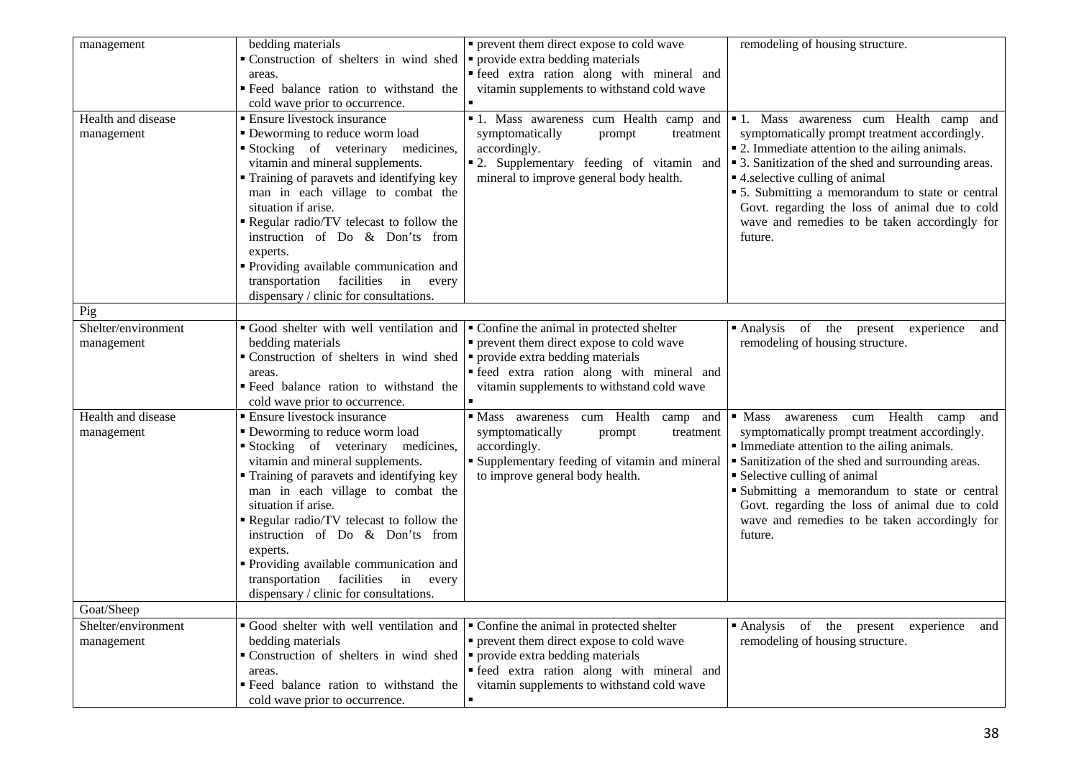| management                        | bedding materials<br>Construction of shelters in wind shed<br>areas.<br>" Feed balance ration to withstand the<br>cold wave prior to occurrence.                                                                                                                                                                                                                                                                                                                         | • prevent them direct expose to cold wave<br>• provide extra bedding materials<br>· feed extra ration along with mineral and<br>vitamin supplements to withstand cold wave                                              | remodeling of housing structure.                                                                                                                                                                                                                                                                                                                                                                                                                  |
|-----------------------------------|--------------------------------------------------------------------------------------------------------------------------------------------------------------------------------------------------------------------------------------------------------------------------------------------------------------------------------------------------------------------------------------------------------------------------------------------------------------------------|-------------------------------------------------------------------------------------------------------------------------------------------------------------------------------------------------------------------------|---------------------------------------------------------------------------------------------------------------------------------------------------------------------------------------------------------------------------------------------------------------------------------------------------------------------------------------------------------------------------------------------------------------------------------------------------|
| Health and disease<br>management  | <b>Ensure livestock insurance</b><br>• Deworming to reduce worm load<br>Stocking of veterinary medicines,<br>vitamin and mineral supplements.<br>" Training of paravets and identifying key<br>man in each village to combat the<br>situation if arise.<br>Regular radio/TV telecast to follow the<br>instruction of Do & Don'ts from<br>experts.<br>" Providing available communication and<br>transportation facilities<br>in<br>every                                 | symptomatically<br>prompt<br>treatment<br>accordingly.<br>" 2. Supplementary feeding of vitamin and<br>mineral to improve general body health.                                                                          | • 1. Mass awareness cum Health camp and • 1. Mass awareness cum Health camp and<br>symptomatically prompt treatment accordingly.<br>• 2. Immediate attention to the ailing animals.<br>• 3. Sanitization of the shed and surrounding areas.<br>■ 4. selective culling of animal<br>• 5. Submitting a memorandum to state or central<br>Govt. regarding the loss of animal due to cold<br>wave and remedies to be taken accordingly for<br>future. |
| Pig                               | dispensary / clinic for consultations.                                                                                                                                                                                                                                                                                                                                                                                                                                   |                                                                                                                                                                                                                         |                                                                                                                                                                                                                                                                                                                                                                                                                                                   |
|                                   |                                                                                                                                                                                                                                                                                                                                                                                                                                                                          |                                                                                                                                                                                                                         |                                                                                                                                                                                                                                                                                                                                                                                                                                                   |
| Shelter/environment<br>management | Good shelter with well ventilation and<br>bedding materials<br>Construction of shelters in wind shed<br>areas.<br>· Feed balance ration to withstand the<br>cold wave prior to occurrence.                                                                                                                                                                                                                                                                               | • Confine the animal in protected shelter<br>• prevent them direct expose to cold wave<br>provide extra bedding materials<br>· feed extra ration along with mineral and<br>vitamin supplements to withstand cold wave   | Analysis of the<br>experience<br>present<br>and<br>remodeling of housing structure.                                                                                                                                                                                                                                                                                                                                                               |
| Health and disease<br>management  | • Ensure livestock insurance<br>• Deworming to reduce worm load<br>Stocking of veterinary medicines,<br>vitamin and mineral supplements.<br>• Training of paravets and identifying key<br>man in each village to combat the<br>situation if arise.<br>Regular radio/TV telecast to follow the<br>instruction of Do & Don'ts from<br>experts.<br>Providing available communication and<br>transportation facilities<br>in every<br>dispensary / clinic for consultations. | • Mass awareness<br>cum Health<br>camp and<br>symptomatically<br>treatment<br>prompt<br>accordingly.<br>" Supplementary feeding of vitamin and mineral<br>to improve general body health.                               | awareness cum Health camp<br>$\blacksquare$ Mass<br>and<br>symptomatically prompt treatment accordingly.<br>Immediate attention to the ailing animals.<br>• Sanitization of the shed and surrounding areas.<br>• Selective culling of animal<br>Submitting a memorandum to state or central<br>Govt. regarding the loss of animal due to cold<br>wave and remedies to be taken accordingly for<br>future.                                         |
| Goat/Sheep                        |                                                                                                                                                                                                                                                                                                                                                                                                                                                                          |                                                                                                                                                                                                                         |                                                                                                                                                                                                                                                                                                                                                                                                                                                   |
| Shelter/environment<br>management | Good shelter with well ventilation and<br>bedding materials<br>Construction of shelters in wind shed<br>areas.<br>" Feed balance ration to withstand the<br>cold wave prior to occurrence.                                                                                                                                                                                                                                                                               | • Confine the animal in protected shelter<br>• prevent them direct expose to cold wave<br>• provide extra bedding materials<br>· feed extra ration along with mineral and<br>vitamin supplements to withstand cold wave | Analysis of the present<br>experience<br>and<br>remodeling of housing structure.                                                                                                                                                                                                                                                                                                                                                                  |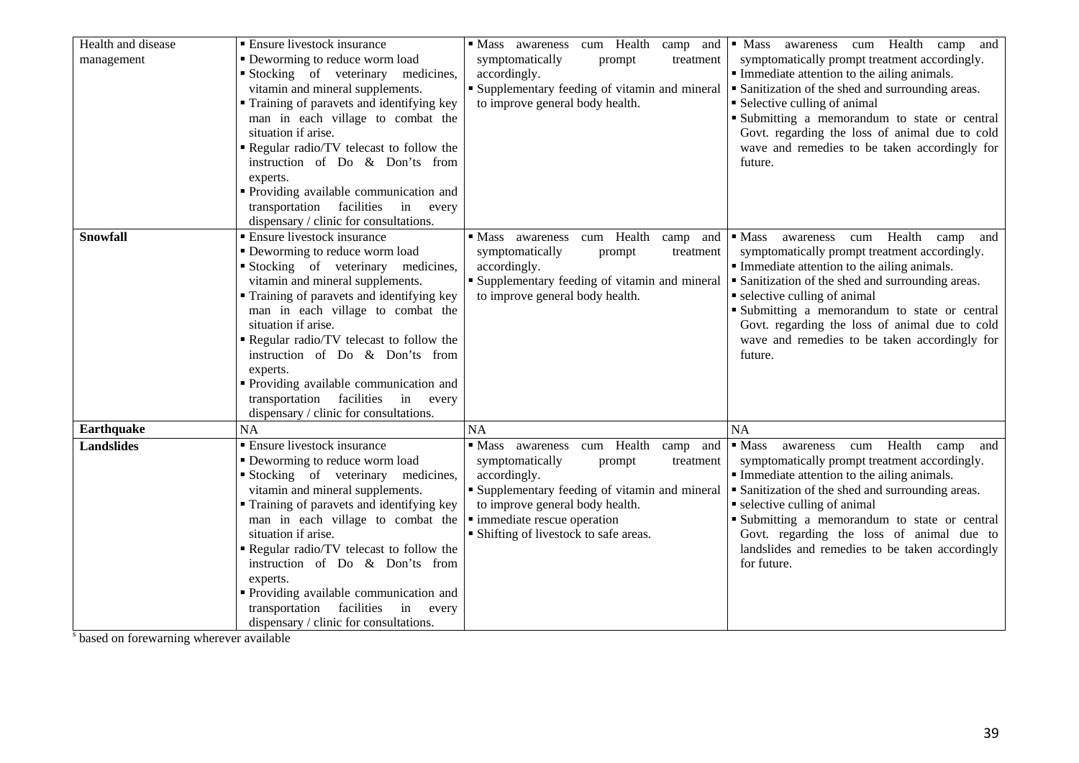| Health and disease | <b>Ensure livestock insurance</b>          | · Mass awareness cum Health<br>camp and        | · Mass awareness cum Health camp and                       |
|--------------------|--------------------------------------------|------------------------------------------------|------------------------------------------------------------|
| management         | • Deworming to reduce worm load            | symptomatically<br>treatment<br>prompt         | symptomatically prompt treatment accordingly.              |
|                    | Stocking of veterinary medicines,          | accordingly.                                   | Immediate attention to the ailing animals.                 |
|                    | vitamin and mineral supplements.           | • Supplementary feeding of vitamin and mineral | • Sanitization of the shed and surrounding areas.          |
|                    | • Training of paravets and identifying key | to improve general body health.                | • Selective culling of animal                              |
|                    | man in each village to combat the          |                                                | Submitting a memorandum to state or central                |
|                    | situation if arise.                        |                                                | Govt. regarding the loss of animal due to cold             |
|                    | Regular radio/TV telecast to follow the    |                                                | wave and remedies to be taken accordingly for              |
|                    | instruction of Do & Don'ts from            |                                                | future.                                                    |
|                    | experts.                                   |                                                |                                                            |
|                    | " Providing available communication and    |                                                |                                                            |
|                    | transportation facilities in every         |                                                |                                                            |
|                    | dispensary / clinic for consultations.     |                                                |                                                            |
| <b>Snowfall</b>    | <b>Ensure livestock insurance</b>          | cum Health<br>• Mass awareness<br>camp and     | awareness cum Health<br>$\blacksquare$ Mass<br>camp<br>and |
|                    | • Deworming to reduce worm load            | symptomatically<br>prompt<br>treatment         | symptomatically prompt treatment accordingly.              |
|                    | Stocking of veterinary medicines,          | accordingly.                                   | Immediate attention to the ailing animals.                 |
|                    | vitamin and mineral supplements.           | • Supplementary feeding of vitamin and mineral | • Sanitization of the shed and surrounding areas.          |
|                    | • Training of paravets and identifying key | to improve general body health.                | • selective culling of animal                              |
|                    | man in each village to combat the          |                                                | Submitting a memorandum to state or central                |
|                    | situation if arise.                        |                                                | Govt. regarding the loss of animal due to cold             |
|                    | Regular radio/TV telecast to follow the    |                                                | wave and remedies to be taken accordingly for              |
|                    | instruction of Do & Don'ts from            |                                                | future.                                                    |
|                    | experts.                                   |                                                |                                                            |
|                    | • Providing available communication and    |                                                |                                                            |
|                    | transportation facilities in every         |                                                |                                                            |
|                    | dispensary / clinic for consultations.     |                                                |                                                            |
| <b>Earthquake</b>  | <b>NA</b>                                  | <b>NA</b>                                      | <b>NA</b>                                                  |
| <b>Landslides</b>  | • Ensure livestock insurance               | cum Health<br>• Mass awareness<br>camp<br>and  | awareness cum Health camp<br>$\blacksquare$ Mass<br>and    |
|                    | • Deworming to reduce worm load            | symptomatically<br>prompt<br>treatment         | symptomatically prompt treatment accordingly.              |
|                    | Stocking of veterinary medicines,          | accordingly.                                   | Immediate attention to the ailing animals.                 |
|                    | vitamin and mineral supplements.           | • Supplementary feeding of vitamin and mineral | • Sanitization of the shed and surrounding areas.          |
|                    | • Training of paravets and identifying key | to improve general body health.                | • selective culling of animal                              |
|                    | man in each village to combat the          | · immediate rescue operation                   | Submitting a memorandum to state or central                |
|                    | situation if arise.                        | • Shifting of livestock to safe areas.         | Govt. regarding the loss of animal due to                  |
|                    | Regular radio/TV telecast to follow the    |                                                | landslides and remedies to be taken accordingly            |
|                    | instruction of Do & Don'ts from            |                                                | for future.                                                |
|                    | experts.                                   |                                                |                                                            |
|                    | " Providing available communication and    |                                                |                                                            |
|                    | transportation facilities<br>in<br>every   |                                                |                                                            |
|                    | dispensary / clinic for consultations.     |                                                |                                                            |

<sup>s</sup> based on forewarning wherever available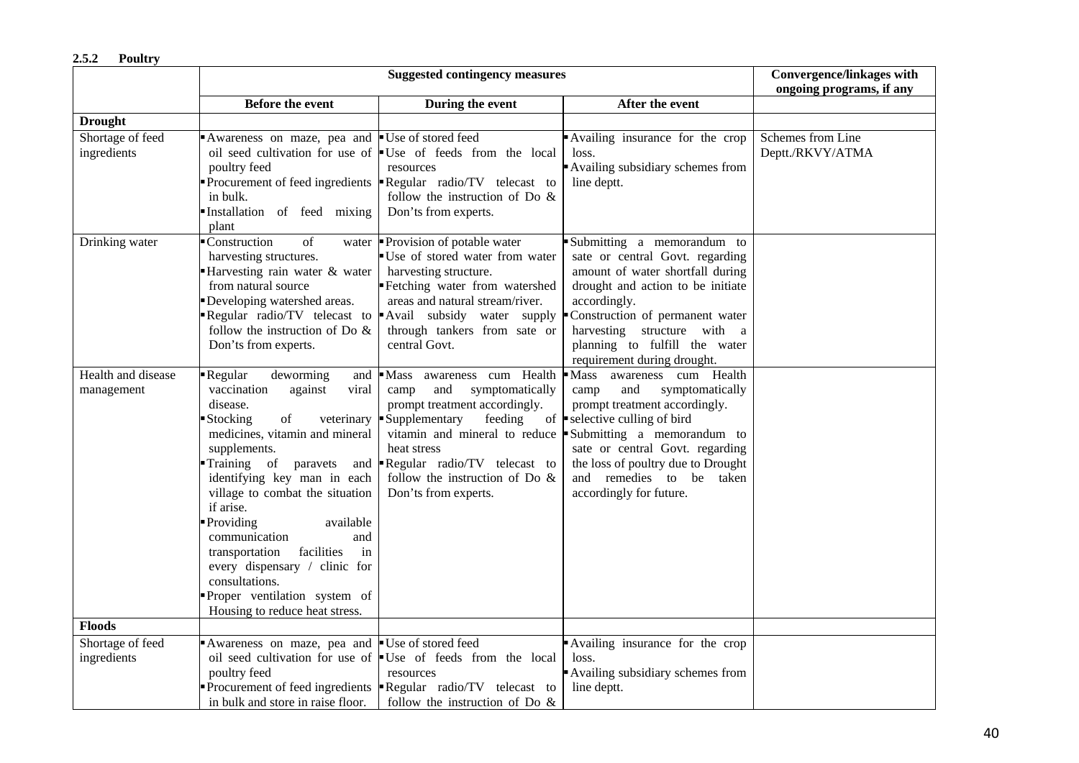|                                  |                                                                                                                                                                                                                                                                                                                                                                                                                                                                                  | <b>Suggested contingency measures</b>                                                                                                                                                                                                                                              |                                                                                                                                                                                                                                                                                                      | <b>Convergence/linkages with</b>      |
|----------------------------------|----------------------------------------------------------------------------------------------------------------------------------------------------------------------------------------------------------------------------------------------------------------------------------------------------------------------------------------------------------------------------------------------------------------------------------------------------------------------------------|------------------------------------------------------------------------------------------------------------------------------------------------------------------------------------------------------------------------------------------------------------------------------------|------------------------------------------------------------------------------------------------------------------------------------------------------------------------------------------------------------------------------------------------------------------------------------------------------|---------------------------------------|
|                                  |                                                                                                                                                                                                                                                                                                                                                                                                                                                                                  |                                                                                                                                                                                                                                                                                    |                                                                                                                                                                                                                                                                                                      | ongoing programs, if any              |
|                                  | Before the event                                                                                                                                                                                                                                                                                                                                                                                                                                                                 | During the event                                                                                                                                                                                                                                                                   | After the event                                                                                                                                                                                                                                                                                      |                                       |
| <b>Drought</b>                   |                                                                                                                                                                                                                                                                                                                                                                                                                                                                                  |                                                                                                                                                                                                                                                                                    |                                                                                                                                                                                                                                                                                                      |                                       |
| Shortage of feed<br>ingredients  | Awareness on maze, pea and<br>poultry feed<br>in bulk.<br>Installation of feed mixing<br>plant                                                                                                                                                                                                                                                                                                                                                                                   | ■ Use of stored feed<br>oil seed cultivation for use of $\bullet$ Use of feeds from the local<br>resources<br>Procurement of feed ingredients $\parallel$ Regular radio/TV telecast to<br>follow the instruction of Do $\&$<br>Don'ts from experts.                                | Availing insurance for the crop<br>loss.<br>Availing subsidiary schemes from<br>line deptt.                                                                                                                                                                                                          | Schemes from Line<br>Deptt./RKVY/ATMA |
| Drinking water                   | ■ Construction<br>of<br>harvesting structures.<br>Harvesting rain water & water<br>from natural source<br>Developing watershed areas.<br>follow the instruction of Do $\&$<br>Don'ts from experts.                                                                                                                                                                                                                                                                               | water Provision of potable water<br>Use of stored water from water<br>harvesting structure.<br>Fetching water from watershed<br>areas and natural stream/river.<br>Regular radio/TV telecast to Avail subsidy water supply<br>through tankers from sate or<br>central Govt.        | Submitting a memorandum to<br>sate or central Govt. regarding<br>amount of water shortfall during<br>drought and action to be initiate<br>accordingly.<br>Construction of permanent water<br>harvesting structure with a<br>planning to fulfill the water<br>requirement during drought.             |                                       |
| Health and disease<br>management | Regular<br>deworming<br>and<br>vaccination<br>against<br>viral<br>disease.<br>Stocking<br>of<br>veterinary<br>medicines, vitamin and mineral<br>supplements.<br>Training of paravets<br>identifying key man in each<br>village to combat the situation<br>if arise.<br>Providing<br>available<br>communication<br>and<br>facilities<br>in<br>transportation<br>every dispensary / clinic for<br>consultations.<br>Proper ventilation system of<br>Housing to reduce heat stress. | Mass awareness cum Health<br>and<br>symptomatically<br>camp<br>prompt treatment accordingly.<br>Supplementary<br>feeding<br>vitamin and mineral to reduce<br>heat stress<br>and <b>-</b> Regular radio/TV telecast to<br>follow the instruction of Do $\&$<br>Don'ts from experts. | Mass awareness cum Health<br>and<br>symptomatically<br>camp<br>prompt treatment accordingly.<br>of $\bullet$ selective culling of bird<br>Submitting a memorandum to<br>sate or central Govt. regarding<br>the loss of poultry due to Drought<br>and remedies to be taken<br>accordingly for future. |                                       |
| <b>Floods</b>                    |                                                                                                                                                                                                                                                                                                                                                                                                                                                                                  |                                                                                                                                                                                                                                                                                    |                                                                                                                                                                                                                                                                                                      |                                       |
| Shortage of feed<br>ingredients  | Awareness on maze, pea and<br>poultry feed<br>in bulk and store in raise floor.                                                                                                                                                                                                                                                                                                                                                                                                  | ■ Use of stored feed<br>oil seed cultivation for use of <b>Use</b> of feeds from the local<br>resources<br>Procurement of feed ingredients $\blacksquare$ Regular radio/TV telecast to<br>follow the instruction of Do $\&$                                                        | Availing insurance for the crop<br>loss.<br>Availing subsidiary schemes from<br>line deptt.                                                                                                                                                                                                          |                                       |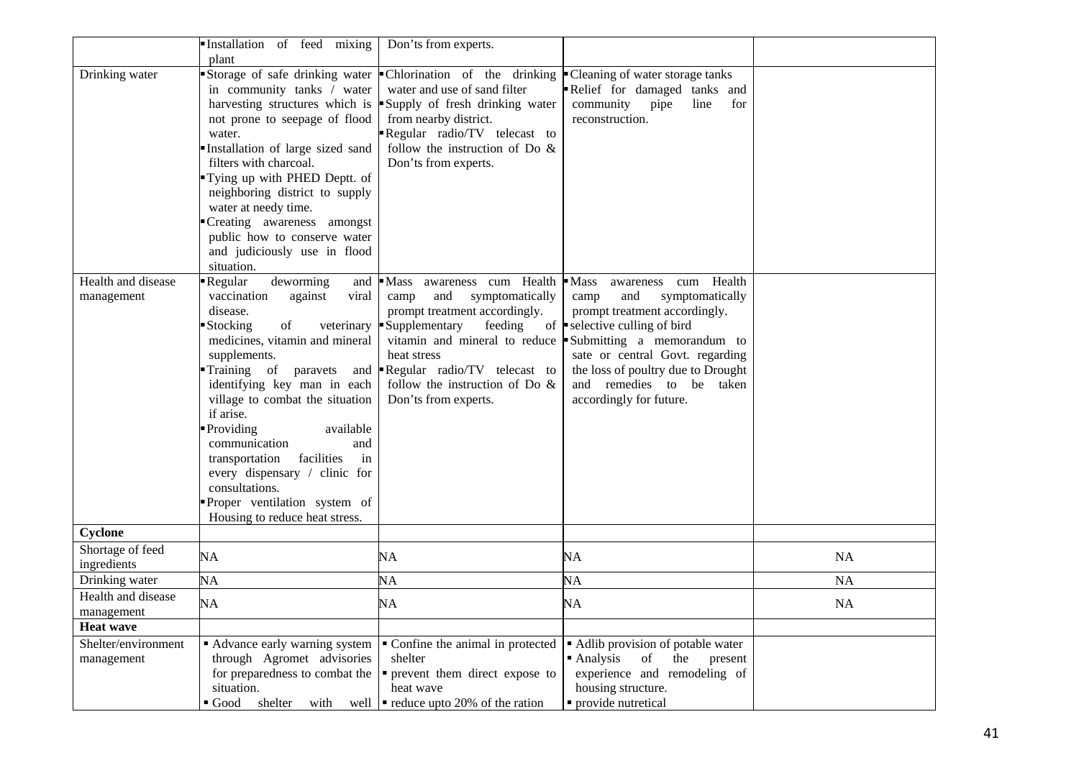|                                                      | Installation of feed mixing<br>plant                                                                                                                                                                                                                                                                                                                                                                                                         | Don'ts from experts.                                                                                                                                                                                                                                                                                                       |                                                                                                                                                                                                                                                                                                                                         |           |
|------------------------------------------------------|----------------------------------------------------------------------------------------------------------------------------------------------------------------------------------------------------------------------------------------------------------------------------------------------------------------------------------------------------------------------------------------------------------------------------------------------|----------------------------------------------------------------------------------------------------------------------------------------------------------------------------------------------------------------------------------------------------------------------------------------------------------------------------|-----------------------------------------------------------------------------------------------------------------------------------------------------------------------------------------------------------------------------------------------------------------------------------------------------------------------------------------|-----------|
| Drinking water<br>Health and disease                 | Storage of safe drinking water<br>in community tanks / water<br>not prone to seepage of flood<br>water.<br>Installation of large sized sand<br>filters with charcoal.<br>Tying up with PHED Deptt. of<br>neighboring district to supply<br>water at needy time.<br>Creating awareness amongst<br>public how to conserve water<br>and judiciously use in flood<br>situation.<br>deworming<br>Regular<br>and                                   | • Chlorination of the drinking<br>water and use of sand filter<br>harvesting structures which is $\blacktriangleright$ Supply of fresh drinking water<br>from nearby district.<br>Regular radio/TV telecast to<br>follow the instruction of Do $\&$<br>Don'ts from experts.<br>$\blacksquare$ Mass<br>awareness cum Health | • Cleaning of water storage tanks<br>Relief for damaged tanks and<br>community pipe<br>line<br>for<br>reconstruction.<br>$\blacksquare$ Mass<br>Health<br>cum<br>awareness                                                                                                                                                              |           |
| management                                           | vaccination<br>against<br>viral<br>disease.<br>of<br>Stocking<br>medicines, vitamin and mineral<br>supplements.<br>Training of paravets<br>and<br>identifying key man in each<br>village to combat the situation<br>if arise.<br>• Providing<br>available<br>communication<br>and<br>in<br>facilities<br>transportation<br>every dispensary / clinic for<br>consultations.<br>Proper ventilation system of<br>Housing to reduce heat stress. | and<br>symptomatically<br>camp<br>prompt treatment accordingly.<br>veterinary Supplementary<br>feeding<br>heat stress<br>Regular radio/TV telecast to<br>follow the instruction of Do &<br>Don'ts from experts.                                                                                                            | and<br>symptomatically<br>camp<br>prompt treatment accordingly.<br>of $\blacktriangleright$ selective culling of bird<br>vitamin and mineral to reduce $\blacktriangleright$ Submitting a memorandum to<br>sate or central Govt. regarding<br>the loss of poultry due to Drought<br>and remedies to be taken<br>accordingly for future. |           |
| Cyclone<br>Shortage of feed                          |                                                                                                                                                                                                                                                                                                                                                                                                                                              |                                                                                                                                                                                                                                                                                                                            |                                                                                                                                                                                                                                                                                                                                         |           |
| ingredients                                          | NA                                                                                                                                                                                                                                                                                                                                                                                                                                           | NA                                                                                                                                                                                                                                                                                                                         | NA                                                                                                                                                                                                                                                                                                                                      | NA        |
| Drinking water                                       | <b>NA</b>                                                                                                                                                                                                                                                                                                                                                                                                                                    | NA                                                                                                                                                                                                                                                                                                                         | NA                                                                                                                                                                                                                                                                                                                                      | <b>NA</b> |
| Health and disease<br>management<br><b>Heat wave</b> | <b>NA</b>                                                                                                                                                                                                                                                                                                                                                                                                                                    | <b>NA</b>                                                                                                                                                                                                                                                                                                                  | <b>NA</b>                                                                                                                                                                                                                                                                                                                               | <b>NA</b> |
| Shelter/environment<br>management                    | • Advance early warning system<br>through Agromet advisories<br>for preparedness to combat the<br>situation.<br>shelter<br>$\blacksquare$ Good<br>with<br>well                                                                                                                                                                                                                                                                               | • Confine the animal in protected<br>shelter<br>• prevent them direct expose to<br>heat wave<br>$\blacksquare$ reduce upto 20% of the ration                                                                                                                                                                               | • Adlib provision of potable water<br>Analysis<br>of<br>the<br>present<br>experience and remodeling of<br>housing structure.<br>• provide nutretical                                                                                                                                                                                    |           |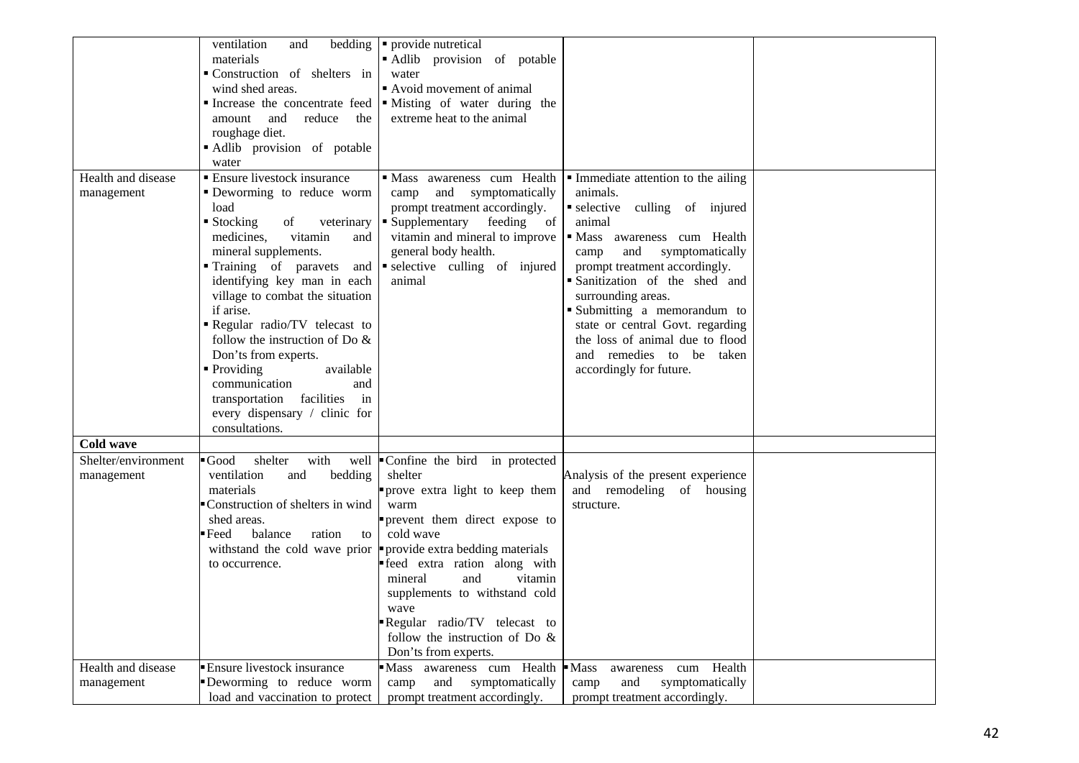|                                  | ventilation<br>and                                             | bedding $\bullet$ provide nutretical                             |                                                                     |  |
|----------------------------------|----------------------------------------------------------------|------------------------------------------------------------------|---------------------------------------------------------------------|--|
|                                  | materials<br>Construction of shelters in                       | Adlib provision of potable<br>water                              |                                                                     |  |
|                                  | wind shed areas.                                               | • Avoid movement of animal                                       |                                                                     |  |
|                                  | Increase the concentrate feed                                  | • Misting of water during the                                    |                                                                     |  |
|                                  | reduce<br>amount<br>and<br>the                                 | extreme heat to the animal                                       |                                                                     |  |
|                                  | roughage diet.                                                 |                                                                  |                                                                     |  |
|                                  | Adlib provision of potable                                     |                                                                  |                                                                     |  |
|                                  | water                                                          |                                                                  |                                                                     |  |
| Health and disease<br>management | ■ Ensure livestock insurance<br>• Deworming to reduce worm     | Mass awareness cum Health<br>and<br>symptomatically<br>camp      | • Immediate attention to the ailing<br>animals.                     |  |
|                                  | load                                                           | prompt treatment accordingly.                                    | selective culling of injured                                        |  |
|                                  | $\blacksquare$ Stocking<br>of<br>veterinary                    | • Supplementary feeding of                                       | animal                                                              |  |
|                                  | medicines,<br>vitamin<br>and                                   | vitamin and mineral to improve                                   | • Mass awareness cum Health                                         |  |
|                                  | mineral supplements.                                           | general body health.                                             | and<br>symptomatically<br>camp                                      |  |
|                                  | Training of paravets<br>and                                    | selective culling of injured                                     | prompt treatment accordingly.                                       |  |
|                                  | identifying key man in each                                    | animal                                                           | Sanitization of the shed and                                        |  |
|                                  | village to combat the situation                                |                                                                  | surrounding areas.                                                  |  |
|                                  | if arise.                                                      |                                                                  | Submitting a memorandum to                                          |  |
|                                  | Regular radio/TV telecast to<br>follow the instruction of Do & |                                                                  | state or central Govt. regarding<br>the loss of animal due to flood |  |
|                                  | Don'ts from experts.                                           |                                                                  | and remedies to be taken                                            |  |
|                                  | • Providing<br>available                                       |                                                                  | accordingly for future.                                             |  |
|                                  | communication<br>and                                           |                                                                  |                                                                     |  |
|                                  | transportation facilities<br>in                                |                                                                  |                                                                     |  |
|                                  | every dispensary / clinic for                                  |                                                                  |                                                                     |  |
|                                  | consultations.                                                 |                                                                  |                                                                     |  |
| Cold wave                        |                                                                |                                                                  |                                                                     |  |
| Shelter/environment              | $\blacksquare$ Good<br>shelter<br>with                         | well Confine the bird in protected                               |                                                                     |  |
| management                       | ventilation<br>bedding<br>and                                  | shelter                                                          | Analysis of the present experience                                  |  |
|                                  | materials                                                      | "prove extra light to keep them                                  | and remodeling of housing                                           |  |
|                                  | ■ Construction of shelters in wind                             | warm                                                             | structure.                                                          |  |
|                                  | shed areas.                                                    | prevent them direct expose to                                    |                                                                     |  |
|                                  | ▪Feed<br>balance<br>ration<br>to                               | cold wave                                                        |                                                                     |  |
|                                  | withstand the cold wave prior<br>to occurrence.                | provide extra bedding materials<br>"feed extra ration along with |                                                                     |  |
|                                  |                                                                | and<br>vitamin<br>mineral                                        |                                                                     |  |
|                                  |                                                                | supplements to withstand cold                                    |                                                                     |  |
|                                  |                                                                | wave                                                             |                                                                     |  |
|                                  |                                                                | Regular radio/TV telecast to                                     |                                                                     |  |
|                                  |                                                                | follow the instruction of Do $\&$                                |                                                                     |  |
|                                  |                                                                | Don'ts from experts.                                             |                                                                     |  |
| Health and disease               | <b>Ensure livestock insurance</b>                              | Mass awareness cum Health                                        | $\blacksquare$ Mass<br>awareness cum Health                         |  |
| management                       | Deworming to reduce worm                                       | and symptomatically<br>camp                                      | and<br>symptomatically<br>camp                                      |  |
|                                  | load and vaccination to protect                                | prompt treatment accordingly.                                    | prompt treatment accordingly.                                       |  |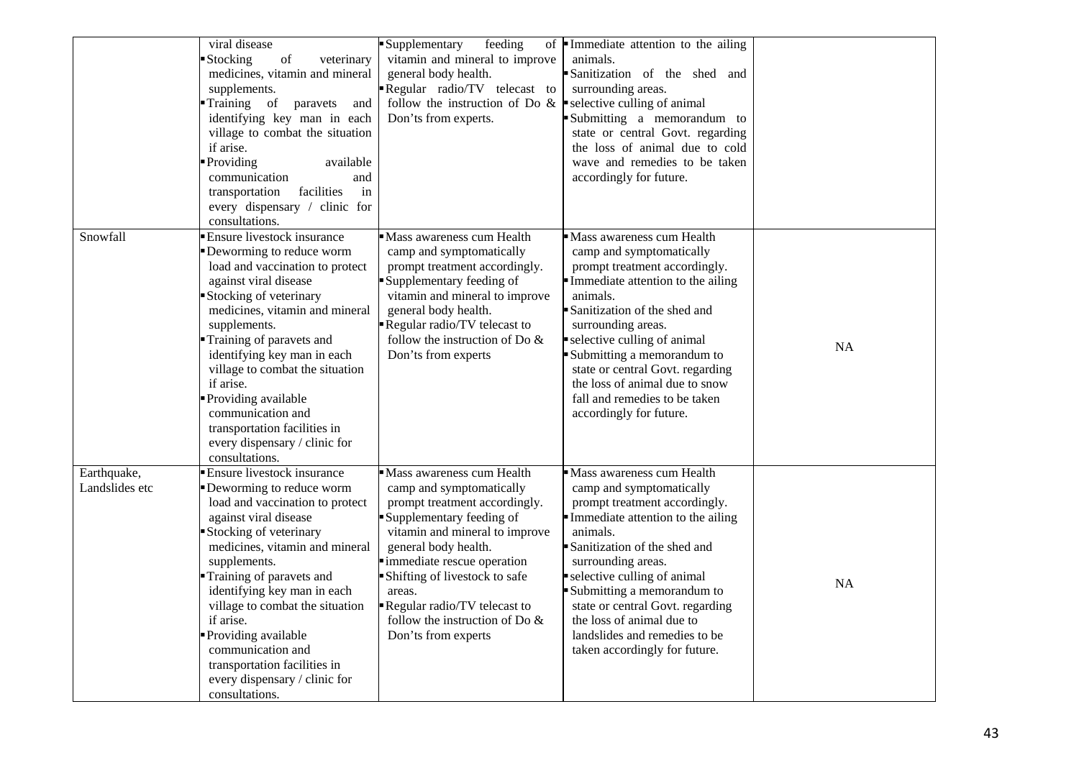|                               | viral disease<br>$% \left( \left( \mathcal{A},\mathcal{A}\right) \right) =\left( \mathcal{A},\mathcal{A}\right)$ of<br>Stocking<br>veterinary<br>medicines, vitamin and mineral<br>supplements.<br>Training of<br>paravets<br>and<br>identifying key man in each<br>village to combat the situation<br>if arise.<br>• Providing<br>available<br>communication<br>and<br>facilities<br>transportation<br>in<br>every dispensary / clinic for<br>consultations. | feeding<br>Supplementary<br>vitamin and mineral to improve<br>general body health.<br>Regular radio/TV telecast to<br>follow the instruction of Do $\&$<br>Don'ts from experts.                                                                                                                                                                   | of $\blacksquare$ Immediate attention to the ailing<br>animals.<br>Sanitization of the shed and<br>surrounding areas.<br>selective culling of animal<br>Submitting a memorandum to<br>state or central Govt. regarding<br>the loss of animal due to cold<br>wave and remedies to be taken<br>accordingly for future.                                                                          |           |
|-------------------------------|---------------------------------------------------------------------------------------------------------------------------------------------------------------------------------------------------------------------------------------------------------------------------------------------------------------------------------------------------------------------------------------------------------------------------------------------------------------|---------------------------------------------------------------------------------------------------------------------------------------------------------------------------------------------------------------------------------------------------------------------------------------------------------------------------------------------------|-----------------------------------------------------------------------------------------------------------------------------------------------------------------------------------------------------------------------------------------------------------------------------------------------------------------------------------------------------------------------------------------------|-----------|
| Snowfall                      | Ensure livestock insurance<br>Deworming to reduce worm<br>load and vaccination to protect<br>against viral disease<br>Stocking of veterinary<br>medicines, vitamin and mineral<br>supplements.<br>Training of paravets and<br>identifying key man in each<br>village to combat the situation<br>if arise.<br>Providing available<br>communication and<br>transportation facilities in<br>every dispensary / clinic for<br>consultations.                      | • Mass awareness cum Health<br>camp and symptomatically<br>prompt treatment accordingly.<br>Supplementary feeding of<br>vitamin and mineral to improve<br>general body health.<br>Regular radio/TV telecast to<br>follow the instruction of Do $\&$<br>Don'ts from experts                                                                        | Mass awareness cum Health<br>camp and symptomatically<br>prompt treatment accordingly.<br>Immediate attention to the ailing<br>animals.<br>Sanitization of the shed and<br>surrounding areas.<br>selective culling of animal<br>Submitting a memorandum to<br>state or central Govt. regarding<br>the loss of animal due to snow<br>fall and remedies to be taken<br>accordingly for future.  | <b>NA</b> |
| Earthquake,<br>Landslides etc | <b>Ensure livestock insurance</b><br>Deworming to reduce worm<br>load and vaccination to protect<br>against viral disease<br>Stocking of veterinary<br>medicines, vitamin and mineral<br>supplements.<br>Training of paravets and<br>identifying key man in each<br>village to combat the situation<br>if arise.<br>Providing available<br>communication and<br>transportation facilities in<br>every dispensary / clinic for<br>consultations.               | Mass awareness cum Health<br>camp and symptomatically<br>prompt treatment accordingly.<br>Supplementary feeding of<br>vitamin and mineral to improve<br>general body health.<br>immediate rescue operation<br>Shifting of livestock to safe<br>areas.<br>Regular radio/TV telecast to<br>follow the instruction of Do $\&$<br>Don'ts from experts | Mass awareness cum Health<br>camp and symptomatically<br>prompt treatment accordingly.<br>Immediate attention to the ailing<br>animals.<br>Sanitization of the shed and<br>surrounding areas.<br>selective culling of animal<br>Submitting a memorandum to<br>state or central Govt. regarding<br>the loss of animal due to<br>landslides and remedies to be<br>taken accordingly for future. | <b>NA</b> |